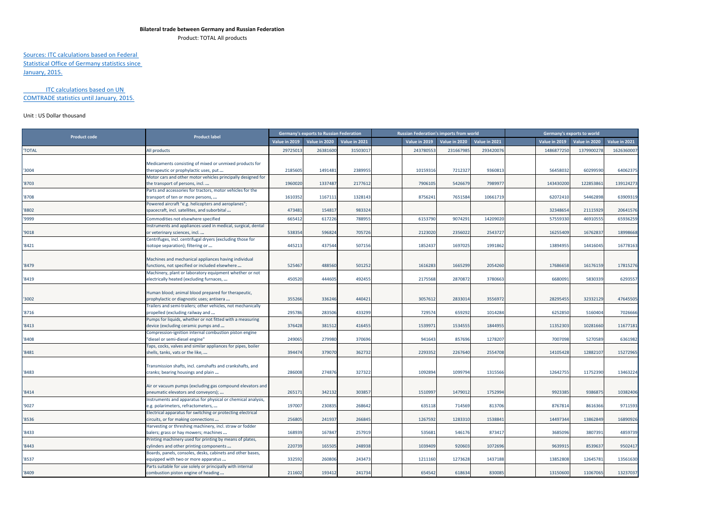## **Bilateral trade between Germany and Russian Federation**

Product: TOTAL All products

## Sources: ITC calculations based on Federal Statistical Office of Germany statistics since

January, 2015.

## ITC calculations based on UN COMTRADE statistics until January, 2015.

## Unit : US Dollar thousand

| <b>Product code</b> | <b>Product label</b>                                                                             |               | <b>Germany's exports to Russian Federation</b> |               |               | <b>Russian Federation's imports from world</b> |               |               | Germany's exports to world |               |
|---------------------|--------------------------------------------------------------------------------------------------|---------------|------------------------------------------------|---------------|---------------|------------------------------------------------|---------------|---------------|----------------------------|---------------|
|                     |                                                                                                  | Value in 2019 | Value in 2020                                  | Value in 2021 | Value in 2019 | Value in 2020                                  | Value in 2021 | Value in 2019 | Value in 2020              | Value in 2021 |
| <b>'TOTAL</b>       | All products                                                                                     | 2972501       | 2638160                                        | 31503017      | 24378055      | 23166798                                       | 293420076     | 148687725     | 137990027                  | 1626360007    |
|                     |                                                                                                  |               |                                                |               |               |                                                |               |               |                            |               |
|                     | Medicaments consisting of mixed or unmixed products for                                          |               |                                                |               |               |                                                |               |               |                            |               |
| '3004               | therapeutic or prophylactic uses, put                                                            | 218560        | 149148                                         | 2389955       | 1015931       | 7212327                                        | 936081        | 56458032      | 60299590                   | 64062375      |
|                     | Motor cars and other motor vehicles principally designed for                                     |               |                                                |               |               |                                                |               |               |                            |               |
| '8703               | the transport of persons, incl                                                                   | 1960020       | 133748                                         | 2177612       | 790610        | 5426679                                        | 798997        | 14343020      | 12285386                   | 139124273     |
|                     | Parts and accessories for tractors, motor vehicles for the                                       |               |                                                |               |               |                                                |               |               |                            |               |
| '8708               | transport of ten or more persons,                                                                | 1610352       | 1167111                                        | 1328143       | 875624        | 7651584                                        | 10661719      | 62072410      | 54462898                   | 63909319      |
|                     | Powered aircraft "e.g. helicopters and aeroplanes";                                              |               |                                                |               |               |                                                |               |               |                            |               |
| '8802               | spacecraft, incl. satellites, and suborbital                                                     | 473481        | 154817                                         | 983324        |               |                                                |               | 32348654      | 21115929                   | 20641576      |
| '9999               | Commodities not elsewhere specified                                                              | 66541         | 61722                                          | 78895         | 615379        | 907429                                         | 1420902       | 5755933       | 4691055                    | 65936259      |
|                     | Instruments and appliances used in medical, surgical, dental                                     |               |                                                |               |               |                                                |               |               |                            |               |
| '9018               | or veterinary sciences, incl                                                                     | 538354        | 596824                                         | 705726        | 212302        | 2356022                                        | 2543727       | 16255409      | 1676283                    | 18998668      |
|                     | Centrifuges, incl. centrifugal dryers (excluding those for                                       |               |                                                |               |               |                                                |               |               |                            |               |
| '8421               | sotope separation); filtering or                                                                 | 445213        | 437544                                         | 507156        | 185243        | 1697025                                        | 1991862       | 13894955      | 14416045                   | 16778163      |
|                     |                                                                                                  |               |                                                |               |               |                                                |               |               |                            |               |
|                     | Machines and mechanical appliances having individual                                             |               |                                                |               |               |                                                |               |               |                            |               |
| '8479               | functions, not specified or included elsewhere                                                   | 525467        | 488560                                         | 501252        | 161628        | 1665299                                        | 2054260       | 17686658      | 16176159                   | 17815276      |
|                     | Machinery, plant or laboratory equipment whether or not                                          |               |                                                |               |               |                                                |               |               |                            |               |
| '8419               | electrically heated (excluding furnaces,                                                         | 450520        | 444605                                         | 492455        | 2175568       | 2870872                                        | 3780663       | 6680091       | 5830339                    | 6293557       |
|                     |                                                                                                  |               |                                                |               |               |                                                |               |               |                            |               |
|                     | Human blood; animal blood prepared for therapeutic,                                              |               |                                                |               |               |                                                |               |               |                            |               |
| '3002               | prophylactic or diagnostic uses; antisera                                                        | 355266        | 336246                                         | 440421        | 305761        | 2833014                                        | 355697        | 28295455      | 32332129                   | 47645505      |
|                     | Trailers and semi-trailers; other vehicles, not mechanically                                     |               |                                                |               |               |                                                |               |               |                            |               |
| '8716               | propelled (excluding railway and                                                                 | 295786        | 283506                                         | 433299        | 72957         | 659292                                         | 1014284       | 6252850       | 5160404                    | 7026666       |
|                     | Pumps for liquids, whether or not fitted with a measuring                                        |               |                                                |               |               |                                                |               |               |                            |               |
| '8413               | device (excluding ceramic pumps and                                                              | 376428        | 381512                                         | 416455        | 153997        | 1534555                                        | 1844955       | 11352303      | 10281660                   | 11677181      |
|                     | Compression-ignition internal combustion piston engine                                           |               |                                                |               |               |                                                |               |               |                            |               |
| '8408               | 'diesel or semi-diesel engine"                                                                   | 249065        | 279980                                         | 370696        | 941643        | 857696                                         | 1278207       | 7007098       | 5270589                    | 6361982       |
|                     | Taps, cocks, valves and similar appliances for pipes, boiler                                     |               |                                                |               |               |                                                |               |               |                            |               |
| '8481               | shells, tanks, vats or the like,                                                                 | 394474        | 379070                                         | 362732        | 229335        | 2267640                                        | 2554708       | 14105428      | 1288210                    | 15272965      |
|                     |                                                                                                  |               |                                                |               |               |                                                |               |               |                            |               |
|                     | Transmission shafts, incl. camshafts and crankshafts, and                                        | 286008        | 27487                                          | 327322        | 109289        | 1099794                                        | 1315566       | 12642755      | 11752390                   |               |
| '8483               | cranks; bearing housings and plain                                                               |               |                                                |               |               |                                                |               |               |                            | 13463224      |
|                     |                                                                                                  |               |                                                |               |               |                                                |               |               |                            |               |
| '8414               | Air or vacuum pumps (excluding gas compound elevators and<br>oneumatic elevators and conveyors); | 26517         | 342132                                         | 303857        | 151099        | 1479012                                        | 1752994       | 9923385       | 9386875                    | 10382406      |
|                     | Instruments and apparatus for physical or chemical analysis,                                     |               |                                                |               |               |                                                |               |               |                            |               |
| '9027               | e.g. polarimeters, refractometers,                                                               | 197007        | 230835                                         | 268642        | 635118        | 714569                                         | 813706        | 8767814       | 8616366                    | 9711593       |
|                     | Electrical apparatus for switching or protecting electrical                                      |               |                                                |               |               |                                                |               |               |                            |               |
| '8536               | circuits, or for making connections                                                              | 25680         | 241937                                         | 266845        | 126759        | 1283310                                        | 153884        | 14497344      | 13862849                   | 16890926      |
|                     | Harvesting or threshing machinery, incl. straw or fodder                                         |               |                                                |               |               |                                                |               |               |                            |               |
| '8433               | balers; grass or hay mowers; machines                                                            | 168939        | 167847                                         | 257919        | 53568         | 546176                                         | 87341         | 3685096       | 3807391                    | 4859739       |
|                     | Printing machinery used for printing by means of plates,                                         |               |                                                |               |               |                                                |               |               |                            |               |
| '8443               | cylinders and other printing components                                                          | 220739        | 165505                                         | 248938        | 1039409       | 920603                                         | 1072696       | 9639915       | 853963                     | 9502417       |
|                     | Boards, panels, consoles, desks, cabinets and other bases,                                       |               |                                                |               |               |                                                |               |               |                            |               |
| '8537               | equipped with two or more apparatus                                                              | 332592        | 260806                                         | 243473        | 1211160       | 1273628                                        | 1437188       | 13852808      | 12645781                   | 13561630      |
|                     | Parts suitable for use solely or principally with internal                                       |               |                                                |               |               |                                                |               |               |                            |               |
| '8409               | combustion piston engine of heading                                                              | 211602        | 193412                                         | 241734        | 654542        | 618634                                         | 830085        | 13150600      | 11067065                   | 13237037      |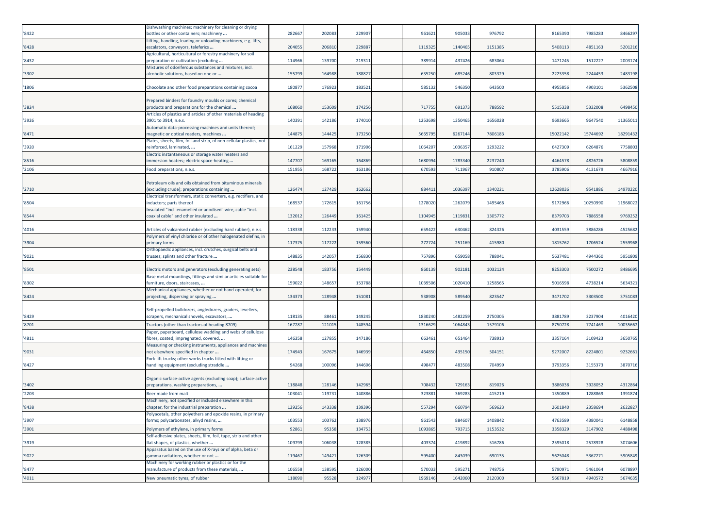| '8422 | Dishwashing machines; machinery for cleaning or drying<br>bottles or other containers; machinery              | 282667 | 202083 | 229907 | 961621  | 905033  | 976792  | 8165390  | 798528   | 8466297  |
|-------|---------------------------------------------------------------------------------------------------------------|--------|--------|--------|---------|---------|---------|----------|----------|----------|
|       | Lifting, handling, loading or unloading machinery, e.g. lifts,                                                |        |        |        |         |         |         |          |          |          |
| '8428 | escalators, conveyors, teleferics                                                                             | 20405  | 20681  | 22988  | 1119325 | 1140465 | 1151385 | 5408113  | 485116   | 5201216  |
|       | Agricultural, horticultural or forestry machinery for soil                                                    |        |        |        |         |         |         |          |          |          |
| '8432 | preparation or cultivation (excluding                                                                         | 114966 | 139700 | 219311 | 389914  | 437426  | 683064  | 1471245  | 151222   | 2003174  |
| '3302 | Mixtures of odoriferous substances and mixtures, incl.<br>alcoholic solutions, based on one or                | 155799 | 164988 | 188827 | 635250  | 685246  | 803329  | 222335   | 224445   | 2483198  |
| '1806 | Chocolate and other food preparations containing cocoa                                                        | 18087  | 17692  | 183521 | 585132  | 546350  | 643500  | 4955856  | 4903101  | 5362508  |
|       |                                                                                                               |        |        |        |         |         |         |          |          |          |
|       | Prepared binders for foundry moulds or cores; chemical                                                        | 168060 | 153609 | 174256 | 717755  | 691373  | 788592  | 5515338  | 5332008  |          |
| '3824 | products and preparations for the chemical<br>Articles of plastics and articles of other materials of heading |        |        |        |         |         |         |          |          | 6498450  |
| '3926 | 3901 to 3914, n.e.s.                                                                                          | 140391 | 142186 | 174010 | 1253698 | 1350465 | 1656028 | 9693665  | 9647540  | 11365011 |
|       | Automatic data-processing machines and units thereof;                                                         |        |        |        |         |         |         |          |          |          |
| '8471 | magnetic or optical readers, machines                                                                         | 144875 | 144425 | 173250 | 566579  | 6267144 | 780618  | 15022142 | 15744692 | 18291432 |
|       | Plates, sheets, film, foil and strip, of non-cellular plastics, not                                           |        |        |        |         |         |         |          |          |          |
| '3920 | reinforced, laminated,                                                                                        | 161229 | 157968 | 171906 | 1064207 | 1036357 | 1293222 | 6427309  | 6264876  | 7758803  |
| '8516 | Electric instantaneous or storage water heaters and<br>mmersion heaters; electric space-heating               | 147707 | 16916  | 164869 | 168099  | 1783340 | 2237240 | 4464578  | 4826726  | 5808859  |
|       |                                                                                                               | 151955 |        | 163186 | 670593  |         | 910807  |          | 413167   |          |
| '2106 | Food preparations, n.e.s.                                                                                     |        | 168722 |        |         | 711967  |         | 3785906  |          | 4667916  |
|       | Petroleum oils and oils obtained from bituminous minerals                                                     |        |        |        |         |         |         |          |          |          |
| '2710 | excluding crude); preparations containing                                                                     | 126474 | 127429 | 162662 | 884411  | 1036397 | 1340221 | 12628036 | 9541886  | 14970220 |
|       | Electrical transformers, static converters, e.g. rectifiers, and                                              |        |        |        |         |         |         |          |          |          |
| '8504 | nductors; parts thereof                                                                                       | 16853  | 17261  | 161756 | 1278020 | 1262079 | 1495466 | 9172966  | 1025099  | 11968022 |
|       | nsulated "incl. enamelled or anodised" wire, cable "incl.                                                     |        |        |        |         |         |         |          |          |          |
| '8544 | coaxial cable" and other insulated                                                                            | 132012 | 126449 | 161425 | 1104945 | 111983: | 1305772 | 8379703  | 7886558  | 9769252  |
| '4016 | Articles of vulcanised rubber (excluding hard rubber), n.e.s.                                                 | 118338 | 11223  | 159940 | 659422  | 630462  | 824326  | 4031559  | 388628   | 4525682  |
|       | Polymers of vinyl chloride or of other halogenated olefins, in                                                |        |        |        |         |         |         |          |          |          |
| '3904 | primary forms                                                                                                 | 11737  | 11722  | 159560 | 272724  | 251169  | 415980  | 1815762  | 170652   | 2559968  |
|       | Orthopaedic appliances, incl. crutches, surgical belts and                                                    |        |        |        |         |         |         |          |          |          |
| '9021 | trusses; splints and other fracture                                                                           | 14883  | 142057 | 156830 | 757896  | 659058  | 788041  | 5637481  | 4944360  | 5951809  |
| '8501 | Electric motors and generators (excluding generating sets)                                                    | 238548 | 18375  | 154449 | 860139  | 902181  | 1032124 | 8253303  | 750027   | 8486695  |
|       | Base metal mountings, fittings and similar articles suitable for                                              |        |        |        |         |         |         |          |          |          |
| '8302 | urniture, doors, staircases,                                                                                  | 15902  | 14865  | 153788 | 103950  | 1020410 | 1258565 | 501659   | 473821   | 5634321  |
|       | Mechanical appliances, whether or not hand-operated, for                                                      |        |        |        |         |         |         |          |          |          |
| '8424 | projecting, dispersing or spraying                                                                            | 134373 | 128948 | 151081 | 538908  | 589540  | 823547  | 3471702  | 3303500  | 3751083  |
|       |                                                                                                               |        |        |        |         |         |         |          |          |          |
| '8429 | Self-propelled bulldozers, angledozers, graders, levellers,<br>scrapers, mechanical shovels, excavators,      | 11813  | 8846   | 149245 | 1830240 | 1482259 | 2750305 | 3881789  | 3237904  | 4016420  |
| '8701 | Tractors (other than tractors of heading 8709)                                                                | 16728  | 12101  | 148594 | 1316629 | 1064843 | 1579106 | 8750728  | 774146   | 10035662 |
|       | Paper, paperboard, cellulose wadding and webs of cellulose                                                    |        |        |        |         |         |         |          |          |          |
| '4811 | fibres, coated, impregnated, covered,                                                                         | 146358 | 127855 | 147186 | 663461  | 651464  | 738913  | 3357164  | 310942   | 3650765  |
|       | Measuring or checking instruments, appliances and machines                                                    |        |        |        |         |         |         |          |          |          |
| '9031 | not elsewhere specified in chapter                                                                            | 174943 | 167675 | 146939 | 464850  | 435150  | 504151  | 9272007  | 8224801  | 9232661  |
|       | Fork-lift trucks; other works trucks fitted with lifting or                                                   |        |        |        |         |         |         |          |          |          |
| '8427 | handling equipment (excluding straddle                                                                        | 94268  | 10009  | 144606 | 498477  | 483508  | 704999  | 3793356  | 315537   | 3870716  |
|       | Organic surface-active agents (excluding soap); surface-active                                                |        |        |        |         |         |         |          |          |          |
| '3402 | preparations, washing preparations,                                                                           | 118848 | 12814  | 142965 | 708432  | 729163  | 819026  | 3886038  | 392805   | 4312864  |
| '2203 | Beer made from malt                                                                                           | 10304  | 11973: | 140886 | 32388   | 369283  | 415219  | 135088   | 128886   | 1391874  |
|       | Machinery, not specified or included elsewhere in this                                                        |        |        |        |         |         |         |          |          |          |
| '8438 | chapter, for the industrial preparation                                                                       | 139256 | 143338 | 139396 | 557294  | 660794  | 569623  | 2601840  | 2358694  | 2622827  |
|       | Polyacetals, other polyethers and epoxide resins, in primary                                                  |        |        |        |         |         |         |          |          |          |
| '3907 | forms; polycarbonates, alkyd resins,                                                                          | 103553 | 103762 | 138976 | 961543  | 884607  | 1408842 | 4763589  | 4380041  | 6148858  |
| '3901 | Polymers of ethylene, in primary forms                                                                        | 92861  | 95358  | 134753 | 1093865 | 793715  | 1153532 | 3358329  | 3147902  | 4488498  |
| '3919 | Self-adhesive plates, sheets, film, foil, tape, strip and other<br>flat shapes, of plastics, whether          | 109799 | 106038 | 128385 | 403374  | 419892  | 516786  | 2595018  | 2578928  | 3074606  |
|       | Apparatus based on the use of X-rays or of alpha, beta or                                                     |        |        |        |         |         |         |          |          |          |
| '9022 | gamma radiations, whether or not                                                                              | 119467 | 149421 | 126309 | 595400  | 843039  | 690135  | 5625048  | 5367271  | 5905849  |
|       | Machinery for working rubber or plastics or for the                                                           |        |        |        |         |         |         |          |          |          |
| '8477 | manufacture of products from these materials,                                                                 | 106558 | 13859  | 126000 | 570033  | 595271  | 748756  | 5790971  | 5461064  | 6078897  |
| '4011 | New pneumatic tyres, of rubber                                                                                | 118090 | 95528  | 124977 | 1969146 | 1642060 | 2120300 | 5667819  | 4940572  | 5674635  |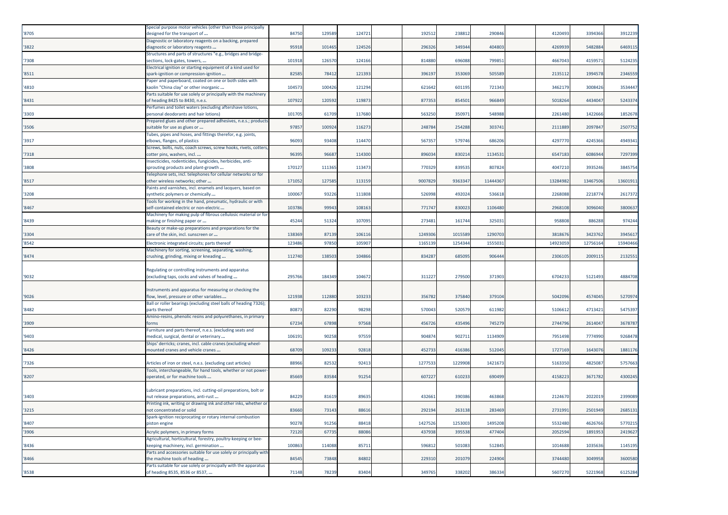| '8705 | Special purpose motor vehicles (other than those principally<br>designed for the transport of                               | 84750  | 12958  | 124721 | 192512  | 238812  | 290846   | 4120493  | 3394366  | 3912239  |
|-------|-----------------------------------------------------------------------------------------------------------------------------|--------|--------|--------|---------|---------|----------|----------|----------|----------|
| '3822 | Diagnostic or laboratory reagents on a backing, prepared<br>diagnostic or laboratory reagents                               | 95918  | 101465 | 124526 | 296326  | 349344  | 404803   | 4269939  | 5482884  | 6469115  |
| '7308 | Structures and parts of structures "e.g., bridges and bridge-<br>sections, lock-gates, towers,                              | 101918 | 126570 | 124166 | 814880  | 696088  | 799851   | 4667043  | 415957   | 5124235  |
| '8511 | Electrical ignition or starting equipment of a kind used for<br>spark-ignition or compression-ignition                      | 8258   | 7841   | 121393 | 396197  | 353069  | 50558    | 213511   | 199457   | 2346559  |
| '4810 | Paper and paperboard, coated on one or both sides with<br>aolin "China clay" or other inorganic                             | 10457  | 10042  | 121294 | 621642  | 601195  | 721343   | 3462179  | 3008426  | 3534447  |
|       | Parts suitable for use solely or principally with the machinery                                                             |        |        |        |         |         |          |          |          |          |
| '8431 | of heading 8425 to 8430, n.e.s.<br>Perfumes and toilet waters (excluding aftershave lotions,                                | 10792  | 120592 | 119873 | 877353  | 854501  | 966849   | 5018264  | 443404   | 5243374  |
| '3303 | personal deodorants and hair lotions)                                                                                       | 10170  | 61709  | 117680 | 563250  | 35097   | 548988   | 2261480  | 1422666  | 1852678  |
| '3506 | Prepared glues and other prepared adhesives, n.e.s.; products<br>suitable for use as glues or                               | 97857  | 100924 | 116273 | 248784  | 254288  | 303741   | 2111889  | 209784   | 2507752  |
| '3917 | Tubes, pipes and hoses, and fittings therefor, e.g. joints,<br>elbows, flanges, of plastics                                 | 9609   | 93408  | 114470 | 567357  | 579746  | 686206   | 4297770  | 4245366  | 4949341  |
| '7318 | Screws, bolts, nuts, coach screws, screw hooks, rivets, cotters,<br>cotter pins, washers, incl                              | 9639   | 9668   | 114300 | 896034  | 830214  | 1134531  | 6547183  | 6086944  | 7297399  |
|       | nsecticides, rodenticides, fungicides, herbicides, anti-                                                                    |        |        |        |         |         |          |          |          |          |
| '3808 | sprouting products and plant-growth<br>Telephone sets, incl. telephones for cellular networks or for                        | 17012  | 11136  | 113473 | 77032   | 839535  | 807824   | 4047210  | 3935246  | 3845754  |
| '8517 | other wireless networks; other<br>Paints and varnishes, incl. enamels and lacquers, based on                                | 171052 | 12758  | 113159 | 900782  | 9363347 | 11444367 | 13284982 | 13467506 | 13601911 |
| '3208 | wnthetic polymers or chemically                                                                                             | 10006  | 9322   | 111808 | 526998  | 492024  | 536618   | 2268088  | 221877   | 2617372  |
| '8467 | Tools for working in the hand, pneumatic, hydraulic or with<br>self-contained electric or non-electric                      | 103786 | 99943  | 108163 | 771747  | 830023  | 1106480  | 2968108  | 3096040  | 3800637  |
| '8439 | Machinery for making pulp of fibrous cellulosic material or for<br>making or finishing paper or                             | 45244  | 51324  | 107095 | 273481  | 161744  | 325031   | 958808   | 88628    | 974244   |
| '3304 | Beauty or make-up preparations and preparations for the<br>care of the skin, incl. sunscreen or                             | 138369 | 87139  | 106116 | 1249306 | 1015589 | 1290703  | 3818676  | 3423762  | 3945617  |
| '8542 | Electronic integrated circuits; parts thereof                                                                               | 123486 | 9785   | 10590  | 1165139 | 1254344 | 155503   | 1492305  | 1275616  | 15940466 |
| '8474 | Machinery for sorting, screening, separating, washing,<br>crushing, grinding, mixing or kneading                            | 112740 | 13850  | 104866 | 834287  | 68509   | 906444   | 2306105  | 200911   | 2132551  |
|       |                                                                                                                             |        |        |        |         |         |          |          |          |          |
| '9032 | Regulating or controlling instruments and apparatus<br>(excluding taps, cocks and valves of heading                         | 295766 | 184349 | 104672 | 311227  | 279500  | 371903   | 6704233  | 512149   | 4884708  |
|       | Instruments and apparatus for measuring or checking the                                                                     |        |        |        |         |         |          |          |          |          |
| '9026 | low, level, pressure or other variables                                                                                     | 121938 | 11288  | 103233 | 356782  | 375840  | 379104   | 5042096  | 4574045  | 5270974  |
| '8482 | Ball or roller bearings (excluding steel balls of heading 7326);<br>parts thereof                                           | 8087   | 82290  | 98298  | 570043  | 520579  | 611982   | 5106612  | 471342   | 5475397  |
| '3909 | Amino-resins, phenolic resins and polyurethanes, in primary<br>orms                                                         | 67234  | 6789   | 97568  | 456726  | 435496  | 745279   | 2744796  | 261404   | 3678787  |
| '9403 | Furniture and parts thereof, n.e.s. (excluding seats and<br>medical, surgical, dental or veterinary                         | 10619: | 90258  | 97559  | 904874  | 902711  | 1134909  | 7951498  | 7774990  | 9268478  |
| '8426 | Ships' derricks; cranes, incl. cable cranes (excluding wheel-<br>mounted cranes and vehicle cranes                          | 68709  | 10923  | 92818  | 452733  | 416386  | 512045   | 1727169  | 1643076  | 1881176  |
|       |                                                                                                                             |        |        |        |         |         |          |          |          |          |
| '7326 | Articles of iron or steel, n.e.s. (excluding cast articles)<br>Tools, interchangeable, for hand tools, whether or not power | 8896   | 8253   | 92413  | 127753  | 1229908 | 142167   | 516335   | 482508   | 5757663  |
| '8207 | operated, or for machine tools                                                                                              | 85669  | 83584  | 91254  | 607227  | 610233  | 690499   | 4158223  | 3671782  | 4300245  |
|       | Lubricant preparations, incl. cutting-oil preparations, bolt or                                                             |        |        |        |         |         |          |          |          |          |
| '3403 | nut release preparations, anti-rust<br>Printing ink, writing or drawing ink and other inks, whether or                      | 84229  | 81619  | 89635  | 432661  | 390386  | 463868   | 2124670  | 202201   | 2399089  |
| '3215 | not concentrated or solid                                                                                                   | 83660  | 73143  | 88616  | 292194  | 263138  | 283469   | 2731991  | 2501949  | 2685131  |
| '8407 | Spark-ignition reciprocating or rotary internal combustion<br>piston engine                                                 | 9027   | 9125   | 88418  | 142752  | 1253003 | 1495208  | 5532480  | 462676   | 5770215  |
| '3906 | Acrylic polymers, in primary forms                                                                                          | 7212   | 6773   | 8808   | 43793   | 39553   | 47740    | 205259   | 189195   | 2419627  |
| '8436 | Agricultural, horticultural, forestry, poultry-keeping or bee-<br>keeping machinery, incl. germination                      | 10086  | 114088 | 85711  | 596812  | 501083  | 512845   | 1014688  | 1035636  | 1145195  |
| '8466 | Parts and accessories suitable for use solely or principally with<br>the machine tools of heading                           | 8454   | 73848  | 84802  | 22931   | 201079  | 224904   | 3744480  | 3049958  | 3600580  |
| '8538 | Parts suitable for use solely or principally with the apparatus<br>of heading 8535, 8536 or 8537,                           | 71148  | 78239  | 83404  | 349765  | 338202  | 386334   | 5607270  | 5221968  | 6125284  |
|       |                                                                                                                             |        |        |        |         |         |          |          |          |          |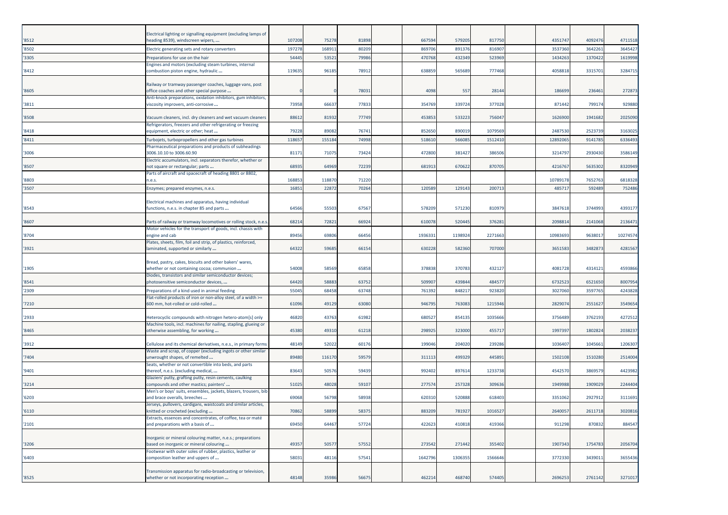|       | Electrical lighting or signalling equipment (excluding lamps of                                                             |        |        |       |         |         |         |          |         |          |
|-------|-----------------------------------------------------------------------------------------------------------------------------|--------|--------|-------|---------|---------|---------|----------|---------|----------|
| '8512 | heading 8539), windscreen wipers,                                                                                           | 107208 | 75278  | 8189  | 667594  | 579205  | 817750  | 4351747  | 409247  | 4711518  |
| '8502 | Electric generating sets and rotary converters                                                                              | 197278 | 16891  | 8020  | 869706  | 891376  | 81690   | 3537360  | 3642261 | 3645427  |
| '3305 | Preparations for use on the hair                                                                                            | 54445  | 5352   | 7998  | 470768  | 432349  | 523969  | 1434263  | 1370422 | 1619998  |
| '8412 | Engines and motors (excluding steam turbines, internal<br>combustion piston engine, hydraulic                               | 119635 | 96185  | 78912 | 638859  | 565689  | 777468  | 4058818  | 331570  | 328471   |
| '8605 | Railway or tramway passenger coaches, luggage vans, post<br>office coaches and other special purpose                        |        |        | 7803  | 4098    | 557     | 28144   | 186699   | 236461  | 272873   |
|       | Anti-knock preparations, oxidation inhibitors, gum inhibitors,                                                              |        |        |       |         |         |         |          |         |          |
| '3811 | viscosity improvers, anti-corrosive                                                                                         | 73958  | 6663   | 7783  | 354769  | 339724  | 377028  | 871442   | 79917   | 929880   |
| '8508 | Vacuum cleaners, incl. dry cleaners and wet vacuum cleaners<br>Refrigerators, freezers and other refrigerating or freezing  | 88612  | 81932  | 7774  | 453853  | 533223  | 756047  | 1626900  | 194168  | 2025090  |
| '8418 | equipment, electric or other; heat                                                                                          | 79228  | 89082  | 76741 | 852650  | 890019  | 1079569 | 2487530  | 252373  | 316302   |
| '8411 | Turbojets, turbopropellers and other gas turbines                                                                           | 118657 | 155184 | 74998 | 518610  | 56608   | 151241  | 12892065 | 9141785 | 633649   |
| '3006 | Pharmaceutical preparations and products of subheadings<br>3006.10.10 to 3006.60.90                                         | 81171  | 71075  | 7342  | 472800  | 381427  | 386506  | 3214797  | 2930430 | 3586149  |
| '8507 | Electric accumulators, incl. separators therefor, whether or<br>not square or rectangular; parts                            | 68935  | 64969  | 7223  | 681913  | 670622  | 870705  | 4216767  | 5635302 | 8320949  |
| '8803 | Parts of aircraft and spacecraft of heading 8801 or 8802,<br>n.e.s.                                                         | 168853 | 118870 | 7122  |         |         |         | 10789178 | 765276  | 6818328  |
| '3507 | Enzymes; prepared enzymes, n.e.s.                                                                                           | 1685   | 2287   | 7026  | 120589  | 12914   | 200713  | 485717   | 592489  | 752486   |
|       |                                                                                                                             |        |        |       |         |         |         |          |         |          |
| '8543 | Electrical machines and apparatus, having individual<br>unctions, n.e.s. in chapter 85 and parts                            | 64566  | 55503  | 6756  | 578209  | 571230  | 810979  | 3847618  | 3744993 | 439317   |
| '8607 | Parts of railway or tramway locomotives or rolling stock, n.e.s                                                             | 68214  | 7282   | 6692  | 61007   | 52044   | 376281  | 209881   | 2141068 | 213647   |
| '8704 | Motor vehicles for the transport of goods, incl. chassis with<br>engine and cab                                             | 89456  | 69806  | 66456 | 1936331 | 1198924 | 2271663 | 10983693 | 9638017 | 10274574 |
| '3921 | Plates, sheets, film, foil and strip, of plastics, reinforced,<br>laminated, supported or similarly                         | 64322  | 59685  | 66154 | 630228  | 582360  | 707000  | 3651583  | 3482873 | 4281567  |
|       | Bread, pastry, cakes, biscuits and other bakers' wares,                                                                     |        |        |       |         |         |         |          |         |          |
| '1905 | whether or not containing cocoa; communion                                                                                  | 54008  | 58569  | 6585  | 378838  | 370783  | 432127  | 4081728  | 431412  | 4593866  |
| '8541 | Diodes, transistors and similar semiconductor devices;<br>photosensitive semiconductor devices,                             | 64420  | 58883  | 6375  | 509907  | 439844  | 484577  | 6732523  | 6521650 | 8007954  |
| '2309 | Preparations of a kind used in animal feeding                                                                               | 55045  | 68458  | 63748 | 761392  | 84821   | 923820  | 3027060  | 359776  | 4243828  |
|       | Flat-rolled products of iron or non-alloy steel, of a width >=                                                              |        |        |       |         |         |         |          |         |          |
| '7210 | 600 mm, hot-rolled or cold-rolled                                                                                           | 61096  | 49129  | 6308  | 946795  | 76308   | 1215946 | 282907   | 255162  | 3549654  |
| '2933 | Heterocyclic compounds with nitrogen hetero-atom[s] only<br>Machine tools, incl. machines for nailing, stapling, glueing or | 46820  | 43763  | 6198  | 68052   | 854135  | 1035666 | 3756489  | 376219  | 427251   |
| '8465 | otherwise assembling, for working                                                                                           | 45380  | 49310  | 61218 | 298925  | 323000  | 455717  | 1997397  | 1802824 | 2038237  |
| '3912 | Cellulose and its chemical derivatives, n.e.s., in primary forms                                                            | 48149  | 52022  | 60176 | 199046  | 204020  | 239286  | 1036407  | 1045661 | 1206307  |
| '7404 | Waste and scrap, of copper (excluding ingots or other similar<br>unwrought shapes, of remelted                              | 89480  | 116170 | 5957  | 311113  | 499329  | 445891  | 1502108  | 1510280 | 2514004  |
| '9401 | Seats, whether or not convertible into beds, and parts<br>thereof, n.e.s. (excluding medical,                               | 83643  | 5057   | 5943  | 992402  | 897614  | 1233738 | 4542570  | 386957  | 4423982  |
| '3214 | Glaziers' putty, grafting putty, resin cements, caulking<br>compounds and other mastics; painters'                          | 51025  | 48028  | 5910  | 277574  | 257328  | 309636  | 1949988  | 1909029 | 2244404  |
| '6203 | Men's or boys' suits, ensembles, jackets, blazers, trousers, bib<br>and brace overalls, breeches                            | 69068  | 56798  | 58938 | 620310  | 52088   | 618403  | 3351062  | 292791  | 3111691  |
| '6110 | Jerseys, pullovers, cardigans, waistcoats and similar articles,<br>knitted or crocheted (excluding                          | 70862  | 58899  | 58375 | 883209  | 781927  | 1016527 | 2640057  | 2611718 | 3020816  |
|       | Extracts, essences and concentrates, of coffee, tea or maté                                                                 |        |        |       |         |         |         |          |         |          |
| '2101 | and preparations with a basis of                                                                                            | 69450  | 64467  | 5772  | 422623  | 410818  | 419366  | 911298   | 870832  | 884547   |
| '3206 | Inorganic or mineral colouring matter, n.e.s.; preparations<br>based on inorganic or mineral colouring                      | 49357  | 5057   | 57552 | 273542  | 271442  | 355402  | 1907343  | 1754783 | 2056704  |
|       | Footwear with outer soles of rubber, plastics, leather or                                                                   |        |        |       |         |         |         |          |         |          |
| '6403 | composition leather and uppers of                                                                                           | 58031  | 48116  | 57541 | 1642796 | 1306355 | 1566646 | 3772330  | 3439011 | 3655436  |
| '8525 | Transmission apparatus for radio-broadcasting or television,<br>whether or not incorporating reception                      | 48148  | 35986  | 5667  | 462214  | 468740  | 574405  | 2696253  | 2761142 | 3271017  |
|       |                                                                                                                             |        |        |       |         |         |         |          |         |          |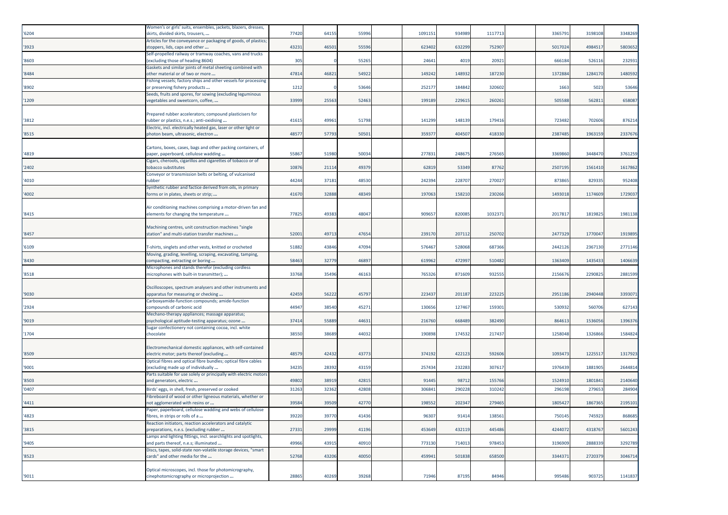| '6204 | Women's or girls' suits, ensembles, jackets, blazers, dresses,<br>skirts, divided skirts, trousers,      | 77420 | 64155 | 5599  | 1091151 | 934989 | 111771 | 3365791 | 3198108 | 3348269 |
|-------|----------------------------------------------------------------------------------------------------------|-------|-------|-------|---------|--------|--------|---------|---------|---------|
| '3923 | Articles for the conveyance or packaging of goods, of plastics;<br>stoppers, lids, caps and other        | 43231 | 4650  | 5559  | 623402  | 632299 | 752907 | 5017024 | 4984517 | 5803652 |
| '8603 | Self-propelled railway or tramway coaches, vans and trucks<br>(excluding those of heading 8604)          | 305   |       | 55265 | 24641   | 4019   | 20921  | 666184  | 526116  | 23293   |
| '8484 | Gaskets and similar joints of metal sheeting combined with<br>other material or of two or more           | 47814 | 46821 | 54922 | 149242  | 148932 | 187230 | 1372884 | 1284170 | 1480592 |
| '8902 | Fishing vessels; factory ships and other vessels for processing<br>or preserving fishery products        | 1212  |       | 53646 | 252177  | 184842 | 320602 | 1663    | 5023    | 53646   |
| '1209 | Seeds, fruits and spores, for sowing (excluding leguminous<br>vegetables and sweetcorn, coffee,          | 33999 | 25563 | 52463 | 199189  | 229615 | 260261 | 505588  | 56281   | 658087  |
| '3812 | Prepared rubber accelerators; compound plasticisers for<br>rubber or plastics, n.e.s.; anti-oxidising    | 41615 | 4996: | 5179  | 141299  | 148139 | 17941  | 723482  | 70260   | 87621   |
| '8515 | Electric, incl. electrically heated gas, laser or other light or<br>photon beam, ultrasonic, electron    | 48577 | 57793 | 50501 | 359377  | 404507 | 418330 | 2387485 | 1963159 | 233767  |
|       |                                                                                                          |       |       |       |         |        |        |         |         |         |
| '4819 | Cartons, boxes, cases, bags and other packing containers, of<br>paper, paperboard, cellulose wadding     | 55867 | 51980 | 5003  | 277831  | 248675 | 276565 | 336986  | 344847  | 3761259 |
| '2402 | Cigars, cheroots, cigarillos and cigarettes of tobacco or of<br>tobacco substitutes                      | 10876 | 21114 | 4937  | 62819   | 53349  | 87762  | 2507195 | 1561410 | 1617862 |
| '4010 | Conveyor or transmission belts or belting, of vulcanised<br>rubber                                       | 44244 | 3718  | 4853  | 242394  | 228707 | 270027 | 873865  | 829335  | 952408  |
| '4002 | Synthetic rubber and factice derived from oils, in primary<br>forms or in plates, sheets or strip;       | 41670 | 32888 | 48349 | 197063  | 158210 | 230266 | 1493018 | 1174609 | 1729037 |
|       |                                                                                                          |       |       |       |         |        |        |         |         |         |
| '8415 | Air conditioning machines comprising a motor-driven fan and<br>elements for changing the temperature     | 77825 | 4938  | 4804  | 909657  | 820085 | 103237 | 201781  | 1819825 | 1981138 |
| '8457 | Machining centres, unit construction machines "single<br>station" and multi-station transfer machines    | 5200  | 4971  | 4765  | 23917   | 20711  | 25070  | 2477329 | 177004  | 1919895 |
| '6109 | F-shirts, singlets and other vests, knitted or crocheted                                                 | 51882 | 4384  | 47094 | 576467  | 528068 | 687366 | 2442126 | 2367130 | 2771146 |
| '8430 | Moving, grading, levelling, scraping, excavating, tamping,<br>compacting, extracting or boring           | 58463 | 32779 | 4689  | 619962  | 472997 | 510482 | 1363409 | 143543  | 1406639 |
| '8518 | Microphones and stands therefor (excluding cordless<br>microphones with built-in transmitter);           | 33768 | 35496 | 4616  | 765326  | 871609 | 932555 | 2156676 | 2290825 | 288159  |
|       |                                                                                                          |       |       |       |         |        |        |         |         |         |
| '9030 | Oscilloscopes, spectrum analysers and other instruments and<br>apparatus for measuring or checking       | 42459 | 56222 | 45797 | 223437  | 201187 | 223225 | 2951186 | 2940448 | 339307  |
| '2924 | Carboxyamide-function compounds; amide-function<br>compounds of carbonic acid                            | 44947 | 38540 | 4527  | 130656  | 127467 | 15930  | 530932  | 56070   | 62714   |
| '9019 | Mechano-therapy appliances; massage apparatus;<br>psychological aptitude-testing apparatus; ozone        | 37414 | 55889 | 44631 | 216760  | 668489 | 382490 | 864613  | 1536056 | 139637  |
| '1704 | Sugar confectionery not containing cocoa, incl. white<br>chocolate                                       | 38550 | 38689 | 44032 | 190898  | 174532 | 217437 | 1258048 | 1326866 | 1584824 |
|       |                                                                                                          |       |       |       |         |        |        |         |         |         |
| '8509 | Electromechanical domestic appliances, with self-contained<br>electric motor; parts thereof (excluding   | 48579 | 42432 | 43773 | 374192  | 422123 | 592606 | 1093473 | 122551  | 1317923 |
| '9001 | Optical fibres and optical fibre bundles; optical fibre cables<br>(excluding made up of individually     | 34235 | 2839  | 4315  | 257434  | 232283 | 30761  | 1976439 | 1881905 | 264481  |
| '8503 | Parts suitable for use solely or principally with electric motors<br>and generators, electric            | 49802 | 38919 | 42815 | 91445   | 98712  | 155766 | 1524910 | 180184  | 2140640 |
| '0407 | Birds' eggs, in shell, fresh, preserved or cooked                                                        | 31263 | 3236  | 4280  | 30684   | 290228 | 310242 | 29619   | 27965   | 284904  |
| '4411 | Fibreboard of wood or other ligneous materials, whether or<br>not agglomerated with resins or            | 39584 | 39509 | 42770 | 198552  | 202347 | 279465 | 1805427 | 1867365 | 2195101 |
| '4823 | Paper, paperboard, cellulose wadding and webs of cellulose<br>fibres, in strips or rolls of a            | 39220 | 39770 | 41436 | 96307   | 91414  | 138561 | 750145  | 745923  | 868685  |
| '3815 | Reaction initiators, reaction accelerators and catalytic<br>preparations, n.e.s. (excluding rubber       | 27331 | 29999 | 41196 | 453649  | 432119 | 445486 | 4244072 | 4318767 | 5601243 |
| '9405 | Lamps and lighting fittings, incl. searchlights and spotlights,<br>and parts thereof, n.e.s; illuminated | 49966 | 43915 | 40910 | 773130  | 714013 | 978453 | 3196909 | 2888339 | 3292789 |
| '8523 | Discs, tapes, solid-state non-volatile storage devices, "smart<br>cards" and other media for the         | 52768 | 43206 | 40050 | 459941  | 501838 | 658500 | 3344371 | 2720379 | 3046714 |
|       | Optical microscopes, incl. those for photomicrography,                                                   |       |       |       |         |        |        |         |         |         |
| '9011 | cinephotomicrography or microprojection                                                                  | 28865 | 40269 | 39268 | 71946   | 87195  | 84946  | 995486  | 903725  | 1141837 |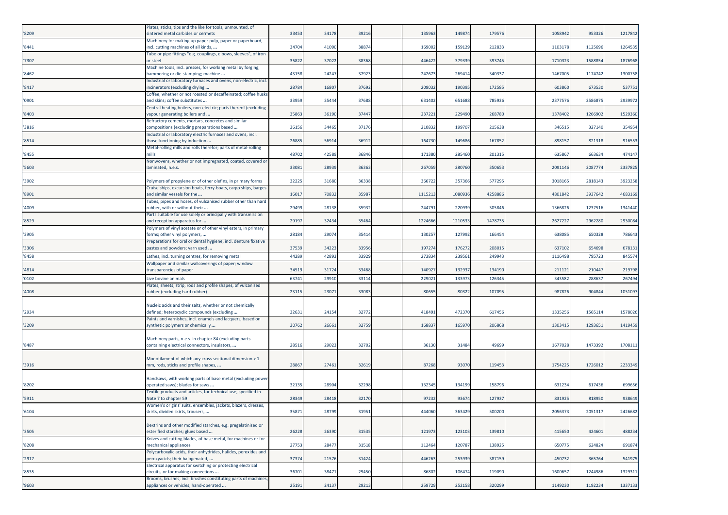| '8209 | Plates, sticks, tips and the like for tools, unmounted, of<br>intered metal carbides or cermets         | 3345  | 34178 | 39216 | 135963  | 149874  | 179576  | 105894  | 953326  | 1217842 |
|-------|---------------------------------------------------------------------------------------------------------|-------|-------|-------|---------|---------|---------|---------|---------|---------|
| '8441 | Machinery for making up paper pulp, paper or paperboard,<br>ncl. cutting machines of all kinds,         | 34704 | 4109  | 38874 | 169002  | 159129  | 212833  | 1103178 | 1125696 | 1264535 |
| '7307 | Tube or pipe fittings "e.g. couplings, elbows, sleeves", of iron<br>or steel                            | 35822 | 37022 | 38368 | 446422  | 379339  | 393745  | 1710323 | 158885  | 1876968 |
| '8462 | Machine tools, incl. presses, for working metal by forging,<br>nammering or die-stamping; machine       | 43158 | 24247 | 37923 | 242673  | 269414  | 340337  | 1467005 | 1174742 | 1300758 |
| '8417 | Industrial or laboratory furnaces and ovens, non-electric, incl.<br>ncinerators (excluding drying       | 28784 | 1680  | 37692 | 209032  | 190395  | 172585  | 603860  | 673530  | 537751  |
| '0901 | Coffee, whether or not roasted or decaffeinated; coffee husks<br>and skins; coffee substitutes          | 33959 | 3544  | 37688 | 631402  | 651688  | 785936  | 237757  | 258687  | 2939972 |
| '8403 | Central heating boilers, non-electric; parts thereof (excluding<br>vapour generating boilers and        | 3586  | 3619  | 37447 | 237221  | 229490  | 268780  | 1378402 | 126690  | 1529360 |
| '3816 | Refractory cements, mortars, concretes and similar<br>compositions (excluding preparations based        | 36156 | 34465 | 37176 | 210832  | 199707  | 215638  | 346515  | 327140  | 354954  |
| '8514 | Industrial or laboratory electric furnaces and ovens, incl.<br>those functioning by induction           | 2688  | 56914 | 36912 | 164730  | 149686  | 167852  | 898157  | 821318  | 916553  |
| '8455 | Metal-rolling mills and rolls therefor; parts of metal-rolling<br>mills                                 | 48702 | 42589 | 36846 | 171380  | 285460  | 201315  | 635867  | 663634  | 474147  |
| '5603 | Nonwovens, whether or not impregnated, coated, covered or<br>laminated, n.e.s.                          | 3308  | 28939 | 36363 | 267059  | 280760  | 350653  | 2091146 | 208777  | 2337825 |
| '3902 | Polymers of propylene or of other olefins, in primary forms                                             | 3222  | 31680 | 36338 | 366722  | 357366  | 577295  | 3018165 | 281814  | 3923258 |
| '8901 | Cruise ships, excursion boats, ferry-boats, cargo ships, barges<br>and similar vessels for the          | 1601  | 7083  | 35987 | 111521  | 1080936 | 4258886 | 4801842 | 393764  | 4683169 |
| '4009 | Tubes, pipes and hoses, of vulcanised rubber other than hard<br>ubber, with or without their            | 29499 | 28138 | 35932 | 244791  | 220939  | 305846  | 1366826 | 123751  | 1341440 |
| '8529 | Parts suitable for use solely or principally with transmission<br>and reception apparatus for           | 29197 | 32434 | 35464 | 1224666 | 1210533 | 147873  | 262722  | 296228  | 2930084 |
| '3905 | Polymers of vinyl acetate or of other vinyl esters, in primary<br>forms; other vinyl polymers,          | 28184 | 29074 | 35414 | 130257  | 127992  | 166454  | 638085  | 650328  | 786643  |
| '3306 | Preparations for oral or dental hygiene, incl. denture fixative<br>pastes and powders; yarn used        | 37539 | 34223 | 33956 | 197274  | 176272  | 208015  | 637102  | 654698  | 678131  |
| '8458 | athes, incl. turning centres, for removing metal                                                        | 44289 | 4289  | 33929 | 273834  | 23956   | 24994   | 111649  | 79572   | 845574  |
| '4814 | Wallpaper and similar wallcoverings of paper; window<br>transparencies of paper                         | 34519 | 31724 | 33468 | 140927  | 132937  | 134190  | 211121  | 21044   | 219798  |
| '0102 | ive bovine animals.                                                                                     | 63741 | 2991  | 3311  | 229021  | 133973  | 126345  | 343582  | 28863   | 267494  |
| '4008 | Plates, sheets, strip, rods and profile shapes, of vulcanised<br>rubber (excluding hard rubber)         | 2311  | 2307  | 33083 | 80655   | 80322   | 107095  | 987826  | 904844  | 1051097 |
| '2934 | Nucleic acids and their salts, whether or not chemically<br>defined; heterocyclic compounds (excluding  | 3263  | 24154 | 32772 | 418491  | 472370  | 617456  | 1335256 | 156511  | 1578026 |
| '3209 | Paints and varnishes, incl. enamels and lacquers, based on<br>synthetic polymers or chemically          | 30762 | 26661 | 32759 | 168837  | 165970  | 206868  | 1303415 | 129365  | 1419459 |
| '8487 | Machinery parts, n.e.s. in chapter 84 (excluding parts<br>containing electrical connectors, insulators, | 28516 | 29023 | 32702 | 36130   | 31484   | 49699   | 1677028 | 1473392 | 1708111 |
|       | Monofilament of which any cross-sectional dimension > 1                                                 |       |       |       |         |         |         |         |         |         |
| '3916 | mm, rods, sticks and profile shapes,                                                                    | 28867 | 27461 | 32619 | 87268   | 93070   | 119453  | 1754225 | 1726012 | 2233349 |
| '8202 | Handsaws, with working parts of base metal (excluding power-<br>operated saws); blades for saws         | 32135 | 28904 | 32298 | 132345  | 134199  | 158796  | 631234  | 617436  | 699656  |
| '5911 | Fextile products and articles, for technical use, specified in<br>Note 7 to chapter 59                  | 28349 | 28418 | 32170 | 97232   | 93674   | 127937  | 831925  | 818950  | 938649  |
| '6104 | Women's or girls' suits, ensembles, jackets, blazers, dresses,<br>kirts, divided skirts, trousers,      | 35871 | 28799 | 31951 | 444060  | 363429  | 500200  | 2056373 | 2051317 | 2426682 |
| '3505 | Dextrins and other modified starches, e.g. pregelatinised or<br>esterified starches; glues based        | 26228 | 26390 | 31535 | 121973  | 123103  | 139810  | 415650  | 424601  | 488234  |
| '8208 | Knives and cutting blades, of base metal, for machines or for<br>mechanical appliances                  | 27753 | 28477 | 31518 | 112464  | 120787  | 138925  | 650775  | 624824  | 691874  |
| '2917 | Polycarboxylic acids, their anhydrides, halides, peroxides and<br>peroxyacids; their halogenated,       | 37374 | 2157  | 31424 | 446263  | 253939  | 387159  | 450732  | 365764  | 541975  |
| '8535 | Electrical apparatus for switching or protecting electrical<br>circuits, or for making connections      | 36701 | 3847  | 29450 | 86802   | 106474  | 119090  | 1600657 | 1244986 | 1329311 |
| '9603 | Brooms, brushes, incl. brushes constituting parts of machines,<br>appliances or vehicles, hand-operated | 25191 | 24137 | 29213 | 259729  | 252158  | 320299  | 1149230 | 1192234 | 1337133 |
|       |                                                                                                         |       |       |       |         |         |         |         |         |         |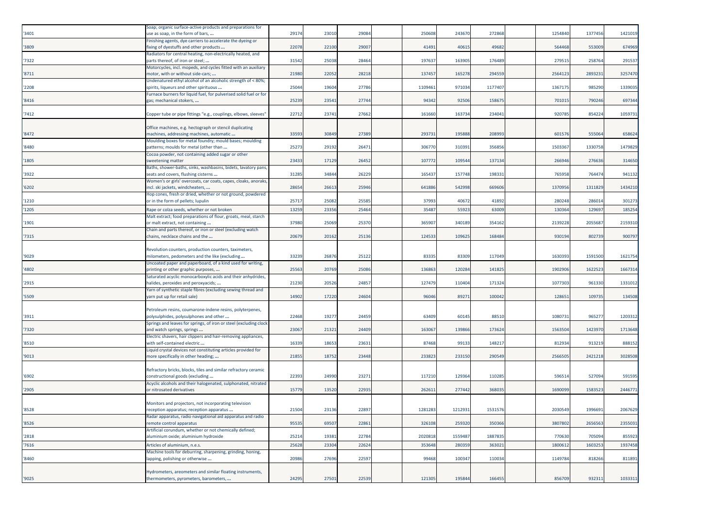| '3401 | Soap; organic surface-active products and preparations for<br>use as soap, in the form of bars,         | 29174 | 23010 | 29084 | 250608  | 243670  | 272868  | 1254840 | 1377456 | 1421019 |
|-------|---------------------------------------------------------------------------------------------------------|-------|-------|-------|---------|---------|---------|---------|---------|---------|
| '3809 | Finishing agents, dye carriers to accelerate the dyeing or<br>fixing of dyestuffs and other products    | 22078 | 22100 | 29007 | 41491   | 40615   | 49682   | 564468  | 553009  | 674969  |
| '7322 | Radiators for central heating, non-electrically heated, and<br>parts thereof, of iron or steel;         | 31542 | 25038 | 28464 | 19763   | 163905  | 176489  | 279515  | 25876   | 291537  |
| '8711 | Motorcycles, incl. mopeds, and cycles fitted with an auxiliary<br>motor, with or without side-cars;     | 21980 | 22052 | 28218 | 137457  | 165278  | 294559  | 2564123 | 289323  | 3257470 |
| '2208 | Undenatured ethyl alcohol of an alcoholic strength of < 80%;<br>spirits, liqueurs and other spirituous  | 25044 | 19604 | 27786 | 1109461 | 971034  | 1177407 | 1367175 | 985290  | 1339035 |
| '8416 | Furnace burners for liquid fuel, for pulverised solid fuel or for<br>gas; mechanical stokers,           | 25239 | 23541 | 27744 | 94342   | 92506   | 158675  | 701015  | 790246  | 697344  |
| '7412 | Copper tube or pipe fittings "e.g., couplings, elbows, sleeves"                                         | 22712 | 23741 | 27662 | 161660  | 163734  | 234041  | 920785  | 854224  | 1059731 |
|       | Office machines, e.g. hectograph or stencil duplicating                                                 |       |       |       |         |         |         |         |         |         |
| '8472 | machines, addressing machines, automatic                                                                | 33593 | 30849 | 27389 | 29373   | 195888  | 208993  | 601576  | 55506   | 658624  |
| '8480 | Moulding boxes for metal foundry; mould bases; moulding<br>patterns; moulds for metal (other than       | 25273 | 29192 | 26471 | 30677   | 310391  | 356856  | 1503367 | 1330758 | 1479829 |
| '1805 | Cocoa powder, not containing added sugar or other<br>sweetening matter                                  | 23433 | 17129 | 26452 | 10777   | 109544  | 137134  | 266946  | 276636  | 314650  |
| '3922 | Baths, shower-baths, sinks, washbasins, bidets, lavatory pans,<br>seats and covers, flushing cisterns   | 31285 | 34844 | 26229 | 165437  | 157748  | 198331  | 765958  | 764474  | 941132  |
| '6202 | Women's or girls' overcoats, car coats, capes, cloaks, anoraks,<br>incl. ski jackets, windcheaters,     | 28654 | 26613 | 25946 | 64188   | 542998  | 669606  | 1370956 | 1311829 | 1434210 |
| '1210 | Hop cones, fresh or dried, whether or not ground, powdered<br>or in the form of pellets; lupulin        | 25717 | 25082 | 25585 | 37993   | 40672   | 41892   | 280248  | 286014  | 301273  |
| '1205 | Rape or colza seeds, whether or not broken                                                              | 13259 | 23356 | 25464 | 3548    | 55923   | 63009   | 130364  | 12969   | 185254  |
| '1901 | Malt extract; food preparations of flour, groats, meal, starch<br>or malt extract, not containing       | 37980 | 25069 | 25370 | 36590   | 340189  | 354162  | 2139228 | 205568  | 2159310 |
| '7315 | Chain and parts thereof, or iron or steel (excluding watch<br>chains, necklace chains and the           | 20679 | 20162 | 25136 | 12453   | 109625  | 168484  | 930194  | 802739  | 900797  |
|       |                                                                                                         |       |       |       |         |         |         |         |         |         |
| '9029 | Revolution counters, production counters, taximeters,<br>milometers, pedometers and the like (excluding | 33239 | 26876 | 25122 | 8333    | 83309   | 117049  | 1630393 | 1591500 | 1621754 |
| '4802 | Uncoated paper and paperboard, of a kind used for writing,<br>printing or other graphic purposes,       | 25563 | 20769 | 25086 | 136863  | 120284  | 141825  | 1902906 | 162252  | 1667314 |
| '2915 | Saturated acyclic monocarboxylic acids and their anhydrides,<br>halides, peroxides and peroxyacids;     | 21230 | 20526 | 24857 | 127479  | 110404  | 171324  | 1077303 | 961330  | 1331012 |
| '5509 | Yarn of synthetic staple fibres (excluding sewing thread and<br>yarn put up for retail sale)            | 14902 | 17220 | 24604 | 9604    | 89271   | 100042  | 128651  | 109735  | 134508  |
|       |                                                                                                         |       |       |       |         |         |         |         |         |         |
| '3911 | Petroleum resins, coumarone-indene resins, polyterpenes,<br>polysulphides, polysulphones and other      | 22468 | 19277 | 24459 | 63409   | 60145   | 88510   | 1080731 | 965277  | 1203312 |
| '7320 | Springs and leaves for springs, of iron or steel (excluding clock<br>and watch springs, springs         | 23067 | 21321 | 24409 | 163067  | 139866  | 173624  | 1563504 | 1423970 | 1713648 |
| '8510 | Electric shavers, hair clippers and hair-removing appliances,<br>with self-contained electric           | 16339 | 18653 | 23631 | 87468   | 99133   | 148217  | 812934  | 91321   | 888152  |
| '9013 | Liquid crystal devices not constituting articles provided for<br>more specifically in other heading;    | 21855 | 18752 | 23448 | 23382   | 233150  | 290549  | 2566505 | 2421218 | 3028508 |
|       | Refractory bricks, blocks, tiles and similar refractory ceramic                                         |       |       |       |         |         |         |         |         |         |
| '6902 | constructional goods (excluding                                                                         | 22393 | 24990 | 23271 | 117210  | 129364  | 110285  | 596514  | 527094  | 591595  |
| '2905 | Acyclic alcohols and their halogenated, sulphonated, nitrated<br>or nitrosated derivatives              | 15779 | 13520 | 22935 | 26261   | 277442  | 368035  | 1690099 | 158352  | 2446771 |
|       | Monitors and projectors, not incorporating television                                                   |       |       |       |         |         |         |         |         |         |
| '8528 | reception apparatus; reception apparatus                                                                | 21504 | 23136 | 22897 | 1281283 | 1212931 | 1531576 | 2030549 | 1996691 | 2067629 |
| '8526 | Radar apparatus, radio navigational aid apparatus and radio<br>emote control apparatus                  | 95535 | 69507 | 22861 | 326108  | 259320  | 350366  | 3807802 | 265656  | 2355031 |
| '2818 | Artificial corundum, whether or not chemically defined;<br>aluminium oxide; aluminium hydroxide         | 25214 | 19381 | 22784 | 202081  | 1559487 | 1887835 | 770630  | 705094  | 855923  |
| '7616 | Articles of aluminium, n.e.s.                                                                           | 25628 | 23304 | 22624 | 353648  | 28035   | 363021  | 1800612 | 160325  | 1937458 |
| '8460 | Machine tools for deburring, sharpening, grinding, honing,<br>lapping, polishing or otherwise           | 20986 | 27696 | 22597 | 99468   | 100347  | 110034  | 1149784 | 818266  | 811891  |
|       | Hydrometers, areometers and similar floating instruments,                                               |       |       |       |         |         |         |         |         |         |
| '9025 | thermometers, pyrometers, barometers,                                                                   | 24295 | 27501 | 22539 | 121305  | 195844  | 166455  | 856709  | 932311  | 1033311 |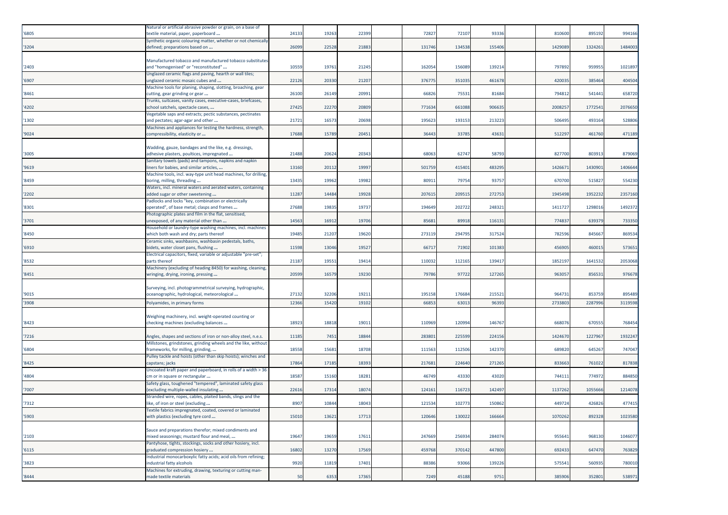|       | Natural or artificial abrasive powder or grain, on a base of    |       |       |       |        |        |        |         |         |         |
|-------|-----------------------------------------------------------------|-------|-------|-------|--------|--------|--------|---------|---------|---------|
| '6805 | textile material, paper, paperboard                             | 24133 | 19263 | 22399 | 72827  | 72107  | 93336  | 810600  | 895192  | 994166  |
|       | Synthetic organic colouring matter, whether or not chemically   |       |       |       |        |        |        |         |         |         |
| '3204 | defined; preparations based on                                  | 26099 | 22528 | 21883 | 131746 | 134538 | 155406 | 1429089 | 132426  | 1484003 |
|       |                                                                 |       |       |       |        |        |        |         |         |         |
|       | Manufactured tobacco and manufactured tobacco substitutes       |       |       |       |        |        |        |         |         |         |
| '2403 | and "homogenised" or "reconstituted"                            | 10559 | 19761 | 21245 | 162054 | 156089 | 139214 | 797892  | 95995   | 1021897 |
|       | Unglazed ceramic flags and paving, hearth or wall tiles;        |       |       |       |        |        |        |         |         |         |
| '6907 | unglazed ceramic mosaic cubes and                               | 22126 | 20330 | 21207 | 376775 | 351035 | 461678 | 420035  | 385464  | 404504  |
|       | Machine tools for planing, shaping, slotting, broaching, gear   |       |       |       |        |        |        |         |         |         |
| '8461 | cutting, gear grinding or gear                                  | 26100 | 26149 | 2099: | 66826  | 7553   | 81684  | 794812  | 54144   | 658720  |
|       | Trunks, suitcases, vanity cases, executive-cases, briefcases,   |       |       |       |        |        |        |         |         |         |
| '4202 | school satchels, spectacle cases,                               | 27425 | 22270 | 20809 | 77163  | 661088 | 906635 | 200825  | 177254  | 2076650 |
|       | Vegetable saps and extracts; pectic substances, pectinates      |       |       |       |        |        |        |         |         |         |
| '1302 | and pectates; agar-agar and other                               | 21721 | 1657  | 20698 | 19562  | 193153 | 213223 | 506495  | 49316   | 528806  |
|       | Machines and appliances for testing the hardness, strength,     |       |       |       |        |        |        |         |         |         |
| '9024 | compressibility, elasticity or                                  | 17688 | 15789 | 20451 | 36443  | 33785  | 43631  | 512297  | 461760  | 471189  |
|       |                                                                 |       |       |       |        |        |        |         |         |         |
|       | Wadding, gauze, bandages and the like, e.g. dressings,          |       |       |       |        |        |        |         |         |         |
| '3005 | adhesive plasters, poultices, impregnated                       | 21488 | 20624 | 20343 | 6806   | 62747  | 58793  | 827700  | 80391   | 879069  |
|       | Sanitary towels (pads) and tampons, napkins and napkin          |       |       |       |        |        |        |         |         |         |
| '9619 | iners for babies, and similar articles,                         | 13160 | 20112 | 19997 | 501759 | 415401 | 483295 | 142667  | 143090  | 1406644 |
|       | Machine tools, incl. way-type unit head machines, for drilling, |       |       |       |        |        |        |         |         |         |
| '8459 | boring, milling, threading                                      | 13435 | 19962 | 1998  | 8091   | 79754  | 9375   | 670700  | 51582   | 554230  |
|       | Waters, incl. mineral waters and aerated waters, containing     |       |       |       |        |        |        |         |         |         |
| '2202 | added sugar or other sweetening                                 | 11287 | 14484 | 19928 | 20761  | 209515 | 27275  | 1945498 | 195223  | 2357160 |
|       | Padlocks and locks "key, combination or electrically            |       |       |       |        |        |        |         |         |         |
| '8301 | operated", of base metal; clasps and frames                     | 27688 | 19835 | 19737 | 194649 | 202722 | 248321 | 1411727 | 1298016 | 1492372 |
|       | Photographic plates and film in the flat, sensitised,           |       |       |       |        |        |        |         |         |         |
| '3701 | unexposed, of any material other than                           | 14563 | 16912 | 19706 | 8568   | 89918  | 116131 | 774837  | 63937   | 733350  |
|       | Household or laundry-type washing machines, incl. machines      |       |       |       |        |        |        |         |         |         |
| '8450 | which both wash and dry; parts thereof                          | 19485 | 21207 | 19620 | 27311  | 29479  | 317524 | 782596  | 84566   | 869534  |
|       | Ceramic sinks, washbasins, washbasin pedestals, baths,          |       |       |       |        |        |        |         |         |         |
| '6910 | bidets, water closet pans, flushing                             | 11598 | 13046 | 19527 | 6671   | 71902  | 101383 | 456905  | 46001   | 573651  |
|       | Electrical capacitors, fixed, variable or adjustable "pre-set"; |       |       |       |        |        |        |         |         |         |
| '8532 | parts thereof                                                   | 21187 | 1955  | 19414 | 110032 | 112165 | 139417 | 1852197 | 164153  | 2053068 |
|       | Machinery (excluding of heading 8450) for washing, cleaning,    |       |       |       |        |        |        |         |         |         |
| '8451 | wringing, drying, ironing, pressing                             | 20599 | 16579 | 19230 | 79786  | 97722  | 127265 | 963057  | 85653   | 976678  |
|       |                                                                 |       |       |       |        |        |        |         |         |         |
|       | Surveying, incl. photogrammetrical surveying, hydrographic,     |       |       |       |        |        |        |         |         |         |
| '9015 | oceanographic, hydrological, meteorological                     | 27132 | 32206 | 19211 | 195158 | 176684 | 215521 | 964731  | 85375   | 895489  |
|       |                                                                 |       | 15420 | 1910  |        |        |        |         |         |         |
| '3908 | Polyamides, in primary forms                                    | 12366 |       |       | 6685   | 6301   | 96393  | 2733803 | 228799  | 3119598 |
|       |                                                                 |       |       |       |        |        |        |         |         |         |
| '8423 | Weighing machinery, incl. weight-operated counting or           | 18923 | 18818 | 1901: | 110969 | 120994 | 146767 | 668076  | 67055   | 768454  |
|       | checking machines (excluding balances                           |       |       |       |        |        |        |         |         |         |
|       |                                                                 |       |       |       |        |        |        |         |         |         |
| '7216 | Angles, shapes and sections of iron or non-alloy steel, n.e.s.  | 11185 | 7451  | 18844 | 28380  | 22559  | 224156 | 142467  | 122796  | 1932247 |
|       | Millstones, grindstones, grinding wheels and the like, without  |       |       |       |        |        |        |         |         |         |
| '6804 | frameworks, for milling, grinding,                              | 18558 | 15681 | 18708 | 111563 | 112506 | 142370 | 689820  | 645267  | 747047  |
|       | Pulley tackle and hoists (other than skip hoists); winches and  |       |       |       |        |        | 271265 |         |         |         |
| '8425 | capstans; jacks                                                 | 17864 | 17185 | 18393 | 217681 | 224640 |        | 833663  | 761022  | 817838  |
|       | Uncoated kraft paper and paperboard, in rolls of a width > 36   |       |       |       |        |        |        |         |         |         |
| '4804 | cm or in square or rectangular                                  | 18587 | 15160 | 18281 | 46749  | 43330  | 43020  | 744111  | 774972  | 884850  |
|       | Safety glass, toughened "tempered", laminated safety glass      |       |       |       |        |        |        |         |         |         |
| '7007 | excluding multiple-walled insulating                            | 22616 | 17314 | 18074 | 12416  | 116723 | 142497 | 1137262 | 105566  | 1214078 |
|       | Stranded wire, ropes, cables, plaited bands, slings and the     |       |       |       |        |        |        |         |         |         |
| '7312 | like, of iron or steel (excluding                               | 8907  | 1084  | 18043 | 121534 | 102773 | 150862 | 449724  | 426826  | 477415  |
|       | Textile fabrics impregnated, coated, covered or laminated       |       |       |       |        |        |        |         |         |         |
| '5903 | with plastics (excluding tyre cord                              | 15010 | 13621 | 17713 | 120646 | 130022 | 166664 | 1070262 | 892328  | 1023580 |
|       |                                                                 |       |       |       |        |        |        |         |         |         |
|       | Sauce and preparations therefor; mixed condiments and           |       |       |       |        |        |        |         |         |         |
| '2103 | mixed seasonings; mustard flour and meal,                       | 19647 | 19659 | 17611 | 247669 | 256934 | 284074 | 955641  | 968130  | 1046077 |
|       | Pantyhose, tights, stockings, socks and other hosiery, incl.    |       |       |       |        |        |        |         |         |         |
| '6115 | graduated compression hosiery                                   | 16802 | 13270 | 17569 | 459768 | 370142 | 447800 | 692433  | 647470  | 763829  |
|       | Industrial monocarboxylic fatty acids; acid oils from refining; |       |       |       |        |        |        |         |         |         |
| '3823 | industrial fatty alcohols                                       | 9920  | 11819 | 17401 | 88386  | 93066  | 139226 | 575541  | 560935  | 780010  |
|       | Machines for extruding, drawing, texturing or cutting man-      |       |       |       |        |        |        |         |         |         |
| '8444 | made textile materials                                          | 50    | 6353  | 17365 | 7249   | 45188  | 9751   | 385906  | 352801  | 538971  |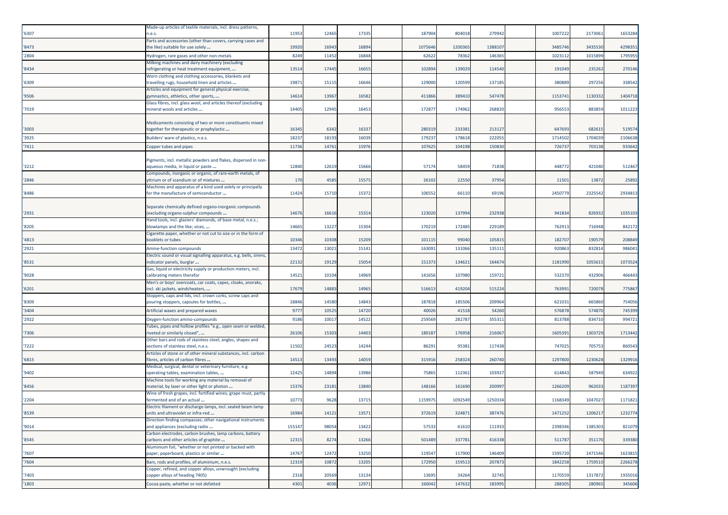|       | Made-up articles of textile materials, incl. dress patterns,                                          |        |       |       |        |        |         |         |         |         |
|-------|-------------------------------------------------------------------------------------------------------|--------|-------|-------|--------|--------|---------|---------|---------|---------|
| '6307 | n.e.s.<br>Parts and accessories (other than covers, carrying cases and                                | 11953  | 12465 | 17335 | 187904 | 804018 | 279942  | 1007222 | 2173061 | 1653284 |
| '8473 | the like) suitable for use solely                                                                     | 19920  | 16943 | 16894 | 107564 | 120036 | 138810  | 3485746 | 3435530 | 429835  |
| '2804 | Hydrogen, rare gases and other non-metals                                                             | 8249   | 11452 | 16848 | 62622  | 78362  | 146365  | 1023112 | 1015899 | 1795955 |
|       | Milking machines and dairy machinery (excluding                                                       |        |       |       |        |        |         |         |         |         |
| '8434 | refrigerating or heat treatment equipment,                                                            | 13514  | 17445 | 16655 | 102894 | 139029 | 114540  | 191049  | 235262  | 270146  |
| '6309 | Worn clothing and clothing accessories, blankets and<br>travelling rugs, household linen and articles | 1987   | 15115 | 16646 | 129000 | 120599 | 137185  | 380889  | 297256  | 338542  |
|       | Articles and equipment for general physical exercise,                                                 |        |       |       |        |        |         |         |         |         |
| '9506 | gymnastics, athletics, other sports,                                                                  | 1461   | 13967 | 16582 | 41186  | 389410 | 547478  | 115374  | 1130332 | 1404718 |
| '7019 | Glass fibres, incl. glass wool, and articles thereof (excluding                                       | 14405  | 12945 | 16453 | 17287  | 174962 | 268820  | 956553  | 883859  | 101122  |
|       | mineral wools and articles                                                                            |        |       |       |        |        |         |         |         |         |
|       | Medicaments consisting of two or more constituents mixed                                              |        |       |       |        |        |         |         |         |         |
| '3003 | together for therapeutic or prophylactic                                                              | 16345  | 6342  | 16337 | 28031  | 233381 | 21312   | 647693  | 68261   | 519574  |
| '3925 | Builders' ware of plastics, n.e.s.                                                                    | 1823   | 18193 | 16039 | 17923  | 17861  | 22205   | 171450  | 170403  | 2106638 |
| '7411 | Copper tubes and pipes                                                                                | 11736  | 14761 | 15976 | 107625 | 104198 | 150830  | 726737  | 703138  | 933642  |
|       | Pigments, incl. metallic powders and flakes, dispersed in non-                                        |        |       |       |        |        |         |         |         |         |
| '3212 | aqueous media, in liquid or paste                                                                     | 12840  | 12619 | 15666 | 5717   | 58459  | 71838   | 448772  | 421040  | 512467  |
|       | Compounds, inorganic or organic, of rare-earth metals, of                                             |        |       |       |        |        |         |         |         |         |
| '2846 | ttrium or of scandium or of mixtures                                                                  | 170    | 4585  | 1557  | 2610   | 22550  | 3795    | 1150    | 1387    | 2589    |
| '8486 | Machines and apparatus of a kind used solely or principally<br>for the manufacture of semiconductor   | 11424  | 15710 | 15372 | 10655  | 66110  | 69196   | 2450779 | 2325542 | 2934813 |
|       |                                                                                                       |        |       |       |        |        |         |         |         |         |
|       | Separate chemically defined organo-inorganic compounds                                                |        |       |       |        |        |         |         |         |         |
| '2931 | excluding organo-sulphur compounds                                                                    | 14676  | 16616 | 15314 | 12302  | 13799  | 232938  | 941834  | 82693   | 1035103 |
| '8205 | Hand tools, incl. glaziers' diamonds, of base metal, n.e.s.;<br>blowlamps and the like; vices,        | 14665  | 13227 | 15304 | 17021  | 172485 | 229189  | 762913  | 716948  | 842172  |
|       | Cigarette paper, whether or not cut to size or in the form of                                         |        |       |       |        |        |         |         |         |         |
| '4813 | booklets or tubes                                                                                     | 10346  | 10308 | 15209 | 101115 | 99040  | 105815  | 182707  | 190579  | 208849  |
| '2921 | Amine-function compounds                                                                              | 13472  | 13021 | 15141 | 16309  | 13106  | 13511   | 920863  | 832814  | 98604   |
|       | Electric sound or visual signalling apparatus, e.g. bells, sirens,                                    |        |       |       |        |        |         |         |         |         |
| '8531 | ndicator panels, burglar<br>Gas, liquid or electricity supply or production meters, incl.             | 22132  | 19129 | 15054 | 15137  | 134621 | 16467   | 1181990 | 105561  | 1073524 |
| '9028 | calibrating meters therefor                                                                           | 14521  | 10104 | 14969 | 14165  | 107980 | 15972   | 532370  | 432906  | 466443  |
|       | Men's or boys' overcoats, car coats, capes, cloaks, anoraks,                                          |        |       |       |        |        |         |         |         |         |
| '6201 | ncl. ski jackets, windcheaters,                                                                       | 17679  | 14883 | 14965 | 51661  | 419204 | 51522   | 76399:  | 720078  | 77586   |
| '8309 | Stoppers, caps and lids, incl. crown corks, screw caps and<br>pouring stoppers, capsules for bottles, | 18846  | 14580 | 14843 | 187818 | 185506 | 209964  | 621031  | 665860  | 754056  |
| '3404 | Artificial waxes and prepared waxes                                                                   | 9777   | 10525 | 14720 | 4002   | 4151   | 54260   | 576878  | 57487   | 745399  |
| '2922 | Oxygen-function amino-compounds                                                                       | 9186   | 10017 | 14522 | 25956  | 28278  | 35531   | 813788  | 83471   | 994721  |
|       | Tubes, pipes and hollow profiles "e.g., open seam or welded,                                          |        |       |       |        |        |         |         |         |         |
| '7306 | riveted or similarly closed",                                                                         | 26106  | 15303 | 14403 | 18018  | 176958 | 216067  | 160539: | 130372  | 1713442 |
|       | Other bars and rods of stainless steel; angles, shapes and                                            |        |       |       |        |        |         |         |         |         |
| '7222 | sections of stainless steel, n.e.s.<br>Articles of stone or of other mineral substances, incl. carbon | 11502  | 24523 | 14244 | 8629   | 95381  | 117438  | 747025  | 705753  | 86054   |
| '6815 | ibres, articles of carbon fibres                                                                      | 14513  | 13493 | 14059 | 31591  | 258324 | 260740  | 1297800 | 1230628 | 1329916 |
|       | Medical, surgical, dental or veterinary furniture, e.g.                                               |        |       |       |        |        |         |         |         |         |
| '9402 | operating tables, examination tables,                                                                 | 12425  | 14894 | 13986 | 7586   | 112361 | 103927  | 614843  | 587949  | 634922  |
| '8456 | Machine tools for working any material by removal of<br>material, by laser or other light or photon   | 15376  | 23181 | 13840 | 14816  | 161690 | 200997  | 1266209 | 96203   | 1187397 |
|       | Wine of fresh grapes, incl. fortified wines; grape must, partly                                       |        |       |       |        |        |         |         |         |         |
| '2204 | ermented and of an actual                                                                             | 10773  | 9628  | 13715 | 115997 | 109254 | 1250334 | 1168349 | 1047027 | 1171821 |
|       | Electric filament or discharge lamps, incl. sealed beam lamp                                          | 16984  |       |       |        |        |         |         | 1206217 | 1232774 |
| '8539 | inits and ultraviolet or infra-red<br>Direction finding compasses; other navigational instruments     |        | 14121 | 13571 | 3/2619 | 324871 | 387476  | 14/1252 |         |         |
| '9014 | and appliances (excluding radio                                                                       | 155147 | 98054 | 13422 | 57533  | 61610  | 111933  | 2398346 | 1385303 | 821079  |
|       | Carbon electrodes, carbon brushes, lamp carbons, battery                                              |        |       |       |        |        |         |         |         |         |
| '8545 | carbons and other articles of graphite<br>Aluminium foil, "whether or not printed or backed with      | 12315  | 8274  | 13266 | 501489 | 337781 | 416338  | 511787  | 351170  | 339380  |
| '7607 | paper, paperboard, plastics or similar                                                                | 14767  | 12472 | 13250 | 119547 | 117900 | 146409  | 1595720 | 1471546 | 1623815 |
| '7604 | Bars, rods and profiles, of aluminium, n.e.s.                                                         | 12319  | 10872 | 13205 | 172950 | 159513 | 207873  | 1842258 | 1759510 | 2266278 |
|       | Copper, refined, and copper alloys, unwrought (excluding                                              |        |       |       |        |        |         |         |         |         |
| '7403 | copper alloys of heading 7405)                                                                        | 2318   | 20569 | 13134 | 13695  | 34264  | 32745   | 1170559 | 1317872 | 1935016 |
| '1803 | Cocoa paste, whether or not defatted                                                                  | 4301   | 4036  | 12971 | 160042 | 147632 | 183995  | 288305  | 280965  | 345606  |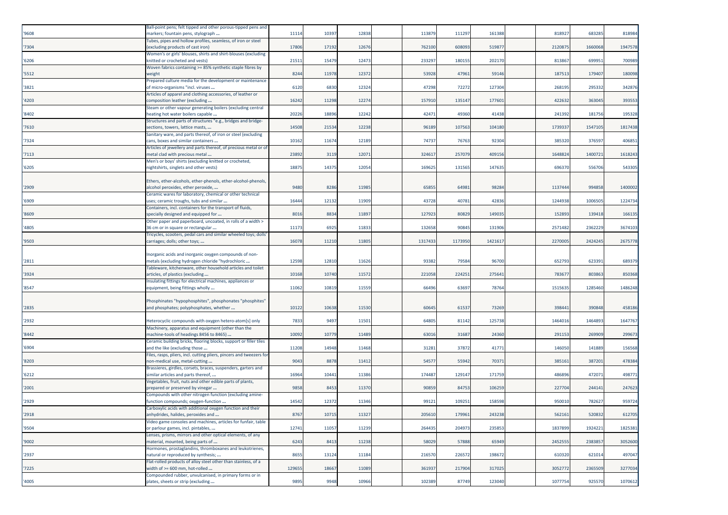| '9608 | Ball-point pens; felt tipped and other porous-tipped pens and<br>markers; fountain pens, stylograph          | 11114  | 10397 | 12838 | 113879  | 111297  | 161388  | 818927  | 683285  | 818984  |
|-------|--------------------------------------------------------------------------------------------------------------|--------|-------|-------|---------|---------|---------|---------|---------|---------|
| '7304 | Tubes, pipes and hollow profiles, seamless, of iron or steel<br>excluding products of cast iron)             | 17806  | 17192 | 12676 | 762100  | 608093  | 51987   | 2120875 | 1660068 | 1947578 |
|       | Women's or girls' blouses, shirts and shirt-blouses (excluding                                               |        |       |       |         |         |         |         |         |         |
| '6206 | knitted or crocheted and vests)<br>Woven fabrics containing >= 85% synthetic staple fibres by                | 21511  | 15479 | 12473 | 23329   | 180155  | 202170  | 813867  | 69995   | 700989  |
| '5512 | weight                                                                                                       | 8244   | 11978 | 12372 | 53928   | 47961   | 59146   | 187513  | 17940   | 180098  |
| '3821 | Prepared culture media for the development or maintenance<br>of micro-organisms "incl. viruses               | 6120   | 6830  | 12324 | 47298   | 72272   | 127304  | 268195  | 29533   | 342876  |
| '4203 | Articles of apparel and clothing accessories, of leather or                                                  | 16242  | 11298 | 12274 | 157910  | 135147  | 17760   | 422632  | 363045  | 393553  |
|       | composition leather (excluding<br>Steam or other vapour generating boilers (excluding central                |        |       |       |         |         |         |         |         |         |
| '8402 | heating hot water boilers capable<br>Structures and parts of structures "e.g., bridges and bridge-           | 20226  | 18896 | 12242 | 42471   | 49360   | 41438   | 241392  | 181756  | 195328  |
| '7610 | sections, towers, lattice masts,                                                                             | 14508  | 21534 | 12238 | 96189   | 107563  | 104180  | 1739337 | 1547105 | 1817438 |
| '7324 | Sanitary ware, and parts thereof, of iron or steel (excluding<br>cans, boxes and similar containers          | 10162  | 11674 | 12189 | 7473    | 76763   | 92304   | 385320  | 37659   | 406851  |
|       | Articles of jewellery and parts thereof, of precious metal or of                                             |        |       |       |         |         |         |         |         |         |
| '7113 | metal clad with precious metal<br>Men's or boys' shirts (excluding knitted or crocheted,                     | 23892  | 3119  | 12071 | 32461   | 257079  | 409156  | 1648824 | 140072  | 1618243 |
| '6205 | nightshirts, singlets and other vests)                                                                       | 18875  | 14375 | 12054 | 169625  | 131565  | 147635  | 696370  | 556706  | 543305  |
|       | Ethers, ether-alcohols, ether-phenols, ether-alcohol-phenols,                                                |        |       |       |         |         |         |         |         |         |
| '2909 | alcohol peroxides, ether peroxide,                                                                           | 948    | 8286  | 11985 | 6585    | 64981   | 98284   | 1137444 | 994858  | 1400002 |
| '6909 | Ceramic wares for laboratory, chemical or other technical<br>uses; ceramic troughs, tubs and similar         | 16444  | 12132 | 11909 | 43728   | 40781   | 42836   | 1244938 | 100650  | 1224734 |
| '8609 | Containers, incl. containers for the transport of fluids,<br>specially designed and equipped for             | 8016   | 8834  | 11897 | 127923  | 80829   | 149035  | 152893  | 139418  | 166135  |
|       | Other paper and paperboard, uncoated, in rolls of a width >                                                  |        |       |       |         |         |         |         |         |         |
| '4805 | 36 cm or in square or rectangular<br>Tricycles, scooters, pedal cars and similar wheeled toys; dolls         | 11173  | 6925  | 11833 | 132658  | 90845   | 131906  | 2571482 | 2362229 | 3674103 |
| '9503 | carriages; dolls; other toys;                                                                                | 16078  | 11210 | 11805 | 1317433 | 1173950 | 1421617 | 2270005 | 2424245 | 2675778 |
|       | Inorganic acids and inorganic oxygen compounds of non-                                                       |        |       |       |         |         |         |         |         |         |
| '2811 | metals (excluding hydrogen chloride "hydrochloric                                                            | 12598  | 12810 | 11626 | 93382   | 79584   | 96700   | 652793  | 623391  | 689379  |
| '3924 | Tableware, kitchenware, other household articles and toilet<br>articles, of plastics (excluding              | 10168  | 10740 | 11572 | 221058  | 224251  | 27564   | 783677  | 80386   | 850368  |
|       | Insulating fittings for electrical machines, appliances or                                                   |        |       |       |         |         |         |         |         |         |
| '8547 | equipment, being fittings wholly                                                                             | 11062  | 10819 | 11559 | 66496   | 63697   | 78764   | 1515635 | 1285460 | 1486248 |
| '2835 | Phosphinates "hypophosphites", phosphonates "phosphites'<br>and phosphates; polyphosphates, whether          | 10122  | 10638 | 11530 | 60645   | 61537   | 73269   | 398441  | 390848  | 458186  |
|       |                                                                                                              |        |       |       |         |         |         |         |         |         |
| '2932 | Heterocyclic compounds with oxygen hetero-atom[s] only<br>Machinery, apparatus and equipment (other than the | 7833   | 9497  | 11501 | 64805   | 81142   | 125738  | 1464016 | 1464893 | 1647767 |
| '8442 | machine-tools of headings 8456 to 8465)                                                                      | 10092  | 10779 | 11489 | 63016   | 31687   | 24360   | 291153  | 269909  | 299673  |
| '6904 | Ceramic building bricks, flooring blocks, support or filler tiles<br>and the like (excluding those           | 11208  | 14948 | 11468 | 31281   | 37872   | 41771   | 146050  | 141889  | 156568  |
|       | Files, rasps, pliers, incl. cutting pliers, pincers and tweezers for                                         |        |       |       |         |         |         |         |         |         |
| '8203 | non-medical use, metal-cutting<br>Brassieres, girdles, corsets, braces, suspenders, garters and              | 9043   | 8878  | 11412 | 5457    | 55942   | 7037    | 385161  | 387201  | 478384  |
| '6212 | similar articles and parts thereof,                                                                          | 16964  | 10441 | 11386 | 174487  | 129147  | 171759  | 486896  | 47207   | 498771  |
| '2001 | Vegetables, fruit, nuts and other edible parts of plants,<br>prepared or preserved by vinegar                | 9858   | 8453  | 11370 | 90859   | 84753   | 106259  | 227704  | 244141  | 247623  |
| '2929 | Compounds with other nitrogen function (excluding amine-<br>function compounds; oxygen-function              | 14542  | 12372 | 11346 | 9912:   | 109251  | 158598  | 950010  | 782627  | 959724  |
|       | Carboxylic acids with additional oxygen function and their                                                   |        |       |       |         |         |         |         |         |         |
| '2918 | anhydrides, halides, peroxides and<br>Video game consoles and machines, articles for funfair, table          | 8767   | 10715 | 11327 | 205610  | 179961  | 243238  | 562161  | 520832  | 612705  |
| '9504 | or parlour games, incl. pintables,                                                                           | 12741  | 11057 | 11239 | 264435  | 204973  | 235853  | 1837899 | 1924221 | 1825381 |
| '9002 | Lenses, prisms, mirrors and other optical elements, of any<br>material, mounted, being parts of              | 6243   | 8413  | 11238 | 58029   | 57888   | 65949   | 2452555 | 2383857 | 3052600 |
|       | Hormones, prostaglandins, thromboxanes and leukotrienes,                                                     |        |       |       |         |         |         |         |         |         |
| '2937 | natural or reproduced by synthesis;<br>Flat-rolled products of alloy steel other than stainless, of a        | 8655   | 13124 | 11184 | 216570  | 226572  | 198672  | 610320  | 621014  | 497047  |
| '7225 | width of >= 600 mm, hot-rolled                                                                               | 129655 | 18667 | 11089 | 361937  | 217904  | 317025  | 3052772 | 2365509 | 3277034 |
| '4005 | Compounded rubber, unvulcanised, in primary forms or in<br>plates, sheets or strip (excluding                | 9895   | 9948  | 10966 | 102389  | 87749   | 123040  | 1077754 | 925570  | 1070612 |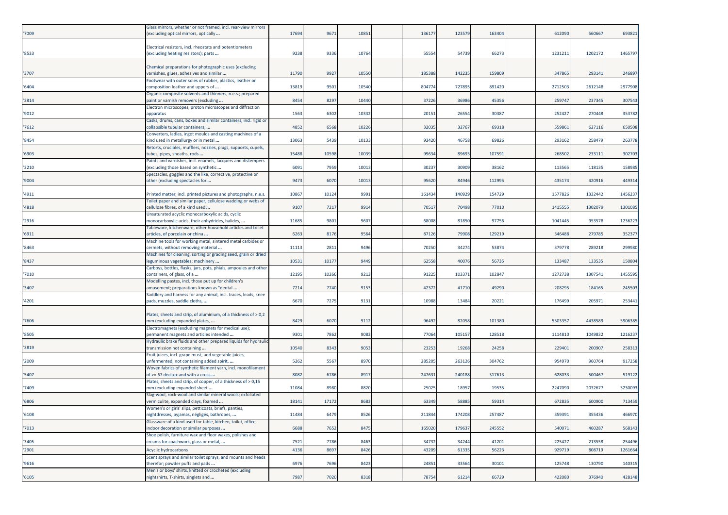| '7009 | Glass mirrors, whether or not framed, incl. rear-view mirrors<br>excluding optical mirrors, optically                          | 17694 | 9671  | 10851 | 13617  | 123579 | 163404 | 612090  | 560667  | 693821  |
|-------|--------------------------------------------------------------------------------------------------------------------------------|-------|-------|-------|--------|--------|--------|---------|---------|---------|
| '8533 | Electrical resistors, incl. rheostats and potentiometers<br>excluding heating resistors); parts                                | 9238  | 9336  | 10764 | 5555   | 54739  | 66273  | 1231211 | 1202172 | 1465797 |
| '3707 | Chemical preparations for photographic uses (excluding<br>varnishes, glues, adhesives and similar                              | 11790 | 9927  | 10550 | 18538  | 142235 | 15980  | 347865  | 29314   | 246897  |
| '6404 | Footwear with outer soles of rubber, plastics, leather or<br>composition leather and uppers of                                 | 13819 | 9501  | 10540 | 804774 | 727895 | 891420 | 2712503 | 2612148 | 2977908 |
| '3814 | Organic composite solvents and thinners, n.e.s.; prepared<br>paint or varnish removers (excluding                              | 8454  | 8297  | 10440 | 3722   | 36986  | 45356  | 259747  | 237345  | 307543  |
| '9012 | Electron microscopes, proton microscopes and diffraction<br>apparatus                                                          | 1563  | 6302  | 10332 | 2015:  | 26554  | 30387  | 252427  | 270448  | 353782  |
| '7612 | Casks, drums, cans, boxes and similar containers, incl. rigid or<br>collapsible tubular containers,                            | 4852  | 6568  | 10226 | 32035  | 32767  | 69318  | 55986   | 627116  | 650508  |
| '8454 | Converters, ladles, ingot moulds and casting machines of a<br>kind used in metallurgy or in metal                              | 13063 | 5439  | 10133 | 93420  | 46758  | 69826  | 293162  | 258479  | 263778  |
|       | Retorts, crucibles, mufflers, nozzles, plugs, supports, cupels,                                                                |       |       |       |        |        |        |         |         |         |
| '6903 | tubes, pipes, sheaths, rods<br>Paints and varnishes, incl. enamels, lacquers and distempers                                    | 15488 | 10598 | 10039 | 9963   | 89693  | 107591 | 268502  | 233111  | 302703  |
| '3210 | excluding those based on synthetic<br>Spectacles, goggles and the like, corrective, protective or                              | 6091  | 7959  | 10013 | 3023   | 30909  | 38162  | 113565  | 118135  | 158985  |
| '9004 | other (excluding spectacles for                                                                                                | 9473  | 6070  | 10013 | 9562   | 84946  | 112995 | 435174  | 420916  | 449314  |
| '4911 | Printed matter, incl. printed pictures and photographs, n.e.s.<br>Toilet paper and similar paper, cellulose wadding or webs of | 10867 | 10124 | 9991  | 16143  | 140929 | 154729 | 1577826 | 1332442 | 1456237 |
| '4818 | cellulose fibres, of a kind used                                                                                               | 9107  | 7217  | 9914  | 7051   | 70498  | 77010  | 1415555 | 1302079 | 1301085 |
| '2916 | Unsaturated acyclic monocarboxylic acids, cyclic<br>monocarboxylic acids, their anhydrides, halides,                           | 1168  | 9801  | 9607  | 6800   | 81850  | 97756  | 1041445 | 953578  | 123622  |
| '6911 | Tableware, kitchenware, other household articles and toilet<br>articles, of porcelain or china                                 | 6263  | 8176  | 9564  | 8712   | 79908  | 129219 | 346488  | 279785  | 352377  |
| '8463 | Machine tools for working metal, sintered metal carbides or<br>cermets, without removing material                              | 11113 | 2811  | 9496  | 70250  | 34274  | 53874  | 379778  | 289218  | 29998   |
| '8437 | Machines for cleaning, sorting or grading seed, grain or dried<br>leguminous vegetables; machinery                             | 10531 | 10177 | 9449  | 6255   | 40076  | 56735  | 133487  | 133535  | 150804  |
| '7010 | Carboys, bottles, flasks, jars, pots, phials, ampoules and other<br>containers, of glass, of a                                 | 12195 | 10266 | 9213  | 9122   | 103371 | 102847 | 1272738 | 130754  | 1455595 |
| '3407 | Modelling pastes, incl. those put up for children's<br>amusement; preparations known as "dental                                | 7214  | 7740  | 9153  | 4237   | 41710  | 49290  | 208295  | 184165  | 245503  |
| '4201 | Saddlery and harness for any animal, incl. traces, leads, knee<br>pads, muzzles, saddle cloths,                                | 6670  | 7275  | 9131  | 1098   | 13484  | 20221  | 176499  | 20597   | 25344   |
| '7606 | Plates, sheets and strip, of aluminium, of a thickness of > 0,2<br>mm (excluding expanded plates,                              | 8429  | 6070  | 9112  | 96492  | 82058  | 101380 | 5503357 | 443858  | 590638  |
|       | Electromagnets (excluding magnets for medical use);                                                                            | 9301  | 7862  | 9083  | 77064  | 105157 | 128518 | 1114810 | 1049832 | 1216237 |
| '8505 | permanent magnets and articles intended<br>Hydraulic brake fluids and other prepared liquids for hydraulic                     |       |       |       |        |        |        |         |         |         |
| '3819 | transmission not containing<br>Fruit juices, incl. grape must, and vegetable juices,                                           | 10540 | 8343  | 9053  | 2325   | 19268  | 24258  | 22940   | 20090   | 25831   |
| '2009 | unfermented, not containing added spirit,<br>Woven fabrics of synthetic filament yarn, incl. monofilament                      | 5262  | 5567  | 8970  | 28520  | 263126 | 304762 | 954970  | 96076   | 917258  |
| '5407 | of >= 67 decitex and with a cross<br>Plates, sheets and strip, of copper, of a thickness of > 0,15                             | 8082  | 6786  | 8917  | 24763  | 240188 | 317613 | 628033  | 500467  | 519122  |
| '7409 | mm (excluding expanded sheet<br>Slag-wool, rock-wool and similar mineral wools; exfoliated                                     | 1108  | 8980  | 8820  | 2502   | 18957  | 19535  | 2247090 | 203267  | 323009  |
| '6806 | vermiculite, expanded clays, foamed                                                                                            | 18141 | 17172 | 8683  | 63349  | 58885  | 59314  | 672835  | 600900  | 713459  |
| '6108 | Women's or girls' slips, petticoats, briefs, panties,<br>nightdresses, pyjamas, négligés, bathrobes,                           | 11484 | 6479  | 8526  | 211844 | 174208 | 257487 | 359391  | 355436  | 466970  |
| '7013 | Glassware of a kind used for table, kitchen, toilet, office,<br>ndoor decoration or similar purposes                           | 6688  | 7652  | 8475  | 165020 | 179637 | 245552 | 540071  | 460287  | 568143  |
| '3405 | Shoe polish, furniture wax and floor waxes, polishes and<br>creams for coachwork, glass or metal,                              | 7521  | 7786  | 8463  | 34732  | 34244  | 41201  | 225427  | 213558  | 254496  |
| '2901 | Acyclic hydrocarbons                                                                                                           | 4136  | 8697  | 8426  | 43209  | 61335  | 56223  | 929719  | 808719  | 1261664 |
| '9616 | Scent sprays and similar toilet sprays, and mounts and heads<br>therefor; powder puffs and pads                                | 6976  | 7696  | 8423  | 24851  | 33564  | 30101  | 125748  | 130790  | 140315  |
| 16105 | Men's or boys' shirts, knitted or crocheted (excluding<br>nightshirts, T-shirts, singlets and                                  | 7987  | 7020  | 8318  | 78754  | 61214  | 66729  | 422080  | 376940  | 428148  |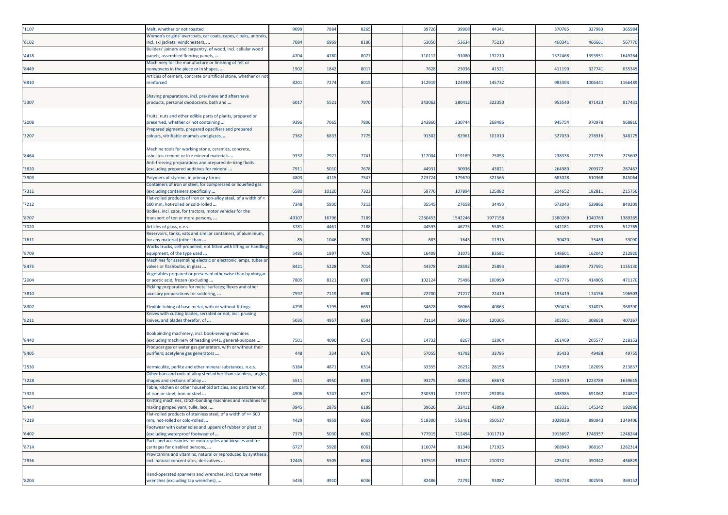| '1107          | Malt, whether or not roasted                                                                                                                                              | 9099         | 7884         | 8265         | 39726           | 39908           | 44341          | 370785           | 327983         | 365984           |
|----------------|---------------------------------------------------------------------------------------------------------------------------------------------------------------------------|--------------|--------------|--------------|-----------------|-----------------|----------------|------------------|----------------|------------------|
| '6102          | Women's or girls' overcoats, car coats, capes, cloaks, anoraks<br>incl. ski jackets, windcheaters,                                                                        | 7084         | 6969         | 8180         | 53050           | 53634           | 75213          | 460341           | 46666          | 567770           |
| '4418          | Builders' joinery and carpentry, of wood, incl. cellular wood<br>panels, assembled flooring panels,                                                                       | 4704         | 4780         | 8077         | 110112          | 91080           | 132210         | 1372468          | 139395:        | 1649264          |
| '8449          | Machinery for the manufacture or finishing of felt or<br>nonwovens in the piece or in shapes,                                                                             | 1902         | 1842         | 801          | 7628            | 23036           | 41521          | 411190           | 32774          | 63534            |
| '6810          | Articles of cement, concrete or artificial stone, whether or not<br>reinforced                                                                                            | 8201         | 7274         | 8015         | 112919          | 124930          | 145732         | 983393           | 1006441        | 1166489          |
| '3307          | Shaving preparations, incl. pre-shave and aftershave<br>products, personal deodorants, bath and                                                                           | 6017         | 5521         | 7970         | 343062          | 280412          | 322350         | 953540           | 871423         | 91743            |
| '2008          | Fruits, nuts and other edible parts of plants, prepared or<br>preserved, whether or not containing                                                                        | 9396         | 7065         | 7806         | 243860          | 23074           | 268486         | 94575            | 97097          | 968810           |
| '3207          | Prepared pigments, prepared opacifiers and prepared<br>colours, vitrifiable enamels and glazes,                                                                           | 7362         | 6833         | 7775         | 91302           | 8296            | 101010         | 327030           | 278916         | 348175           |
| '8464          | Machine tools for working stone, ceramics, concrete,<br>asbestos-cement or like mineral materials                                                                         | 9332         | 792          | 7741         | 112004          | 119189          | 75053          | 238338           | 21773          | 275602           |
|                | Anti-freezing preparations and prepared de-icing fluids                                                                                                                   |              |              |              |                 |                 |                |                  |                |                  |
| '3820<br>'3903 | (excluding prepared additives for mineral<br>Polymers of styrene, in primary forms                                                                                        | 7911<br>4803 | 5010<br>4115 | 7678<br>7547 | 44931<br>223724 | 30936<br>179670 | 43821<br>32156 | 264980<br>683028 | 20937<br>61036 | 287467<br>845064 |
| '7311          | Containers of iron or steel, for compressed or liquefied gas<br>excluding containers specifically                                                                         | 6580         | 10120        | 7323         | 69776           | 10789           | 125082         | 214652           | 18281          | 215756           |
| '7212          | Flat-rolled products of iron or non-alloy steel, of a width of <<br>600 mm, hot-rolled or cold-rolled                                                                     | 7348         | 5930         | 721          | 35545           | 27658           | 34493          | 672043           | 629866         | 849209           |
| '8707          | Bodies, incl. cabs, for tractors, motor vehicles for the<br>transport of ten or more persons,                                                                             | 49107        | 16796        | 7189         | 2260453         | 1542246         | 1977158        | 1380269          | 1040763        | 1389285          |
| '7020          | Articles of glass, n.e.s.                                                                                                                                                 | 378          | 446          | 7188         | 4459            | 4677            | 55051          | 54218            | 47233          | 51276            |
| '7611          | Reservoirs, tanks, vats and similar containers, of aluminium,<br>for any material (other than                                                                             | 85           | 1046         | 7087         | 683             | 1645            | 11915          | 30420            | 35489          | 33090            |
| '8709          | Works trucks, self-propelled, not fitted with lifting or handling<br>equipment, of the type used                                                                          | 5485         | 1897         | 7026         | 16409           | 3107            | 83581          | 14860            | 16204          | 212920           |
| '8475          | Machines for assembling electric or electronic lamps, tubes or<br>valves or flashbulbs, in glass                                                                          | 8421         | 5228         | 7014         | 44378           | 28592           | 25893          | 568399           | 737591         | 1135130          |
| '2004          | Vegetables prepared or preserved otherwise than by vinegar<br>or acetic acid, frozen (excluding                                                                           | 7805         | 8321         | 698          | 102124          | 75496           | 100999         | 427776           | 414905         | 471170           |
| '3810          | Pickling preparations for metal surfaces; fluxes and other<br>auxiliary preparations for soldering,                                                                       | 7597         | 7119         | 6980         | 22700           | 2121            | 22419          | 19341            | 174156         | 196503           |
| '8307          | Flexible tubing of base metal, with or without fittings                                                                                                                   | 4798         | 5195         | 665          | 34628           | 36066           | 40863          | 350416           | 31407          | 368390           |
| '8211          | Knives with cutting blades, serrated or not, incl. pruning<br>knives, and blades therefor, of                                                                             | 5035         | 4957         | 6584         | 71114           | 59814           | 120305         | 305591           | 308659         | 407267           |
| '8440          | Bookbinding machinery, incl. book-sewing machines<br>(excluding machinery of heading 8441, general-purpose<br>Producer gas or water gas generators, with or without their | 7501         | 4090         | 6543         | 14732           | 8267            | 12064          | 261469           | 20557          | 218153           |
| '8405          | purifiers; acetylene gas generators                                                                                                                                       | 448          | 334          | 6376         | 57055           | 41792           | 33785          | 35433            | 49488          | 49755            |
| '2530          | Vermiculite, perlite and other mineral substances, n.e.s.                                                                                                                 | 6184         | 4871         | 6314         | 33355           | 26232           | 28156          | 174359           | 18269          | 213837           |
| '7228          | Other bars and rods of alloy steel other than stainless, angles<br>shapes and sections of alloy                                                                           | 5511         | 4950         | 6305         | 93275           | 60818           | 68678          | 1418519          | 122378         | 163961           |
| '7323          | Table, kitchen or other household articles, and parts thereof,<br>of iron or steel; iron or steel                                                                         | 4906         | 5747         | 627          | 230391          | 27197           | 292094         | 638985           | 691062         | 824827           |
| '8447          | Knitting machines, stitch-bonding machines and machines for<br>making gimped yarn, tulle, lace,                                                                           | 3945         | 2879         | 6189         | 39626           | 3241:           | 43099          | 163321           | 145242         | 192986           |
| '7219          | lat-rolled products of stainless steel, of a width of >= 600<br>mm, hot-rolled or cold-rolled                                                                             | 4429         | 4959         | 6069         | 518300          | 552461          | 850537         | 1028039          | 890943         | 1349406          |
| 16402          | Footwear with outer soles and uppers of rubber or plastics<br>excluding waterproof footwear of                                                                            | 7379         | 5030         | 6062         | 777915          | 712494          | 1011710        | 1913697          | 1748357        | 2248244          |
| '8714          | Parts and accessories for motorcycles and bicycles and for<br>carriages for disabled persons,                                                                             | 6727         | 5928         | 6061         | 116074          | 81348           | 171925         | 908943           | 968167         | 1282314          |
| '2936          | Provitamins and vitamins, natural or reproduced by synthesis,<br>incl. natural concentrates, derivatives                                                                  | 12445        | 5505         | 6048         | 167519          | 183477          | 210372         | 425474           | 490342         | 436829           |
| '8204          | Hand-operated spanners and wrenches, incl. torque meter<br>wrenches (excluding tap wrenches),                                                                             | 5436         | 4910         | 6036         | 82486           | 72792           | 93087          | 306728           | 302596         | 369152           |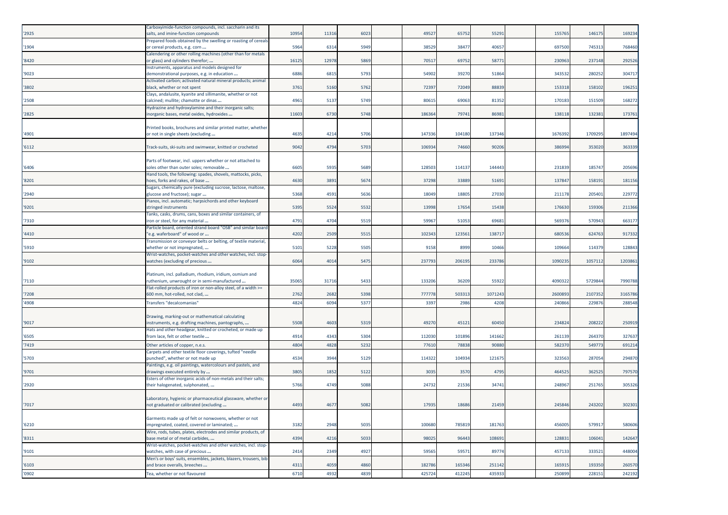| '2925 | Carboxyimide-function compounds, incl. saccharin and its<br>salts, and imine-function compounds         | 10954 | 11316 | 6023 | 49527  | 65752  | 55291  | 155765  | 146175  | 169234  |
|-------|---------------------------------------------------------------------------------------------------------|-------|-------|------|--------|--------|--------|---------|---------|---------|
| '1904 | Prepared foods obtained by the swelling or roasting of cereals<br>or cereal products, e.g. corn         | 5964  | 6314  | 5949 | 38529  | 38477  | 40657  | 697500  | 745313  | 768460  |
| '8420 | Calendering or other rolling machines (other than for metals<br>or glass) and cylinders therefor;       | 16125 | 12978 | 5869 | 70517  | 69752  | 5877   | 230963  | 237148  | 292526  |
| '9023 | Instruments, apparatus and models designed for<br>demonstrational purposes, e.g. in education           | 6886  | 6815  | 5793 | 54902  | 39270  | 51864  | 343532  | 280252  | 304717  |
| '3802 | Activated carbon; activated natural mineral products; animal<br>black, whether or not spent             | 3761  | 5160  | 5762 | 72397  | 72049  | 88839  | 153318  | 158102  | 19625   |
| '2508 | Clays, andalusite, kyanite and sillimanite, whether or not<br>calcined; mullite; chamotte or dinas      | 4961  | 5137  | 5749 | 80615  | 69063  | 81352  | 170183  | 151509  | 168272  |
| '2825 | Hydrazine and hydroxylamine and their inorganic salts;<br>inorganic bases, metal oxides, hydroxides     | 1160  | 6730  | 5748 | 186364 | 79741  | 8698   | 138118  | 13238   | 173761  |
| '4901 | Printed books, brochures and similar printed matter, whether<br>or not in single sheets (excluding      | 4635  | 4214  | 5706 | 147336 | 104180 | 137346 | 1676392 | 1709295 | 189749  |
| '6112 | Track-suits, ski-suits and swimwear, knitted or crocheted                                               | 9042  | 4794  | 5703 | 106934 | 74660  | 90206  | 386994  | 353020  | 363339  |
| '6406 | Parts of footwear, incl. uppers whether or not attached to<br>soles other than outer soles; removable   | 6605  | 5935  | 5689 | 128503 | 114137 | 144443 | 231839  | 185747  | 20569   |
| '8201 | Hand tools, the following: spades, shovels, mattocks, picks,<br>hoes, forks and rakes, of base          | 4630  | 3891  | 5674 | 37298  | 33889  | 51691  | 13784   | 15819   | 18115   |
| '2940 | Sugars, chemically pure (excluding sucrose, lactose, maltose,<br>glucose and fructose); sugar           | 5368  | 4591  | 5636 | 18049  | 18805  | 27030  | 211178  | 205401  | 229772  |
| '9201 | Pianos, incl. automatic; harpsichords and other keyboard<br>stringed instruments                        | 5395  | 5524  | 5532 | 13998  | 17654  | 15438  | 176630  | 159306  | 211366  |
| '7310 | Tanks, casks, drums, cans, boxes and similar containers, of<br>iron or steel, for any material          | 4791  | 4704  | 5519 | 59967  | 51053  | 69681  | 569376  | 57094   | 663177  |
| '4410 | Particle board, oriented strand board "OSB" and similar board<br>e.g. waferboard" of wood or            | 4202  | 2509  | 5515 | 10234  | 123561 | 13871  | 680536  | 624763  | 917332  |
| '5910 | Transmission or conveyor belts or belting, of textile material,<br>whether or not impregnated,          | 5101  | 5228  | 5505 | 9158   | 8999   | 10466  | 109664  | 114379  | 12884   |
| '9102 | Wrist-watches, pocket-watches and other watches, incl. stop-<br>watches (excluding of precious          | 6064  | 4014  | 5475 | 237793 | 206195 | 233786 | 1090235 | 1057112 | 120386  |
| '7110 | Platinum, incl. palladium, rhodium, iridium, osmium and<br>ruthenium, unwrought or in semi-manufactured | 35065 | 31716 | 5433 | 13320  | 36209  | 5592   | 4090322 | 5729844 | 7990788 |
| '7208 | Flat-rolled products of iron or non-alloy steel, of a width >=<br>600 mm, hot-rolled, not clad,         | 2762  | 2682  | 5398 | 777778 | 503313 | 107124 | 2600893 | 210735  | 3165786 |
| '4908 | Transfers "decalcomanias"                                                                               | 4824  | 6094  | 537  | 3397   | 2986   | 4208   | 240866  | 229876  | 288548  |
| '9017 | Drawing, marking-out or mathematical calculating<br>instruments, e.g. drafting machines, pantographs,   | 5508  | 4603  | 5319 | 4927   | 45121  | 60450  | 234824  | 208222  | 25091   |
| '6505 | Hats and other headgear, knitted or crocheted, or made up<br>from lace, felt or other textile           | 4914  | 4343  | 5304 | 112030 | 101896 | 141662 | 261139  | 26437   | 32763   |
| '7419 | Other articles of copper, n.e.s.                                                                        | 4804  | 4828  | 5232 | 7761   | 7883   | 90880  | 58237   | 54977   | 69121   |
| 5703  | Carpets and other textile floor coverings, tufted "needle<br>punched", whether or not made up           | 4534  | 3944  | 5129 | 114322 | 104934 | 12167  | 323563  | 28705   | 294870  |
| '9701 | Paintings, e.g. oil paintings, watercolours and pastels, and<br>drawings executed entirely by           | 3805  | 1852  | 5122 | 3035   | 3570   | 4795   | 464525  | 362525  | 79757   |
| '2920 | Esters of other inorganic acids of non-metals and their salts;<br>their halogenated, sulphonated,       | 5766  | 4749  | 5088 | 24732  | 21536  | 34741  | 248967  | 251765  | 30532   |
| '7017 | Laboratory, hygienic or pharmaceutical glassware, whether or<br>not graduated or calibrated (excluding  | 4493  | 4677  | 5082 | 17935  | 18686  | 21459  | 245846  | 243202  | 302301  |
| '6210 | Garments made up of felt or nonwovens, whether or not<br>impregnated, coated, covered or laminated;     | 3182  | 2948  | 5035 | 100680 | 785819 | 181763 | 456005  | 579917  | 580606  |
| '8311 | Wire, rods, tubes, plates, electrodes and similar products, of<br>base metal or of metal carbides,      | 4394  | 4216  | 5033 | 98025  | 96443  | 108691 | 128831  | 106041  | 142647  |
| '9101 | Wrist-watches, pocket-watches and other watches, incl. stop-<br>watches, with case of precious          | 2414  | 2349  | 4927 | 59565  | 59571  | 89774  | 457133  | 333521  | 448004  |
| '6103 | Men's or boys' suits, ensembles, jackets, blazers, trousers, bib<br>and brace overalls, breeches        | 4311  | 4059  | 4860 | 182786 | 165346 | 251142 | 165915  | 193350  | 260570  |
| '0902 | Tea, whether or not flavoured                                                                           | 6710  | 4932  | 4839 | 425724 | 412245 | 435933 | 250899  | 228151  | 242192  |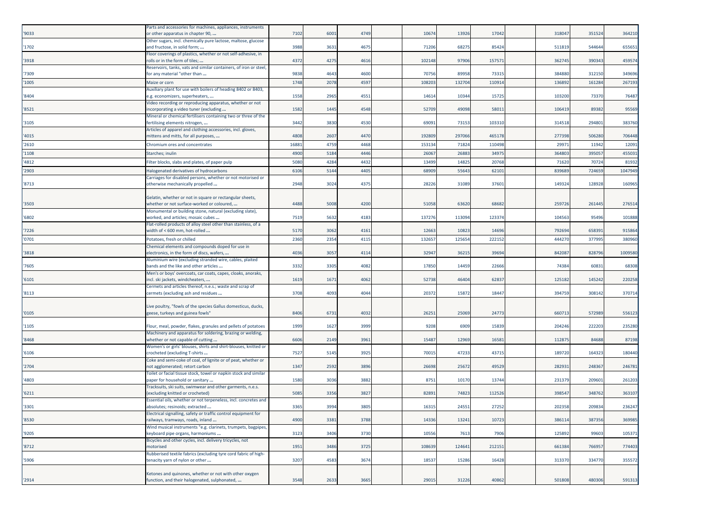| '9033 | Parts and accessories for machines, appliances, instruments<br>or other apparatus in chapter 90,       | 7102 | 6001 | 4749 | 10674  | 13926  | 17042  | 318047 | 351524 | 364210  |
|-------|--------------------------------------------------------------------------------------------------------|------|------|------|--------|--------|--------|--------|--------|---------|
| '1702 | Other sugars, incl. chemically pure lactose, maltose, glucose<br>and fructose, in solid form;          | 3988 | 3631 | 4675 | 7120   | 68275  | 85424  | 511819 | 544644 | 65565   |
| '3918 | Floor coverings of plastics, whether or not self-adhesive, in<br>olls or in the form of tiles;         | 4372 | 4275 | 4616 | 10214  | 97906  | 15757  | 362745 | 39034  | 45957   |
| '7309 | Reservoirs, tanks, vats and similar containers, of iron or steel,<br>for any material "other than      | 9838 | 4643 | 4600 | 7075   | 89958  | 73315  | 384880 | 312150 | 349696  |
| '1005 | Maize or corn                                                                                          | 1748 | 2078 | 4597 | 10820  | 13270  | 11091  | 136892 | 16128  | 26719   |
|       | Auxiliary plant for use with boilers of heading 8402 or 8403,                                          |      |      |      |        |        |        |        |        |         |
| '8404 | e.g. economizers, superheaters,<br>Video recording or reproducing apparatus, whether or not            | 1558 | 2965 | 4551 | 1461   | 10344  | 15725  | 103200 | 73370  | 76487   |
| '8521 | incorporating a video tuner (excluding                                                                 | 1582 | 1445 | 4548 | 5270   | 49098  | 58011  | 106419 | 89382  | 95569   |
| '3105 | Mineral or chemical fertilisers containing two or three of the<br>ertilising elements nitrogen,        | 3442 | 3830 | 4530 | 6909   | 73153  | 103310 | 314518 | 29480  | 383760  |
| '4015 | Articles of apparel and clothing accessories, incl. gloves,<br>nittens and mitts, for all purposes,    | 4808 | 2607 | 4470 | 192809 | 297066 | 465178 | 277398 | 506280 | 706448  |
| '2610 | Chromium ores and concentrates                                                                         | 1688 | 4759 | 4468 | 15313  | 71824  | 110498 | 2997   | 11942  | 1209    |
| '1108 | Starches; inulin                                                                                       | 4900 | 5184 | 4446 | 2606   | 2688   | 34975  | 364803 | 39505  | 45503   |
| '4812 | Filter blocks, slabs and plates, of paper pulp                                                         | 5080 | 4284 | 4432 | 13499  | 14825  | 20768  | 71620  | 70724  | 81932   |
| '2903 | Halogenated derivatives of hydrocarbons                                                                | 6106 | 5144 | 4405 | 68909  | 55643  | 62101  | 839689 | 724659 | 1047949 |
|       | Carriages for disabled persons, whether or not motorised or                                            |      |      |      |        |        |        |        |        |         |
| '8713 | otherwise mechanically propelled                                                                       | 2948 | 3024 | 4375 | 2822   | 31089  | 3760   | 149324 | 128928 | 160965  |
|       | Gelatin, whether or not in square or rectangular sheets,                                               |      |      |      |        |        |        |        |        |         |
| '3503 | whether or not surface-worked or coloured,<br>Monumental or building stone, natural (excluding slate), | 4488 | 5008 | 4200 | 51058  | 63620  | 68682  | 259726 | 261445 | 27651   |
| '6802 | worked, and articles; mosaic cubes                                                                     | 7519 | 5632 | 4183 | 13727  | 113094 | 12337  | 104563 | 95496  | 101888  |
| '7226 | Flat-rolled products of alloy steel other than stainless, of a<br>width of < 600 mm, hot-rolled        | 5170 | 3062 | 4161 | 12663  | 10823  | 14696  | 792694 | 65839  | 915864  |
| '0701 | Potatoes, fresh or chilled                                                                             | 2360 | 2354 | 4115 | 13265  | 12565  | 22215  | 444270 | 37799  | 380960  |
| '3818 | Chemical elements and compounds doped for use in<br>electronics, in the form of discs, wafers,         | 4036 | 3057 | 4114 | 3294   | 36215  | 3969   | 842087 | 82879  | 100958  |
| '7605 | Aluminium wire (excluding stranded wire, cables, plaited<br>bands and the like and other articles      | 3332 | 3305 | 4082 | 17850  | 14459  | 22666  | 74384  | 60831  | 68308   |
| '6101 | Men's or boys' overcoats, car coats, capes, cloaks, anoraks,<br>incl. ski jackets, windcheaters,       | 1619 | 1671 | 4062 | 52738  | 46404  | 62837  | 125182 | 145242 | 220258  |
| '8113 | Cermets and articles thereof, n.e.s.; waste and scrap of<br>cermets (excluding ash and residues        | 3708 | 4093 | 4044 | 2037   | 15872  | 18447  | 394759 | 308142 | 370714  |
|       |                                                                                                        |      |      |      |        |        |        |        |        |         |
| '0105 | Live poultry, "fowls of the species Gallus domesticus, ducks,<br>geese, turkeys and guinea fowls"      | 8406 | 6731 | 4032 | 26251  | 25069  | 24773  | 660713 | 572989 | 556123  |
| '1105 | Flour, meal, powder, flakes, granules and pellets of potatoes                                          | 1999 | 1627 | 3999 | 9208   | 6909   | 15839  | 204246 | 222203 | 235280  |
| '8468 | Machinery and apparatus for soldering, brazing or welding,<br>whether or not capable of cutting        | 6606 | 2149 | 3961 | 15487  | 12969  | 1658   | 11287  | 84688  | 87198   |
|       | Women's or girls' blouses, shirts and shirt-blouses, knitted or                                        |      |      |      |        |        |        |        |        |         |
| '6106 | crocheted (excluding T-shirts<br>Coke and semi-coke of coal, of lignite or of peat, whether or         | 7527 | 5145 | 3925 | 7001   | 47233  | 43715  | 189720 | 164323 | 180440  |
| '2704 | not agglomerated; retort carbon                                                                        | 1347 | 2592 | 3896 | 26698  | 25672  | 49529  | 28293: | 24836  | 24678   |
| '4803 | Toilet or facial tissue stock, towel or napkin stock and similar<br>paper for household or sanitary    | 1580 | 3036 | 3882 | 875    | 10170  | 13744  | 231379 | 20960  | 261203  |
| '6211 | Tracksuits, ski suits, swimwear and other garments, n.e.s.<br>excluding knitted or crocheted)          | 5085 | 3356 | 3827 | 8289   | 74823  | 112526 | 398547 | 348762 | 363107  |
|       | Essential oils, whether or not terpeneless, incl. concretes and                                        |      |      |      |        |        |        |        |        |         |
| '3301 | absolutes; resinoids; extracted                                                                        | 3365 | 3994 | 3805 | 1631   | 24551  | 27252  | 202358 | 209834 | 236247  |
| '8530 | Electrical signalling, safety or traffic control equipment for<br>railways, tramways, roads, inland    | 4900 | 3381 | 3788 | 14336  | 13241  | 10723  | 386114 | 387356 | 369985  |
| '9205 | Wind musical instruments "e.g. clarinets, trumpets, bagpipes,<br>keyboard pipe organs, harmoniums      | 3123 | 3406 | 3730 | 10556  | 7613   | 7906   | 125892 | 99603  | 105371  |
|       | Bicycles and other cycles, incl. delivery tricycles, not                                               |      |      |      |        |        |        |        |        |         |
| '8712 | notorised                                                                                              | 1951 | 3486 | 3725 | 108639 | 124641 | 212151 | 661384 | 766957 | 774403  |
| '5906 | Rubberised textile fabrics (excluding tyre cord fabric of high-<br>tenacity yarn of nylon or other     | 3207 | 4583 | 3674 | 18537  | 15286  | 16428  | 313370 | 334770 | 355572  |
|       | Ketones and quinones, whether or not with other oxygen                                                 |      |      |      |        |        |        |        |        |         |
| '2914 | function, and their halogenated, sulphonated,                                                          | 3548 | 2633 | 3665 | 29015  | 31226  | 40862  | 501808 | 480306 | 591313  |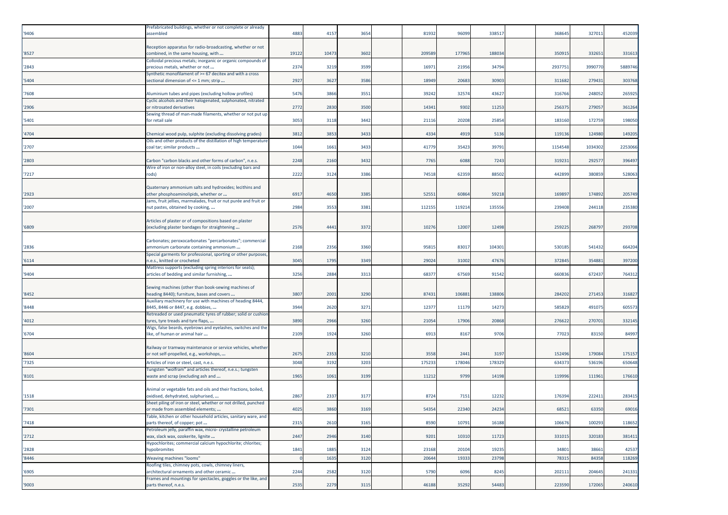| Reception apparatus for radio-broadcasting, whether or not<br>combined, in the same housing, with<br>19122<br>10473<br>3602<br>209589<br>177965<br>188034<br>350915<br>332651<br>331613<br>'8527<br>Colloidal precious metals; inorganic or organic compounds of<br>2374<br>34794<br>2937751<br>3990770<br>5889746<br>'2843<br>321<br>3599<br>1697<br>21956<br>precious metals, whether or not<br>Synthetic monofilament of >= 67 decitex and with a cross<br>2927<br>20683<br>30903<br>279431<br>303768<br>5404<br>3627<br>3586<br>18949<br>311682<br>sectional dimension of <= 1 mm; strip<br>5476<br>265925<br>7608<br>Aluminium tubes and pipes (excluding hollow profiles)<br>386<br>3551<br>3924<br>32574<br>43627<br>316766<br>248052<br>Cyclic alcohols and their halogenated, sulphonated, nitrated<br>2772<br>256375<br>361264<br>'2906<br>2830<br>3500<br>1434<br>9302<br>11253<br>27905<br>or nitrosated derivatives<br>Sewing thread of man-made filaments, whether or not put up<br>25854<br>183160<br>172759<br>198050<br>'5401<br>3053<br>3118<br>3442<br>21116<br>20208<br>for retail sale<br>3812<br>3433<br>4334<br>119136<br>124980<br>149205<br>'4704<br>Chemical wood pulp, sulphite (excluding dissolving grades)<br>3853<br>4919<br>5136<br>Oils and other products of the distillation of high temperature<br>1044<br>1154548<br>103430<br>2253066<br>'2707<br>1661<br>3433<br>41779<br>35423<br>39791<br>coal tar; similar products<br>2248<br>396497<br>2160<br>3432<br>7765<br>6088<br>7243<br>319231<br>29257<br>'2803<br>Carbon "carbon blacks and other forms of carbon", n.e.s.<br>Wire of iron or non-alloy steel, in coils (excluding bars and<br>2222<br>3124<br>3386<br>74518<br>62359<br>88502<br>442899<br>380859<br>528063<br>'7217<br>rods)<br>Quaternary ammonium salts and hydroxides; lecithins and<br>59218<br>other phosphoaminolipids, whether or<br>6917<br>4650<br>3385<br>5255<br>60864<br>169897<br>174892<br>205749<br>'2923<br>Jams, fruit jellies, marmalades, fruit or nut purée and fruit or<br>2984<br>3553<br>112155<br>119214<br>135556<br>239408<br>244118<br>235380<br>'2007<br>3381<br>nut pastes, obtained by cooking,<br>Articles of plaster or of compositions based on plaster<br>'6809<br>(excluding plaster bandages for straightening<br>2576<br>4441<br>3372<br>1027<br>12007<br>12498<br>259225<br>26879<br>293708<br>Carbonates; peroxocarbonates "percarbonates"; commercial<br>664204<br>'2836<br>ammonium carbonate containing ammonium<br>2168<br>2356<br>3360<br>9581<br>83017<br>104301<br>530185<br>541432<br>Special garments for professional, sporting or other purposes,<br>29024<br>372845<br>354881<br>397200<br>3045<br>1795<br>3349<br>31002<br>47676<br>'6114<br>n.e.s., knitted or crocheted<br>Mattress supports (excluding spring interiors for seats);<br>'9404<br>articles of bedding and similar furnishing,<br>3256<br>2884<br>3313<br>6837<br>67569<br>91542<br>660836<br>672437<br>764312<br>Sewing machines (other than book-sewing machines of<br>'8452<br>heading 8440); furniture, bases and covers<br>3807<br>2001<br>3290<br>87431<br>106881<br>13880<br>284202<br>271453<br>316827<br>Auxiliary machinery for use with machines of heading 8444,<br>3271<br>12377<br>11179<br>585829<br>491075<br>605573<br>'8448<br>8445, 8446 or 8447, e.g. dobbies,<br>3944<br>2620<br>14273<br>Retreaded or used pneumatic tyres of rubber; solid or cushion<br>3890<br>2966<br>3260<br>21054<br>17906<br>20868<br>276622<br>27070<br>332145<br>4012<br>tyres, tyre treads and tyre flaps,<br>Wigs, false beards, eyebrows and eyelashes, switches and the<br>2109<br>9706<br>84997<br>'6704<br>like, of human or animal hair<br>1924<br>3260<br>6913<br>8167<br>77023<br>83150<br>Railway or tramway maintenance or service vehicles, whether<br>152496<br>179084<br>or not self-propelled, e.g., workshops,<br>2675<br>2353<br>3210<br>3558<br>2441<br>3197<br>175157<br>'8604<br>3048<br>17523<br>178046<br>178329<br>536196<br>'7325<br>Articles of iron or steel, cast, n.e.s.<br>3192<br>3203<br>634373<br>650648<br>Tungsten "wolfram" and articles thereof, n.e.s.; tungsten<br>1965<br>1061<br>3199<br>11212<br>9799<br>14198<br>119996<br>11196<br>176610<br>'8101<br>waste and scrap (excluding ash and<br>Animal or vegetable fats and oils and their fractions, boiled,<br>oxidised, dehydrated, sulphurised,<br>2867<br>2337<br>3177<br>8724<br>7151<br>12232<br>176394<br>222411<br>283415<br>'1518<br>Sheet piling of iron or steel, whether or not drilled, punched<br>'7301<br>4025<br>54354<br>22340<br>24234<br>68521<br>63350<br>69016<br>or made from assembled elements;<br>3860<br>3169<br>Table, kitchen or other household articles, sanitary ware, and<br>2315<br>2610<br>3165<br>8590<br>10791<br>16188<br>106676<br>100293<br>118652<br>'7418<br>parts thereof, of copper; pot<br>Petroleum jelly, paraffin wax, micro- crystalline petroleum<br>'2712'<br>wax, slack wax, ozokerite, lignite<br>2447<br>2946<br>3140<br>9201<br>10310<br>11723<br>331015<br>320183<br>381411<br>Hypochlorites; commercial calcium hypochlorite; chlorites;<br>20104<br>19235<br>34801<br>42537<br>'2828<br>1841<br>1885<br>3124<br>23168<br>38661<br>hypobromites<br>'8446<br>Weaving machines "looms"<br>1635<br>3120<br>20644<br>19333<br>23798<br>78315<br>84358<br>118269<br>Roofing tiles, chimney pots, cowls, chimney liners,<br>2244<br>241331<br>'6905<br>architectural ornaments and other ceramic<br>2582<br>3120<br>5790<br>6096<br>8245<br>202111<br>204645<br>Frames and mountings for spectacles, goggles or the like, and<br>2535<br>'9003<br>2279<br>3115<br>46188<br>35292<br>54483<br>223590<br>172065<br>parts thereof, n.e.s. | '9406 | Prefabricated buildings, whether or not complete or already<br>assembled | 4883 | 4157 | 3654 | 81932 | 96099 | 338517 | 368645 | 327011 | 452039 |
|-------------------------------------------------------------------------------------------------------------------------------------------------------------------------------------------------------------------------------------------------------------------------------------------------------------------------------------------------------------------------------------------------------------------------------------------------------------------------------------------------------------------------------------------------------------------------------------------------------------------------------------------------------------------------------------------------------------------------------------------------------------------------------------------------------------------------------------------------------------------------------------------------------------------------------------------------------------------------------------------------------------------------------------------------------------------------------------------------------------------------------------------------------------------------------------------------------------------------------------------------------------------------------------------------------------------------------------------------------------------------------------------------------------------------------------------------------------------------------------------------------------------------------------------------------------------------------------------------------------------------------------------------------------------------------------------------------------------------------------------------------------------------------------------------------------------------------------------------------------------------------------------------------------------------------------------------------------------------------------------------------------------------------------------------------------------------------------------------------------------------------------------------------------------------------------------------------------------------------------------------------------------------------------------------------------------------------------------------------------------------------------------------------------------------------------------------------------------------------------------------------------------------------------------------------------------------------------------------------------------------------------------------------------------------------------------------------------------------------------------------------------------------------------------------------------------------------------------------------------------------------------------------------------------------------------------------------------------------------------------------------------------------------------------------------------------------------------------------------------------------------------------------------------------------------------------------------------------------------------------------------------------------------------------------------------------------------------------------------------------------------------------------------------------------------------------------------------------------------------------------------------------------------------------------------------------------------------------------------------------------------------------------------------------------------------------------------------------------------------------------------------------------------------------------------------------------------------------------------------------------------------------------------------------------------------------------------------------------------------------------------------------------------------------------------------------------------------------------------------------------------------------------------------------------------------------------------------------------------------------------------------------------------------------------------------------------------------------------------------------------------------------------------------------------------------------------------------------------------------------------------------------------------------------------------------------------------------------------------------------------------------------------------------------------------------------------------------------------------------------------------------------------------------------------------------------------------------------------------------------------------------------------------------------------------------------------------------------------------------------------------------------------------------------------------------------------------------------------------------------------------------------------------------------------------------------------------------------------------------------------------------------------------------------------------------------------------------------------------------------------------------------------------------------------------------------------------------------------------------------------------------------------------------------------------------------------------------------------------------------------------------------------------------------------------------------------------------------------------------------------------------|-------|--------------------------------------------------------------------------|------|------|------|-------|-------|--------|--------|--------|--------|
|                                                                                                                                                                                                                                                                                                                                                                                                                                                                                                                                                                                                                                                                                                                                                                                                                                                                                                                                                                                                                                                                                                                                                                                                                                                                                                                                                                                                                                                                                                                                                                                                                                                                                                                                                                                                                                                                                                                                                                                                                                                                                                                                                                                                                                                                                                                                                                                                                                                                                                                                                                                                                                                                                                                                                                                                                                                                                                                                                                                                                                                                                                                                                                                                                                                                                                                                                                                                                                                                                                                                                                                                                                                                                                                                                                                                                                                                                                                                                                                                                                                                                                                                                                                                                                                                                                                                                                                                                                                                                                                                                                                                                                                                                                                                                                                                                                                                                                                                                                                                                                                                                                                                                                                                                                                                                                                                                                                                                                                                                                                                                                                                                                                                                                                                                             |       |                                                                          |      |      |      |       |       |        |        |        |        |
| 240610                                                                                                                                                                                                                                                                                                                                                                                                                                                                                                                                                                                                                                                                                                                                                                                                                                                                                                                                                                                                                                                                                                                                                                                                                                                                                                                                                                                                                                                                                                                                                                                                                                                                                                                                                                                                                                                                                                                                                                                                                                                                                                                                                                                                                                                                                                                                                                                                                                                                                                                                                                                                                                                                                                                                                                                                                                                                                                                                                                                                                                                                                                                                                                                                                                                                                                                                                                                                                                                                                                                                                                                                                                                                                                                                                                                                                                                                                                                                                                                                                                                                                                                                                                                                                                                                                                                                                                                                                                                                                                                                                                                                                                                                                                                                                                                                                                                                                                                                                                                                                                                                                                                                                                                                                                                                                                                                                                                                                                                                                                                                                                                                                                                                                                                                                      |       |                                                                          |      |      |      |       |       |        |        |        |        |
|                                                                                                                                                                                                                                                                                                                                                                                                                                                                                                                                                                                                                                                                                                                                                                                                                                                                                                                                                                                                                                                                                                                                                                                                                                                                                                                                                                                                                                                                                                                                                                                                                                                                                                                                                                                                                                                                                                                                                                                                                                                                                                                                                                                                                                                                                                                                                                                                                                                                                                                                                                                                                                                                                                                                                                                                                                                                                                                                                                                                                                                                                                                                                                                                                                                                                                                                                                                                                                                                                                                                                                                                                                                                                                                                                                                                                                                                                                                                                                                                                                                                                                                                                                                                                                                                                                                                                                                                                                                                                                                                                                                                                                                                                                                                                                                                                                                                                                                                                                                                                                                                                                                                                                                                                                                                                                                                                                                                                                                                                                                                                                                                                                                                                                                                                             |       |                                                                          |      |      |      |       |       |        |        |        |        |
|                                                                                                                                                                                                                                                                                                                                                                                                                                                                                                                                                                                                                                                                                                                                                                                                                                                                                                                                                                                                                                                                                                                                                                                                                                                                                                                                                                                                                                                                                                                                                                                                                                                                                                                                                                                                                                                                                                                                                                                                                                                                                                                                                                                                                                                                                                                                                                                                                                                                                                                                                                                                                                                                                                                                                                                                                                                                                                                                                                                                                                                                                                                                                                                                                                                                                                                                                                                                                                                                                                                                                                                                                                                                                                                                                                                                                                                                                                                                                                                                                                                                                                                                                                                                                                                                                                                                                                                                                                                                                                                                                                                                                                                                                                                                                                                                                                                                                                                                                                                                                                                                                                                                                                                                                                                                                                                                                                                                                                                                                                                                                                                                                                                                                                                                                             |       |                                                                          |      |      |      |       |       |        |        |        |        |
|                                                                                                                                                                                                                                                                                                                                                                                                                                                                                                                                                                                                                                                                                                                                                                                                                                                                                                                                                                                                                                                                                                                                                                                                                                                                                                                                                                                                                                                                                                                                                                                                                                                                                                                                                                                                                                                                                                                                                                                                                                                                                                                                                                                                                                                                                                                                                                                                                                                                                                                                                                                                                                                                                                                                                                                                                                                                                                                                                                                                                                                                                                                                                                                                                                                                                                                                                                                                                                                                                                                                                                                                                                                                                                                                                                                                                                                                                                                                                                                                                                                                                                                                                                                                                                                                                                                                                                                                                                                                                                                                                                                                                                                                                                                                                                                                                                                                                                                                                                                                                                                                                                                                                                                                                                                                                                                                                                                                                                                                                                                                                                                                                                                                                                                                                             |       |                                                                          |      |      |      |       |       |        |        |        |        |
|                                                                                                                                                                                                                                                                                                                                                                                                                                                                                                                                                                                                                                                                                                                                                                                                                                                                                                                                                                                                                                                                                                                                                                                                                                                                                                                                                                                                                                                                                                                                                                                                                                                                                                                                                                                                                                                                                                                                                                                                                                                                                                                                                                                                                                                                                                                                                                                                                                                                                                                                                                                                                                                                                                                                                                                                                                                                                                                                                                                                                                                                                                                                                                                                                                                                                                                                                                                                                                                                                                                                                                                                                                                                                                                                                                                                                                                                                                                                                                                                                                                                                                                                                                                                                                                                                                                                                                                                                                                                                                                                                                                                                                                                                                                                                                                                                                                                                                                                                                                                                                                                                                                                                                                                                                                                                                                                                                                                                                                                                                                                                                                                                                                                                                                                                             |       |                                                                          |      |      |      |       |       |        |        |        |        |
|                                                                                                                                                                                                                                                                                                                                                                                                                                                                                                                                                                                                                                                                                                                                                                                                                                                                                                                                                                                                                                                                                                                                                                                                                                                                                                                                                                                                                                                                                                                                                                                                                                                                                                                                                                                                                                                                                                                                                                                                                                                                                                                                                                                                                                                                                                                                                                                                                                                                                                                                                                                                                                                                                                                                                                                                                                                                                                                                                                                                                                                                                                                                                                                                                                                                                                                                                                                                                                                                                                                                                                                                                                                                                                                                                                                                                                                                                                                                                                                                                                                                                                                                                                                                                                                                                                                                                                                                                                                                                                                                                                                                                                                                                                                                                                                                                                                                                                                                                                                                                                                                                                                                                                                                                                                                                                                                                                                                                                                                                                                                                                                                                                                                                                                                                             |       |                                                                          |      |      |      |       |       |        |        |        |        |
|                                                                                                                                                                                                                                                                                                                                                                                                                                                                                                                                                                                                                                                                                                                                                                                                                                                                                                                                                                                                                                                                                                                                                                                                                                                                                                                                                                                                                                                                                                                                                                                                                                                                                                                                                                                                                                                                                                                                                                                                                                                                                                                                                                                                                                                                                                                                                                                                                                                                                                                                                                                                                                                                                                                                                                                                                                                                                                                                                                                                                                                                                                                                                                                                                                                                                                                                                                                                                                                                                                                                                                                                                                                                                                                                                                                                                                                                                                                                                                                                                                                                                                                                                                                                                                                                                                                                                                                                                                                                                                                                                                                                                                                                                                                                                                                                                                                                                                                                                                                                                                                                                                                                                                                                                                                                                                                                                                                                                                                                                                                                                                                                                                                                                                                                                             |       |                                                                          |      |      |      |       |       |        |        |        |        |
|                                                                                                                                                                                                                                                                                                                                                                                                                                                                                                                                                                                                                                                                                                                                                                                                                                                                                                                                                                                                                                                                                                                                                                                                                                                                                                                                                                                                                                                                                                                                                                                                                                                                                                                                                                                                                                                                                                                                                                                                                                                                                                                                                                                                                                                                                                                                                                                                                                                                                                                                                                                                                                                                                                                                                                                                                                                                                                                                                                                                                                                                                                                                                                                                                                                                                                                                                                                                                                                                                                                                                                                                                                                                                                                                                                                                                                                                                                                                                                                                                                                                                                                                                                                                                                                                                                                                                                                                                                                                                                                                                                                                                                                                                                                                                                                                                                                                                                                                                                                                                                                                                                                                                                                                                                                                                                                                                                                                                                                                                                                                                                                                                                                                                                                                                             |       |                                                                          |      |      |      |       |       |        |        |        |        |
|                                                                                                                                                                                                                                                                                                                                                                                                                                                                                                                                                                                                                                                                                                                                                                                                                                                                                                                                                                                                                                                                                                                                                                                                                                                                                                                                                                                                                                                                                                                                                                                                                                                                                                                                                                                                                                                                                                                                                                                                                                                                                                                                                                                                                                                                                                                                                                                                                                                                                                                                                                                                                                                                                                                                                                                                                                                                                                                                                                                                                                                                                                                                                                                                                                                                                                                                                                                                                                                                                                                                                                                                                                                                                                                                                                                                                                                                                                                                                                                                                                                                                                                                                                                                                                                                                                                                                                                                                                                                                                                                                                                                                                                                                                                                                                                                                                                                                                                                                                                                                                                                                                                                                                                                                                                                                                                                                                                                                                                                                                                                                                                                                                                                                                                                                             |       |                                                                          |      |      |      |       |       |        |        |        |        |
|                                                                                                                                                                                                                                                                                                                                                                                                                                                                                                                                                                                                                                                                                                                                                                                                                                                                                                                                                                                                                                                                                                                                                                                                                                                                                                                                                                                                                                                                                                                                                                                                                                                                                                                                                                                                                                                                                                                                                                                                                                                                                                                                                                                                                                                                                                                                                                                                                                                                                                                                                                                                                                                                                                                                                                                                                                                                                                                                                                                                                                                                                                                                                                                                                                                                                                                                                                                                                                                                                                                                                                                                                                                                                                                                                                                                                                                                                                                                                                                                                                                                                                                                                                                                                                                                                                                                                                                                                                                                                                                                                                                                                                                                                                                                                                                                                                                                                                                                                                                                                                                                                                                                                                                                                                                                                                                                                                                                                                                                                                                                                                                                                                                                                                                                                             |       |                                                                          |      |      |      |       |       |        |        |        |        |
|                                                                                                                                                                                                                                                                                                                                                                                                                                                                                                                                                                                                                                                                                                                                                                                                                                                                                                                                                                                                                                                                                                                                                                                                                                                                                                                                                                                                                                                                                                                                                                                                                                                                                                                                                                                                                                                                                                                                                                                                                                                                                                                                                                                                                                                                                                                                                                                                                                                                                                                                                                                                                                                                                                                                                                                                                                                                                                                                                                                                                                                                                                                                                                                                                                                                                                                                                                                                                                                                                                                                                                                                                                                                                                                                                                                                                                                                                                                                                                                                                                                                                                                                                                                                                                                                                                                                                                                                                                                                                                                                                                                                                                                                                                                                                                                                                                                                                                                                                                                                                                                                                                                                                                                                                                                                                                                                                                                                                                                                                                                                                                                                                                                                                                                                                             |       |                                                                          |      |      |      |       |       |        |        |        |        |
|                                                                                                                                                                                                                                                                                                                                                                                                                                                                                                                                                                                                                                                                                                                                                                                                                                                                                                                                                                                                                                                                                                                                                                                                                                                                                                                                                                                                                                                                                                                                                                                                                                                                                                                                                                                                                                                                                                                                                                                                                                                                                                                                                                                                                                                                                                                                                                                                                                                                                                                                                                                                                                                                                                                                                                                                                                                                                                                                                                                                                                                                                                                                                                                                                                                                                                                                                                                                                                                                                                                                                                                                                                                                                                                                                                                                                                                                                                                                                                                                                                                                                                                                                                                                                                                                                                                                                                                                                                                                                                                                                                                                                                                                                                                                                                                                                                                                                                                                                                                                                                                                                                                                                                                                                                                                                                                                                                                                                                                                                                                                                                                                                                                                                                                                                             |       |                                                                          |      |      |      |       |       |        |        |        |        |
|                                                                                                                                                                                                                                                                                                                                                                                                                                                                                                                                                                                                                                                                                                                                                                                                                                                                                                                                                                                                                                                                                                                                                                                                                                                                                                                                                                                                                                                                                                                                                                                                                                                                                                                                                                                                                                                                                                                                                                                                                                                                                                                                                                                                                                                                                                                                                                                                                                                                                                                                                                                                                                                                                                                                                                                                                                                                                                                                                                                                                                                                                                                                                                                                                                                                                                                                                                                                                                                                                                                                                                                                                                                                                                                                                                                                                                                                                                                                                                                                                                                                                                                                                                                                                                                                                                                                                                                                                                                                                                                                                                                                                                                                                                                                                                                                                                                                                                                                                                                                                                                                                                                                                                                                                                                                                                                                                                                                                                                                                                                                                                                                                                                                                                                                                             |       |                                                                          |      |      |      |       |       |        |        |        |        |
|                                                                                                                                                                                                                                                                                                                                                                                                                                                                                                                                                                                                                                                                                                                                                                                                                                                                                                                                                                                                                                                                                                                                                                                                                                                                                                                                                                                                                                                                                                                                                                                                                                                                                                                                                                                                                                                                                                                                                                                                                                                                                                                                                                                                                                                                                                                                                                                                                                                                                                                                                                                                                                                                                                                                                                                                                                                                                                                                                                                                                                                                                                                                                                                                                                                                                                                                                                                                                                                                                                                                                                                                                                                                                                                                                                                                                                                                                                                                                                                                                                                                                                                                                                                                                                                                                                                                                                                                                                                                                                                                                                                                                                                                                                                                                                                                                                                                                                                                                                                                                                                                                                                                                                                                                                                                                                                                                                                                                                                                                                                                                                                                                                                                                                                                                             |       |                                                                          |      |      |      |       |       |        |        |        |        |
|                                                                                                                                                                                                                                                                                                                                                                                                                                                                                                                                                                                                                                                                                                                                                                                                                                                                                                                                                                                                                                                                                                                                                                                                                                                                                                                                                                                                                                                                                                                                                                                                                                                                                                                                                                                                                                                                                                                                                                                                                                                                                                                                                                                                                                                                                                                                                                                                                                                                                                                                                                                                                                                                                                                                                                                                                                                                                                                                                                                                                                                                                                                                                                                                                                                                                                                                                                                                                                                                                                                                                                                                                                                                                                                                                                                                                                                                                                                                                                                                                                                                                                                                                                                                                                                                                                                                                                                                                                                                                                                                                                                                                                                                                                                                                                                                                                                                                                                                                                                                                                                                                                                                                                                                                                                                                                                                                                                                                                                                                                                                                                                                                                                                                                                                                             |       |                                                                          |      |      |      |       |       |        |        |        |        |
|                                                                                                                                                                                                                                                                                                                                                                                                                                                                                                                                                                                                                                                                                                                                                                                                                                                                                                                                                                                                                                                                                                                                                                                                                                                                                                                                                                                                                                                                                                                                                                                                                                                                                                                                                                                                                                                                                                                                                                                                                                                                                                                                                                                                                                                                                                                                                                                                                                                                                                                                                                                                                                                                                                                                                                                                                                                                                                                                                                                                                                                                                                                                                                                                                                                                                                                                                                                                                                                                                                                                                                                                                                                                                                                                                                                                                                                                                                                                                                                                                                                                                                                                                                                                                                                                                                                                                                                                                                                                                                                                                                                                                                                                                                                                                                                                                                                                                                                                                                                                                                                                                                                                                                                                                                                                                                                                                                                                                                                                                                                                                                                                                                                                                                                                                             |       |                                                                          |      |      |      |       |       |        |        |        |        |
|                                                                                                                                                                                                                                                                                                                                                                                                                                                                                                                                                                                                                                                                                                                                                                                                                                                                                                                                                                                                                                                                                                                                                                                                                                                                                                                                                                                                                                                                                                                                                                                                                                                                                                                                                                                                                                                                                                                                                                                                                                                                                                                                                                                                                                                                                                                                                                                                                                                                                                                                                                                                                                                                                                                                                                                                                                                                                                                                                                                                                                                                                                                                                                                                                                                                                                                                                                                                                                                                                                                                                                                                                                                                                                                                                                                                                                                                                                                                                                                                                                                                                                                                                                                                                                                                                                                                                                                                                                                                                                                                                                                                                                                                                                                                                                                                                                                                                                                                                                                                                                                                                                                                                                                                                                                                                                                                                                                                                                                                                                                                                                                                                                                                                                                                                             |       |                                                                          |      |      |      |       |       |        |        |        |        |
|                                                                                                                                                                                                                                                                                                                                                                                                                                                                                                                                                                                                                                                                                                                                                                                                                                                                                                                                                                                                                                                                                                                                                                                                                                                                                                                                                                                                                                                                                                                                                                                                                                                                                                                                                                                                                                                                                                                                                                                                                                                                                                                                                                                                                                                                                                                                                                                                                                                                                                                                                                                                                                                                                                                                                                                                                                                                                                                                                                                                                                                                                                                                                                                                                                                                                                                                                                                                                                                                                                                                                                                                                                                                                                                                                                                                                                                                                                                                                                                                                                                                                                                                                                                                                                                                                                                                                                                                                                                                                                                                                                                                                                                                                                                                                                                                                                                                                                                                                                                                                                                                                                                                                                                                                                                                                                                                                                                                                                                                                                                                                                                                                                                                                                                                                             |       |                                                                          |      |      |      |       |       |        |        |        |        |
|                                                                                                                                                                                                                                                                                                                                                                                                                                                                                                                                                                                                                                                                                                                                                                                                                                                                                                                                                                                                                                                                                                                                                                                                                                                                                                                                                                                                                                                                                                                                                                                                                                                                                                                                                                                                                                                                                                                                                                                                                                                                                                                                                                                                                                                                                                                                                                                                                                                                                                                                                                                                                                                                                                                                                                                                                                                                                                                                                                                                                                                                                                                                                                                                                                                                                                                                                                                                                                                                                                                                                                                                                                                                                                                                                                                                                                                                                                                                                                                                                                                                                                                                                                                                                                                                                                                                                                                                                                                                                                                                                                                                                                                                                                                                                                                                                                                                                                                                                                                                                                                                                                                                                                                                                                                                                                                                                                                                                                                                                                                                                                                                                                                                                                                                                             |       |                                                                          |      |      |      |       |       |        |        |        |        |
|                                                                                                                                                                                                                                                                                                                                                                                                                                                                                                                                                                                                                                                                                                                                                                                                                                                                                                                                                                                                                                                                                                                                                                                                                                                                                                                                                                                                                                                                                                                                                                                                                                                                                                                                                                                                                                                                                                                                                                                                                                                                                                                                                                                                                                                                                                                                                                                                                                                                                                                                                                                                                                                                                                                                                                                                                                                                                                                                                                                                                                                                                                                                                                                                                                                                                                                                                                                                                                                                                                                                                                                                                                                                                                                                                                                                                                                                                                                                                                                                                                                                                                                                                                                                                                                                                                                                                                                                                                                                                                                                                                                                                                                                                                                                                                                                                                                                                                                                                                                                                                                                                                                                                                                                                                                                                                                                                                                                                                                                                                                                                                                                                                                                                                                                                             |       |                                                                          |      |      |      |       |       |        |        |        |        |
|                                                                                                                                                                                                                                                                                                                                                                                                                                                                                                                                                                                                                                                                                                                                                                                                                                                                                                                                                                                                                                                                                                                                                                                                                                                                                                                                                                                                                                                                                                                                                                                                                                                                                                                                                                                                                                                                                                                                                                                                                                                                                                                                                                                                                                                                                                                                                                                                                                                                                                                                                                                                                                                                                                                                                                                                                                                                                                                                                                                                                                                                                                                                                                                                                                                                                                                                                                                                                                                                                                                                                                                                                                                                                                                                                                                                                                                                                                                                                                                                                                                                                                                                                                                                                                                                                                                                                                                                                                                                                                                                                                                                                                                                                                                                                                                                                                                                                                                                                                                                                                                                                                                                                                                                                                                                                                                                                                                                                                                                                                                                                                                                                                                                                                                                                             |       |                                                                          |      |      |      |       |       |        |        |        |        |
|                                                                                                                                                                                                                                                                                                                                                                                                                                                                                                                                                                                                                                                                                                                                                                                                                                                                                                                                                                                                                                                                                                                                                                                                                                                                                                                                                                                                                                                                                                                                                                                                                                                                                                                                                                                                                                                                                                                                                                                                                                                                                                                                                                                                                                                                                                                                                                                                                                                                                                                                                                                                                                                                                                                                                                                                                                                                                                                                                                                                                                                                                                                                                                                                                                                                                                                                                                                                                                                                                                                                                                                                                                                                                                                                                                                                                                                                                                                                                                                                                                                                                                                                                                                                                                                                                                                                                                                                                                                                                                                                                                                                                                                                                                                                                                                                                                                                                                                                                                                                                                                                                                                                                                                                                                                                                                                                                                                                                                                                                                                                                                                                                                                                                                                                                             |       |                                                                          |      |      |      |       |       |        |        |        |        |
|                                                                                                                                                                                                                                                                                                                                                                                                                                                                                                                                                                                                                                                                                                                                                                                                                                                                                                                                                                                                                                                                                                                                                                                                                                                                                                                                                                                                                                                                                                                                                                                                                                                                                                                                                                                                                                                                                                                                                                                                                                                                                                                                                                                                                                                                                                                                                                                                                                                                                                                                                                                                                                                                                                                                                                                                                                                                                                                                                                                                                                                                                                                                                                                                                                                                                                                                                                                                                                                                                                                                                                                                                                                                                                                                                                                                                                                                                                                                                                                                                                                                                                                                                                                                                                                                                                                                                                                                                                                                                                                                                                                                                                                                                                                                                                                                                                                                                                                                                                                                                                                                                                                                                                                                                                                                                                                                                                                                                                                                                                                                                                                                                                                                                                                                                             |       |                                                                          |      |      |      |       |       |        |        |        |        |
|                                                                                                                                                                                                                                                                                                                                                                                                                                                                                                                                                                                                                                                                                                                                                                                                                                                                                                                                                                                                                                                                                                                                                                                                                                                                                                                                                                                                                                                                                                                                                                                                                                                                                                                                                                                                                                                                                                                                                                                                                                                                                                                                                                                                                                                                                                                                                                                                                                                                                                                                                                                                                                                                                                                                                                                                                                                                                                                                                                                                                                                                                                                                                                                                                                                                                                                                                                                                                                                                                                                                                                                                                                                                                                                                                                                                                                                                                                                                                                                                                                                                                                                                                                                                                                                                                                                                                                                                                                                                                                                                                                                                                                                                                                                                                                                                                                                                                                                                                                                                                                                                                                                                                                                                                                                                                                                                                                                                                                                                                                                                                                                                                                                                                                                                                             |       |                                                                          |      |      |      |       |       |        |        |        |        |
|                                                                                                                                                                                                                                                                                                                                                                                                                                                                                                                                                                                                                                                                                                                                                                                                                                                                                                                                                                                                                                                                                                                                                                                                                                                                                                                                                                                                                                                                                                                                                                                                                                                                                                                                                                                                                                                                                                                                                                                                                                                                                                                                                                                                                                                                                                                                                                                                                                                                                                                                                                                                                                                                                                                                                                                                                                                                                                                                                                                                                                                                                                                                                                                                                                                                                                                                                                                                                                                                                                                                                                                                                                                                                                                                                                                                                                                                                                                                                                                                                                                                                                                                                                                                                                                                                                                                                                                                                                                                                                                                                                                                                                                                                                                                                                                                                                                                                                                                                                                                                                                                                                                                                                                                                                                                                                                                                                                                                                                                                                                                                                                                                                                                                                                                                             |       |                                                                          |      |      |      |       |       |        |        |        |        |
|                                                                                                                                                                                                                                                                                                                                                                                                                                                                                                                                                                                                                                                                                                                                                                                                                                                                                                                                                                                                                                                                                                                                                                                                                                                                                                                                                                                                                                                                                                                                                                                                                                                                                                                                                                                                                                                                                                                                                                                                                                                                                                                                                                                                                                                                                                                                                                                                                                                                                                                                                                                                                                                                                                                                                                                                                                                                                                                                                                                                                                                                                                                                                                                                                                                                                                                                                                                                                                                                                                                                                                                                                                                                                                                                                                                                                                                                                                                                                                                                                                                                                                                                                                                                                                                                                                                                                                                                                                                                                                                                                                                                                                                                                                                                                                                                                                                                                                                                                                                                                                                                                                                                                                                                                                                                                                                                                                                                                                                                                                                                                                                                                                                                                                                                                             |       |                                                                          |      |      |      |       |       |        |        |        |        |
|                                                                                                                                                                                                                                                                                                                                                                                                                                                                                                                                                                                                                                                                                                                                                                                                                                                                                                                                                                                                                                                                                                                                                                                                                                                                                                                                                                                                                                                                                                                                                                                                                                                                                                                                                                                                                                                                                                                                                                                                                                                                                                                                                                                                                                                                                                                                                                                                                                                                                                                                                                                                                                                                                                                                                                                                                                                                                                                                                                                                                                                                                                                                                                                                                                                                                                                                                                                                                                                                                                                                                                                                                                                                                                                                                                                                                                                                                                                                                                                                                                                                                                                                                                                                                                                                                                                                                                                                                                                                                                                                                                                                                                                                                                                                                                                                                                                                                                                                                                                                                                                                                                                                                                                                                                                                                                                                                                                                                                                                                                                                                                                                                                                                                                                                                             |       |                                                                          |      |      |      |       |       |        |        |        |        |
|                                                                                                                                                                                                                                                                                                                                                                                                                                                                                                                                                                                                                                                                                                                                                                                                                                                                                                                                                                                                                                                                                                                                                                                                                                                                                                                                                                                                                                                                                                                                                                                                                                                                                                                                                                                                                                                                                                                                                                                                                                                                                                                                                                                                                                                                                                                                                                                                                                                                                                                                                                                                                                                                                                                                                                                                                                                                                                                                                                                                                                                                                                                                                                                                                                                                                                                                                                                                                                                                                                                                                                                                                                                                                                                                                                                                                                                                                                                                                                                                                                                                                                                                                                                                                                                                                                                                                                                                                                                                                                                                                                                                                                                                                                                                                                                                                                                                                                                                                                                                                                                                                                                                                                                                                                                                                                                                                                                                                                                                                                                                                                                                                                                                                                                                                             |       |                                                                          |      |      |      |       |       |        |        |        |        |
|                                                                                                                                                                                                                                                                                                                                                                                                                                                                                                                                                                                                                                                                                                                                                                                                                                                                                                                                                                                                                                                                                                                                                                                                                                                                                                                                                                                                                                                                                                                                                                                                                                                                                                                                                                                                                                                                                                                                                                                                                                                                                                                                                                                                                                                                                                                                                                                                                                                                                                                                                                                                                                                                                                                                                                                                                                                                                                                                                                                                                                                                                                                                                                                                                                                                                                                                                                                                                                                                                                                                                                                                                                                                                                                                                                                                                                                                                                                                                                                                                                                                                                                                                                                                                                                                                                                                                                                                                                                                                                                                                                                                                                                                                                                                                                                                                                                                                                                                                                                                                                                                                                                                                                                                                                                                                                                                                                                                                                                                                                                                                                                                                                                                                                                                                             |       |                                                                          |      |      |      |       |       |        |        |        |        |
|                                                                                                                                                                                                                                                                                                                                                                                                                                                                                                                                                                                                                                                                                                                                                                                                                                                                                                                                                                                                                                                                                                                                                                                                                                                                                                                                                                                                                                                                                                                                                                                                                                                                                                                                                                                                                                                                                                                                                                                                                                                                                                                                                                                                                                                                                                                                                                                                                                                                                                                                                                                                                                                                                                                                                                                                                                                                                                                                                                                                                                                                                                                                                                                                                                                                                                                                                                                                                                                                                                                                                                                                                                                                                                                                                                                                                                                                                                                                                                                                                                                                                                                                                                                                                                                                                                                                                                                                                                                                                                                                                                                                                                                                                                                                                                                                                                                                                                                                                                                                                                                                                                                                                                                                                                                                                                                                                                                                                                                                                                                                                                                                                                                                                                                                                             |       |                                                                          |      |      |      |       |       |        |        |        |        |
|                                                                                                                                                                                                                                                                                                                                                                                                                                                                                                                                                                                                                                                                                                                                                                                                                                                                                                                                                                                                                                                                                                                                                                                                                                                                                                                                                                                                                                                                                                                                                                                                                                                                                                                                                                                                                                                                                                                                                                                                                                                                                                                                                                                                                                                                                                                                                                                                                                                                                                                                                                                                                                                                                                                                                                                                                                                                                                                                                                                                                                                                                                                                                                                                                                                                                                                                                                                                                                                                                                                                                                                                                                                                                                                                                                                                                                                                                                                                                                                                                                                                                                                                                                                                                                                                                                                                                                                                                                                                                                                                                                                                                                                                                                                                                                                                                                                                                                                                                                                                                                                                                                                                                                                                                                                                                                                                                                                                                                                                                                                                                                                                                                                                                                                                                             |       |                                                                          |      |      |      |       |       |        |        |        |        |
|                                                                                                                                                                                                                                                                                                                                                                                                                                                                                                                                                                                                                                                                                                                                                                                                                                                                                                                                                                                                                                                                                                                                                                                                                                                                                                                                                                                                                                                                                                                                                                                                                                                                                                                                                                                                                                                                                                                                                                                                                                                                                                                                                                                                                                                                                                                                                                                                                                                                                                                                                                                                                                                                                                                                                                                                                                                                                                                                                                                                                                                                                                                                                                                                                                                                                                                                                                                                                                                                                                                                                                                                                                                                                                                                                                                                                                                                                                                                                                                                                                                                                                                                                                                                                                                                                                                                                                                                                                                                                                                                                                                                                                                                                                                                                                                                                                                                                                                                                                                                                                                                                                                                                                                                                                                                                                                                                                                                                                                                                                                                                                                                                                                                                                                                                             |       |                                                                          |      |      |      |       |       |        |        |        |        |
|                                                                                                                                                                                                                                                                                                                                                                                                                                                                                                                                                                                                                                                                                                                                                                                                                                                                                                                                                                                                                                                                                                                                                                                                                                                                                                                                                                                                                                                                                                                                                                                                                                                                                                                                                                                                                                                                                                                                                                                                                                                                                                                                                                                                                                                                                                                                                                                                                                                                                                                                                                                                                                                                                                                                                                                                                                                                                                                                                                                                                                                                                                                                                                                                                                                                                                                                                                                                                                                                                                                                                                                                                                                                                                                                                                                                                                                                                                                                                                                                                                                                                                                                                                                                                                                                                                                                                                                                                                                                                                                                                                                                                                                                                                                                                                                                                                                                                                                                                                                                                                                                                                                                                                                                                                                                                                                                                                                                                                                                                                                                                                                                                                                                                                                                                             |       |                                                                          |      |      |      |       |       |        |        |        |        |
|                                                                                                                                                                                                                                                                                                                                                                                                                                                                                                                                                                                                                                                                                                                                                                                                                                                                                                                                                                                                                                                                                                                                                                                                                                                                                                                                                                                                                                                                                                                                                                                                                                                                                                                                                                                                                                                                                                                                                                                                                                                                                                                                                                                                                                                                                                                                                                                                                                                                                                                                                                                                                                                                                                                                                                                                                                                                                                                                                                                                                                                                                                                                                                                                                                                                                                                                                                                                                                                                                                                                                                                                                                                                                                                                                                                                                                                                                                                                                                                                                                                                                                                                                                                                                                                                                                                                                                                                                                                                                                                                                                                                                                                                                                                                                                                                                                                                                                                                                                                                                                                                                                                                                                                                                                                                                                                                                                                                                                                                                                                                                                                                                                                                                                                                                             |       |                                                                          |      |      |      |       |       |        |        |        |        |
|                                                                                                                                                                                                                                                                                                                                                                                                                                                                                                                                                                                                                                                                                                                                                                                                                                                                                                                                                                                                                                                                                                                                                                                                                                                                                                                                                                                                                                                                                                                                                                                                                                                                                                                                                                                                                                                                                                                                                                                                                                                                                                                                                                                                                                                                                                                                                                                                                                                                                                                                                                                                                                                                                                                                                                                                                                                                                                                                                                                                                                                                                                                                                                                                                                                                                                                                                                                                                                                                                                                                                                                                                                                                                                                                                                                                                                                                                                                                                                                                                                                                                                                                                                                                                                                                                                                                                                                                                                                                                                                                                                                                                                                                                                                                                                                                                                                                                                                                                                                                                                                                                                                                                                                                                                                                                                                                                                                                                                                                                                                                                                                                                                                                                                                                                             |       |                                                                          |      |      |      |       |       |        |        |        |        |
|                                                                                                                                                                                                                                                                                                                                                                                                                                                                                                                                                                                                                                                                                                                                                                                                                                                                                                                                                                                                                                                                                                                                                                                                                                                                                                                                                                                                                                                                                                                                                                                                                                                                                                                                                                                                                                                                                                                                                                                                                                                                                                                                                                                                                                                                                                                                                                                                                                                                                                                                                                                                                                                                                                                                                                                                                                                                                                                                                                                                                                                                                                                                                                                                                                                                                                                                                                                                                                                                                                                                                                                                                                                                                                                                                                                                                                                                                                                                                                                                                                                                                                                                                                                                                                                                                                                                                                                                                                                                                                                                                                                                                                                                                                                                                                                                                                                                                                                                                                                                                                                                                                                                                                                                                                                                                                                                                                                                                                                                                                                                                                                                                                                                                                                                                             |       |                                                                          |      |      |      |       |       |        |        |        |        |
|                                                                                                                                                                                                                                                                                                                                                                                                                                                                                                                                                                                                                                                                                                                                                                                                                                                                                                                                                                                                                                                                                                                                                                                                                                                                                                                                                                                                                                                                                                                                                                                                                                                                                                                                                                                                                                                                                                                                                                                                                                                                                                                                                                                                                                                                                                                                                                                                                                                                                                                                                                                                                                                                                                                                                                                                                                                                                                                                                                                                                                                                                                                                                                                                                                                                                                                                                                                                                                                                                                                                                                                                                                                                                                                                                                                                                                                                                                                                                                                                                                                                                                                                                                                                                                                                                                                                                                                                                                                                                                                                                                                                                                                                                                                                                                                                                                                                                                                                                                                                                                                                                                                                                                                                                                                                                                                                                                                                                                                                                                                                                                                                                                                                                                                                                             |       |                                                                          |      |      |      |       |       |        |        |        |        |
|                                                                                                                                                                                                                                                                                                                                                                                                                                                                                                                                                                                                                                                                                                                                                                                                                                                                                                                                                                                                                                                                                                                                                                                                                                                                                                                                                                                                                                                                                                                                                                                                                                                                                                                                                                                                                                                                                                                                                                                                                                                                                                                                                                                                                                                                                                                                                                                                                                                                                                                                                                                                                                                                                                                                                                                                                                                                                                                                                                                                                                                                                                                                                                                                                                                                                                                                                                                                                                                                                                                                                                                                                                                                                                                                                                                                                                                                                                                                                                                                                                                                                                                                                                                                                                                                                                                                                                                                                                                                                                                                                                                                                                                                                                                                                                                                                                                                                                                                                                                                                                                                                                                                                                                                                                                                                                                                                                                                                                                                                                                                                                                                                                                                                                                                                             |       |                                                                          |      |      |      |       |       |        |        |        |        |
|                                                                                                                                                                                                                                                                                                                                                                                                                                                                                                                                                                                                                                                                                                                                                                                                                                                                                                                                                                                                                                                                                                                                                                                                                                                                                                                                                                                                                                                                                                                                                                                                                                                                                                                                                                                                                                                                                                                                                                                                                                                                                                                                                                                                                                                                                                                                                                                                                                                                                                                                                                                                                                                                                                                                                                                                                                                                                                                                                                                                                                                                                                                                                                                                                                                                                                                                                                                                                                                                                                                                                                                                                                                                                                                                                                                                                                                                                                                                                                                                                                                                                                                                                                                                                                                                                                                                                                                                                                                                                                                                                                                                                                                                                                                                                                                                                                                                                                                                                                                                                                                                                                                                                                                                                                                                                                                                                                                                                                                                                                                                                                                                                                                                                                                                                             |       |                                                                          |      |      |      |       |       |        |        |        |        |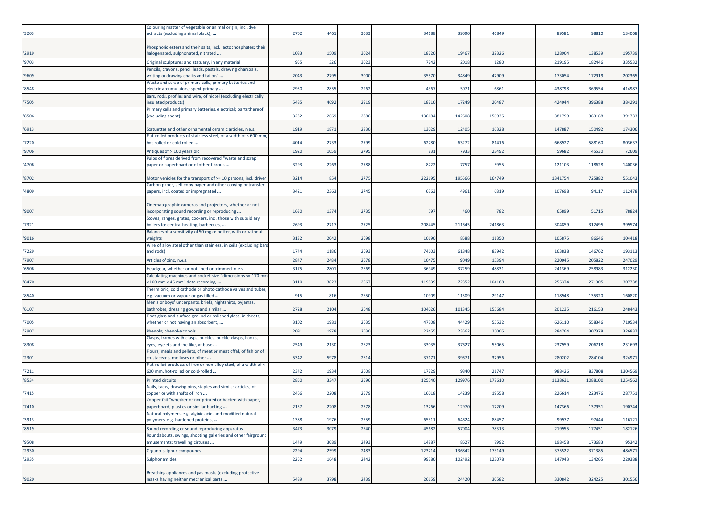| Phosphoric esters and their salts, incl. lactophosphates; their<br>3024<br>32326<br>128904<br>138539<br>195739<br>'2919<br>nalogenated, sulphonated, nitrated<br>1083<br>1509<br>18720<br>19467<br>'9703<br>955<br>326<br>7242<br>1280<br>219195<br>182446<br>3023<br>2018<br>33553<br>Original sculptures and statuary, in any material<br>Pencils, crayons, pencil leads, pastels, drawing charcoals,<br>'9609<br>2043<br>2795<br>3000<br>35570<br>34849<br>47909<br>173054<br>172919<br>202365<br>writing or drawing chalks and tailors'<br>Waste and scrap of primary cells, primary batteries and<br>'8548<br>2950<br>2855<br>2962<br>4367<br>5071<br>6861<br>438798<br>369554<br>414987<br>electric accumulators; spent primary<br>Bars, rods, profiles and wire, of nickel (excluding electrically<br>'7505<br>5485<br>2919<br>18210<br>17249<br>20487<br>424044<br>396388<br>384291<br>4692<br>nsulated products)<br>Primary cells and primary batteries, electrical; parts thereof<br>3232<br>2886<br>136184<br>142608<br>156935<br>381799<br>363168<br>391733<br>'8506<br>(excluding spent)<br>2669<br>'6913<br>1919<br>1871<br>2830<br>13029<br>12405<br>16328<br>147887<br>150492<br>174306<br>Statuettes and other ornamental ceramic articles, n.e.s.<br>Flat-rolled products of stainless steel, of a width of < 600 mm,<br>'7220<br>4014<br>2799<br>62780<br>63272<br>668927<br>588160<br>803637<br>2733<br>81416<br>hot-rolled or cold-rolled<br>'9706<br>1920<br>1059<br>2795<br>831<br>7933<br>23492<br>72609<br>Antiques of > 100 years old<br>59682<br>45530<br>Pulps of fibres derived from recovered "waste and scrap"<br>3293<br>140036<br>'4706<br>2263<br>2788<br>8722<br>7757<br>5955<br>121103<br>118628<br>paper or paperboard or of other fibrous<br>3214<br>222195<br>195566<br>164749<br>1341754<br>725882<br>551043<br>'8702<br>Motor vehicles for the transport of >= 10 persons, incl. driver<br>854<br>2775<br>Carbon paper, self-copy paper and other copying or transfer<br>3421<br>'4809<br>2363<br>2745<br>6363<br>4961<br>6819<br>107698<br>94117<br>112478<br>papers, incl. coated or impregnated<br>Cinematographic cameras and projectors, whether or not<br>1630<br>1374<br>2735<br>65899<br>51715<br>7882<br>'9007<br>incorporating sound recording or reproducing<br>597<br>460<br>782<br>Stoves, ranges, grates, cookers, incl. those with subsidiary<br>2693<br>241863<br>304859<br>312495<br>399574<br>'7321<br>boilers for central heating, barbecues,<br>2717<br>2725<br>208445<br>211645<br>Balances of a sensitivity of 50 mg or better, with or without<br>'9016<br>3132<br>2042<br>2698<br>10190<br>8588<br>11350<br>105875<br>86646<br>104418<br>veights<br>Wire of alloy steel other than stainless, in coils (excluding bars<br>'7229<br>1744<br>1186<br>2693<br>74603<br>61848<br>83942<br>163838<br>146762<br>193113<br>and rods)<br>'7907<br>2847<br>1047<br>9049<br>15394<br>220045<br>20582<br>247029<br>Articles of zinc, n.e.s.<br>2484<br>2678<br>'6506<br>3175<br>2801<br>2669<br>36949<br>37259<br>48831<br>241369<br>258983<br>312230<br>Headgear, whether or not lined or trimmed, n.e.s.<br>Calculating machines and pocket-size "dimensions <= 170 mm<br>'8470<br>3110<br>3823<br>2667<br>119839<br>72352<br>104188<br>255374<br>271305<br>307738<br>< 100 mm x 45 mm" data recording,<br>Thermionic, cold cathode or photo-cathode valves and tubes,<br>'8540<br>915<br>816<br>10909<br>11309<br>29147<br>118948<br>135320<br>160820<br>2650<br>e.g. vacuum or vapour or gas filled<br>Men's or boys' underpants, briefs, nightshirts, pyjamas,<br>2728<br>2648<br>104026<br>101345<br>155684<br>201235<br>216153<br>248443<br>'6107<br>bathrobes, dressing gowns and similar<br>2104<br>Float glass and surface ground or polished glass, in sheets,<br>'7005<br>3102<br>1981<br>2635<br>47308<br>44429<br>55532<br>626110<br>558346<br>710534<br>whether or not having an absorbent,<br>'2907<br>2091<br>1978<br>2630<br>2245<br>23562<br>25005<br>284764<br>307378<br>32683<br>Phenols; phenol-alcohols<br>Clasps, frames with clasps, buckles, buckle-clasps, hooks,<br>'8308<br>2549<br>2130<br>2623<br>33035<br>37627<br>55065<br>237959<br>206718<br>231693<br>eyes, eyelets and the like, of base<br>Flours, meals and pellets, of meat or meat offal, of fish or of<br>5342<br>324971<br>'2301<br>5978<br>37171<br>3967<br>37956<br>280202<br>284104<br>2614<br>crustaceans, molluscs or other<br>Flat-rolled products of iron or non-alloy steel, of a width of <<br>1304569<br>'7211<br>600 mm, hot-rolled or cold-rolled<br>2342<br>1934<br>2608<br>17229<br>9840<br>21747<br>988426<br>837808<br>'8534<br>2850<br>2596<br>125540<br>129976<br>177610<br>3347<br>113863<br>1088100<br>1254562<br><b>Printed circuits</b><br>Nails, tacks, drawing pins, staples and similar articles, of<br>2466<br>287751<br>'7415<br>copper or with shafts of iron<br>2208<br>2579<br>16018<br>14239<br>19558<br>226614<br>223476<br>Copper foil "whether or not printed or backed with paper,<br>'7410<br>paperboard, plastics or similar backing<br>2157<br>2208<br>2578<br>13266<br>12970<br>17209<br>147366<br>137951<br>190744<br>Vatural polymers, e.g. alginic acid, and modified natural<br>65311<br>64624<br>88457<br>99977<br>97444<br>116121<br>1388<br>1976<br>2559<br>polymers, e.g. hardened proteins,<br>177451<br>'8519<br>3473<br>3079<br>2540<br>45682<br>57004<br>78313<br>219955<br>182126<br>Sound recording or sound reproducing apparatus<br>Roundabouts, swings, shooting galleries and other fairground<br>1449<br>14887<br>8627<br>198458<br>173683<br>95342<br>'9508<br>3089<br>2493<br>7992<br>amusements; travelling circuses<br>'2930<br>2294<br>2483<br>123214<br>136842<br>173149<br>371385<br>2599<br>375522<br>484571<br>Organo-sulphur compounds<br>2252<br>'2935<br>2442<br>99380<br>102492<br>123078<br>147943<br>134265<br>220388<br>Sulphonamides<br>1648<br>Breathing appliances and gas masks (excluding protective<br>masks having neither mechanical parts<br>5489<br>3798<br>2439<br>26159<br>24420<br>30582<br>330842<br>324225 | '3203 | Colouring matter of vegetable or animal origin, incl. dye<br>extracts (excluding animal black), | 2702 | 4461 | 3033 | 34188 | 39090 | 46849 | 89581 | 98810 | 134068 |
|------------------------------------------------------------------------------------------------------------------------------------------------------------------------------------------------------------------------------------------------------------------------------------------------------------------------------------------------------------------------------------------------------------------------------------------------------------------------------------------------------------------------------------------------------------------------------------------------------------------------------------------------------------------------------------------------------------------------------------------------------------------------------------------------------------------------------------------------------------------------------------------------------------------------------------------------------------------------------------------------------------------------------------------------------------------------------------------------------------------------------------------------------------------------------------------------------------------------------------------------------------------------------------------------------------------------------------------------------------------------------------------------------------------------------------------------------------------------------------------------------------------------------------------------------------------------------------------------------------------------------------------------------------------------------------------------------------------------------------------------------------------------------------------------------------------------------------------------------------------------------------------------------------------------------------------------------------------------------------------------------------------------------------------------------------------------------------------------------------------------------------------------------------------------------------------------------------------------------------------------------------------------------------------------------------------------------------------------------------------------------------------------------------------------------------------------------------------------------------------------------------------------------------------------------------------------------------------------------------------------------------------------------------------------------------------------------------------------------------------------------------------------------------------------------------------------------------------------------------------------------------------------------------------------------------------------------------------------------------------------------------------------------------------------------------------------------------------------------------------------------------------------------------------------------------------------------------------------------------------------------------------------------------------------------------------------------------------------------------------------------------------------------------------------------------------------------------------------------------------------------------------------------------------------------------------------------------------------------------------------------------------------------------------------------------------------------------------------------------------------------------------------------------------------------------------------------------------------------------------------------------------------------------------------------------------------------------------------------------------------------------------------------------------------------------------------------------------------------------------------------------------------------------------------------------------------------------------------------------------------------------------------------------------------------------------------------------------------------------------------------------------------------------------------------------------------------------------------------------------------------------------------------------------------------------------------------------------------------------------------------------------------------------------------------------------------------------------------------------------------------------------------------------------------------------------------------------------------------------------------------------------------------------------------------------------------------------------------------------------------------------------------------------------------------------------------------------------------------------------------------------------------------------------------------------------------------------------------------------------------------------------------------------------------------------------------------------------------------------------------------------------------------------------------------------------------------------------------------------------------------------------------------------------------------------------------------------------------------------------------------------------------------------------------------------------------------------------------------------------------------------------------------------------------------------------------------------------------------------------------------------------------------------------------------------------------------------------------------------------------------------------------------------------------------------------------------------------------------------------------------------------------------|-------|-------------------------------------------------------------------------------------------------|------|------|------|-------|-------|-------|-------|-------|--------|
|                                                                                                                                                                                                                                                                                                                                                                                                                                                                                                                                                                                                                                                                                                                                                                                                                                                                                                                                                                                                                                                                                                                                                                                                                                                                                                                                                                                                                                                                                                                                                                                                                                                                                                                                                                                                                                                                                                                                                                                                                                                                                                                                                                                                                                                                                                                                                                                                                                                                                                                                                                                                                                                                                                                                                                                                                                                                                                                                                                                                                                                                                                                                                                                                                                                                                                                                                                                                                                                                                                                                                                                                                                                                                                                                                                                                                                                                                                                                                                                                                                                                                                                                                                                                                                                                                                                                                                                                                                                                                                                                                                                                                                                                                                                                                                                                                                                                                                                                                                                                                                                                                                                                                                                                                                                                                                                                                                                                                                                                                                                                                                                                                                                                                                                                                                                                                                                                                                                                                                                                                                                                                                                                                      |       |                                                                                                 |      |      |      |       |       |       |       |       |        |
|                                                                                                                                                                                                                                                                                                                                                                                                                                                                                                                                                                                                                                                                                                                                                                                                                                                                                                                                                                                                                                                                                                                                                                                                                                                                                                                                                                                                                                                                                                                                                                                                                                                                                                                                                                                                                                                                                                                                                                                                                                                                                                                                                                                                                                                                                                                                                                                                                                                                                                                                                                                                                                                                                                                                                                                                                                                                                                                                                                                                                                                                                                                                                                                                                                                                                                                                                                                                                                                                                                                                                                                                                                                                                                                                                                                                                                                                                                                                                                                                                                                                                                                                                                                                                                                                                                                                                                                                                                                                                                                                                                                                                                                                                                                                                                                                                                                                                                                                                                                                                                                                                                                                                                                                                                                                                                                                                                                                                                                                                                                                                                                                                                                                                                                                                                                                                                                                                                                                                                                                                                                                                                                                                      |       |                                                                                                 |      |      |      |       |       |       |       |       |        |
|                                                                                                                                                                                                                                                                                                                                                                                                                                                                                                                                                                                                                                                                                                                                                                                                                                                                                                                                                                                                                                                                                                                                                                                                                                                                                                                                                                                                                                                                                                                                                                                                                                                                                                                                                                                                                                                                                                                                                                                                                                                                                                                                                                                                                                                                                                                                                                                                                                                                                                                                                                                                                                                                                                                                                                                                                                                                                                                                                                                                                                                                                                                                                                                                                                                                                                                                                                                                                                                                                                                                                                                                                                                                                                                                                                                                                                                                                                                                                                                                                                                                                                                                                                                                                                                                                                                                                                                                                                                                                                                                                                                                                                                                                                                                                                                                                                                                                                                                                                                                                                                                                                                                                                                                                                                                                                                                                                                                                                                                                                                                                                                                                                                                                                                                                                                                                                                                                                                                                                                                                                                                                                                                                      |       |                                                                                                 |      |      |      |       |       |       |       |       |        |
|                                                                                                                                                                                                                                                                                                                                                                                                                                                                                                                                                                                                                                                                                                                                                                                                                                                                                                                                                                                                                                                                                                                                                                                                                                                                                                                                                                                                                                                                                                                                                                                                                                                                                                                                                                                                                                                                                                                                                                                                                                                                                                                                                                                                                                                                                                                                                                                                                                                                                                                                                                                                                                                                                                                                                                                                                                                                                                                                                                                                                                                                                                                                                                                                                                                                                                                                                                                                                                                                                                                                                                                                                                                                                                                                                                                                                                                                                                                                                                                                                                                                                                                                                                                                                                                                                                                                                                                                                                                                                                                                                                                                                                                                                                                                                                                                                                                                                                                                                                                                                                                                                                                                                                                                                                                                                                                                                                                                                                                                                                                                                                                                                                                                                                                                                                                                                                                                                                                                                                                                                                                                                                                                                      |       |                                                                                                 |      |      |      |       |       |       |       |       |        |
|                                                                                                                                                                                                                                                                                                                                                                                                                                                                                                                                                                                                                                                                                                                                                                                                                                                                                                                                                                                                                                                                                                                                                                                                                                                                                                                                                                                                                                                                                                                                                                                                                                                                                                                                                                                                                                                                                                                                                                                                                                                                                                                                                                                                                                                                                                                                                                                                                                                                                                                                                                                                                                                                                                                                                                                                                                                                                                                                                                                                                                                                                                                                                                                                                                                                                                                                                                                                                                                                                                                                                                                                                                                                                                                                                                                                                                                                                                                                                                                                                                                                                                                                                                                                                                                                                                                                                                                                                                                                                                                                                                                                                                                                                                                                                                                                                                                                                                                                                                                                                                                                                                                                                                                                                                                                                                                                                                                                                                                                                                                                                                                                                                                                                                                                                                                                                                                                                                                                                                                                                                                                                                                                                      |       |                                                                                                 |      |      |      |       |       |       |       |       |        |
|                                                                                                                                                                                                                                                                                                                                                                                                                                                                                                                                                                                                                                                                                                                                                                                                                                                                                                                                                                                                                                                                                                                                                                                                                                                                                                                                                                                                                                                                                                                                                                                                                                                                                                                                                                                                                                                                                                                                                                                                                                                                                                                                                                                                                                                                                                                                                                                                                                                                                                                                                                                                                                                                                                                                                                                                                                                                                                                                                                                                                                                                                                                                                                                                                                                                                                                                                                                                                                                                                                                                                                                                                                                                                                                                                                                                                                                                                                                                                                                                                                                                                                                                                                                                                                                                                                                                                                                                                                                                                                                                                                                                                                                                                                                                                                                                                                                                                                                                                                                                                                                                                                                                                                                                                                                                                                                                                                                                                                                                                                                                                                                                                                                                                                                                                                                                                                                                                                                                                                                                                                                                                                                                                      |       |                                                                                                 |      |      |      |       |       |       |       |       |        |
|                                                                                                                                                                                                                                                                                                                                                                                                                                                                                                                                                                                                                                                                                                                                                                                                                                                                                                                                                                                                                                                                                                                                                                                                                                                                                                                                                                                                                                                                                                                                                                                                                                                                                                                                                                                                                                                                                                                                                                                                                                                                                                                                                                                                                                                                                                                                                                                                                                                                                                                                                                                                                                                                                                                                                                                                                                                                                                                                                                                                                                                                                                                                                                                                                                                                                                                                                                                                                                                                                                                                                                                                                                                                                                                                                                                                                                                                                                                                                                                                                                                                                                                                                                                                                                                                                                                                                                                                                                                                                                                                                                                                                                                                                                                                                                                                                                                                                                                                                                                                                                                                                                                                                                                                                                                                                                                                                                                                                                                                                                                                                                                                                                                                                                                                                                                                                                                                                                                                                                                                                                                                                                                                                      |       |                                                                                                 |      |      |      |       |       |       |       |       |        |
|                                                                                                                                                                                                                                                                                                                                                                                                                                                                                                                                                                                                                                                                                                                                                                                                                                                                                                                                                                                                                                                                                                                                                                                                                                                                                                                                                                                                                                                                                                                                                                                                                                                                                                                                                                                                                                                                                                                                                                                                                                                                                                                                                                                                                                                                                                                                                                                                                                                                                                                                                                                                                                                                                                                                                                                                                                                                                                                                                                                                                                                                                                                                                                                                                                                                                                                                                                                                                                                                                                                                                                                                                                                                                                                                                                                                                                                                                                                                                                                                                                                                                                                                                                                                                                                                                                                                                                                                                                                                                                                                                                                                                                                                                                                                                                                                                                                                                                                                                                                                                                                                                                                                                                                                                                                                                                                                                                                                                                                                                                                                                                                                                                                                                                                                                                                                                                                                                                                                                                                                                                                                                                                                                      |       |                                                                                                 |      |      |      |       |       |       |       |       |        |
|                                                                                                                                                                                                                                                                                                                                                                                                                                                                                                                                                                                                                                                                                                                                                                                                                                                                                                                                                                                                                                                                                                                                                                                                                                                                                                                                                                                                                                                                                                                                                                                                                                                                                                                                                                                                                                                                                                                                                                                                                                                                                                                                                                                                                                                                                                                                                                                                                                                                                                                                                                                                                                                                                                                                                                                                                                                                                                                                                                                                                                                                                                                                                                                                                                                                                                                                                                                                                                                                                                                                                                                                                                                                                                                                                                                                                                                                                                                                                                                                                                                                                                                                                                                                                                                                                                                                                                                                                                                                                                                                                                                                                                                                                                                                                                                                                                                                                                                                                                                                                                                                                                                                                                                                                                                                                                                                                                                                                                                                                                                                                                                                                                                                                                                                                                                                                                                                                                                                                                                                                                                                                                                                                      |       |                                                                                                 |      |      |      |       |       |       |       |       |        |
|                                                                                                                                                                                                                                                                                                                                                                                                                                                                                                                                                                                                                                                                                                                                                                                                                                                                                                                                                                                                                                                                                                                                                                                                                                                                                                                                                                                                                                                                                                                                                                                                                                                                                                                                                                                                                                                                                                                                                                                                                                                                                                                                                                                                                                                                                                                                                                                                                                                                                                                                                                                                                                                                                                                                                                                                                                                                                                                                                                                                                                                                                                                                                                                                                                                                                                                                                                                                                                                                                                                                                                                                                                                                                                                                                                                                                                                                                                                                                                                                                                                                                                                                                                                                                                                                                                                                                                                                                                                                                                                                                                                                                                                                                                                                                                                                                                                                                                                                                                                                                                                                                                                                                                                                                                                                                                                                                                                                                                                                                                                                                                                                                                                                                                                                                                                                                                                                                                                                                                                                                                                                                                                                                      |       |                                                                                                 |      |      |      |       |       |       |       |       |        |
|                                                                                                                                                                                                                                                                                                                                                                                                                                                                                                                                                                                                                                                                                                                                                                                                                                                                                                                                                                                                                                                                                                                                                                                                                                                                                                                                                                                                                                                                                                                                                                                                                                                                                                                                                                                                                                                                                                                                                                                                                                                                                                                                                                                                                                                                                                                                                                                                                                                                                                                                                                                                                                                                                                                                                                                                                                                                                                                                                                                                                                                                                                                                                                                                                                                                                                                                                                                                                                                                                                                                                                                                                                                                                                                                                                                                                                                                                                                                                                                                                                                                                                                                                                                                                                                                                                                                                                                                                                                                                                                                                                                                                                                                                                                                                                                                                                                                                                                                                                                                                                                                                                                                                                                                                                                                                                                                                                                                                                                                                                                                                                                                                                                                                                                                                                                                                                                                                                                                                                                                                                                                                                                                                      |       |                                                                                                 |      |      |      |       |       |       |       |       |        |
|                                                                                                                                                                                                                                                                                                                                                                                                                                                                                                                                                                                                                                                                                                                                                                                                                                                                                                                                                                                                                                                                                                                                                                                                                                                                                                                                                                                                                                                                                                                                                                                                                                                                                                                                                                                                                                                                                                                                                                                                                                                                                                                                                                                                                                                                                                                                                                                                                                                                                                                                                                                                                                                                                                                                                                                                                                                                                                                                                                                                                                                                                                                                                                                                                                                                                                                                                                                                                                                                                                                                                                                                                                                                                                                                                                                                                                                                                                                                                                                                                                                                                                                                                                                                                                                                                                                                                                                                                                                                                                                                                                                                                                                                                                                                                                                                                                                                                                                                                                                                                                                                                                                                                                                                                                                                                                                                                                                                                                                                                                                                                                                                                                                                                                                                                                                                                                                                                                                                                                                                                                                                                                                                                      |       |                                                                                                 |      |      |      |       |       |       |       |       |        |
|                                                                                                                                                                                                                                                                                                                                                                                                                                                                                                                                                                                                                                                                                                                                                                                                                                                                                                                                                                                                                                                                                                                                                                                                                                                                                                                                                                                                                                                                                                                                                                                                                                                                                                                                                                                                                                                                                                                                                                                                                                                                                                                                                                                                                                                                                                                                                                                                                                                                                                                                                                                                                                                                                                                                                                                                                                                                                                                                                                                                                                                                                                                                                                                                                                                                                                                                                                                                                                                                                                                                                                                                                                                                                                                                                                                                                                                                                                                                                                                                                                                                                                                                                                                                                                                                                                                                                                                                                                                                                                                                                                                                                                                                                                                                                                                                                                                                                                                                                                                                                                                                                                                                                                                                                                                                                                                                                                                                                                                                                                                                                                                                                                                                                                                                                                                                                                                                                                                                                                                                                                                                                                                                                      |       |                                                                                                 |      |      |      |       |       |       |       |       |        |
|                                                                                                                                                                                                                                                                                                                                                                                                                                                                                                                                                                                                                                                                                                                                                                                                                                                                                                                                                                                                                                                                                                                                                                                                                                                                                                                                                                                                                                                                                                                                                                                                                                                                                                                                                                                                                                                                                                                                                                                                                                                                                                                                                                                                                                                                                                                                                                                                                                                                                                                                                                                                                                                                                                                                                                                                                                                                                                                                                                                                                                                                                                                                                                                                                                                                                                                                                                                                                                                                                                                                                                                                                                                                                                                                                                                                                                                                                                                                                                                                                                                                                                                                                                                                                                                                                                                                                                                                                                                                                                                                                                                                                                                                                                                                                                                                                                                                                                                                                                                                                                                                                                                                                                                                                                                                                                                                                                                                                                                                                                                                                                                                                                                                                                                                                                                                                                                                                                                                                                                                                                                                                                                                                      |       |                                                                                                 |      |      |      |       |       |       |       |       |        |
|                                                                                                                                                                                                                                                                                                                                                                                                                                                                                                                                                                                                                                                                                                                                                                                                                                                                                                                                                                                                                                                                                                                                                                                                                                                                                                                                                                                                                                                                                                                                                                                                                                                                                                                                                                                                                                                                                                                                                                                                                                                                                                                                                                                                                                                                                                                                                                                                                                                                                                                                                                                                                                                                                                                                                                                                                                                                                                                                                                                                                                                                                                                                                                                                                                                                                                                                                                                                                                                                                                                                                                                                                                                                                                                                                                                                                                                                                                                                                                                                                                                                                                                                                                                                                                                                                                                                                                                                                                                                                                                                                                                                                                                                                                                                                                                                                                                                                                                                                                                                                                                                                                                                                                                                                                                                                                                                                                                                                                                                                                                                                                                                                                                                                                                                                                                                                                                                                                                                                                                                                                                                                                                                                      |       |                                                                                                 |      |      |      |       |       |       |       |       |        |
|                                                                                                                                                                                                                                                                                                                                                                                                                                                                                                                                                                                                                                                                                                                                                                                                                                                                                                                                                                                                                                                                                                                                                                                                                                                                                                                                                                                                                                                                                                                                                                                                                                                                                                                                                                                                                                                                                                                                                                                                                                                                                                                                                                                                                                                                                                                                                                                                                                                                                                                                                                                                                                                                                                                                                                                                                                                                                                                                                                                                                                                                                                                                                                                                                                                                                                                                                                                                                                                                                                                                                                                                                                                                                                                                                                                                                                                                                                                                                                                                                                                                                                                                                                                                                                                                                                                                                                                                                                                                                                                                                                                                                                                                                                                                                                                                                                                                                                                                                                                                                                                                                                                                                                                                                                                                                                                                                                                                                                                                                                                                                                                                                                                                                                                                                                                                                                                                                                                                                                                                                                                                                                                                                      |       |                                                                                                 |      |      |      |       |       |       |       |       |        |
| 301556                                                                                                                                                                                                                                                                                                                                                                                                                                                                                                                                                                                                                                                                                                                                                                                                                                                                                                                                                                                                                                                                                                                                                                                                                                                                                                                                                                                                                                                                                                                                                                                                                                                                                                                                                                                                                                                                                                                                                                                                                                                                                                                                                                                                                                                                                                                                                                                                                                                                                                                                                                                                                                                                                                                                                                                                                                                                                                                                                                                                                                                                                                                                                                                                                                                                                                                                                                                                                                                                                                                                                                                                                                                                                                                                                                                                                                                                                                                                                                                                                                                                                                                                                                                                                                                                                                                                                                                                                                                                                                                                                                                                                                                                                                                                                                                                                                                                                                                                                                                                                                                                                                                                                                                                                                                                                                                                                                                                                                                                                                                                                                                                                                                                                                                                                                                                                                                                                                                                                                                                                                                                                                                                               |       |                                                                                                 |      |      |      |       |       |       |       |       |        |
|                                                                                                                                                                                                                                                                                                                                                                                                                                                                                                                                                                                                                                                                                                                                                                                                                                                                                                                                                                                                                                                                                                                                                                                                                                                                                                                                                                                                                                                                                                                                                                                                                                                                                                                                                                                                                                                                                                                                                                                                                                                                                                                                                                                                                                                                                                                                                                                                                                                                                                                                                                                                                                                                                                                                                                                                                                                                                                                                                                                                                                                                                                                                                                                                                                                                                                                                                                                                                                                                                                                                                                                                                                                                                                                                                                                                                                                                                                                                                                                                                                                                                                                                                                                                                                                                                                                                                                                                                                                                                                                                                                                                                                                                                                                                                                                                                                                                                                                                                                                                                                                                                                                                                                                                                                                                                                                                                                                                                                                                                                                                                                                                                                                                                                                                                                                                                                                                                                                                                                                                                                                                                                                                                      |       |                                                                                                 |      |      |      |       |       |       |       |       |        |
|                                                                                                                                                                                                                                                                                                                                                                                                                                                                                                                                                                                                                                                                                                                                                                                                                                                                                                                                                                                                                                                                                                                                                                                                                                                                                                                                                                                                                                                                                                                                                                                                                                                                                                                                                                                                                                                                                                                                                                                                                                                                                                                                                                                                                                                                                                                                                                                                                                                                                                                                                                                                                                                                                                                                                                                                                                                                                                                                                                                                                                                                                                                                                                                                                                                                                                                                                                                                                                                                                                                                                                                                                                                                                                                                                                                                                                                                                                                                                                                                                                                                                                                                                                                                                                                                                                                                                                                                                                                                                                                                                                                                                                                                                                                                                                                                                                                                                                                                                                                                                                                                                                                                                                                                                                                                                                                                                                                                                                                                                                                                                                                                                                                                                                                                                                                                                                                                                                                                                                                                                                                                                                                                                      |       |                                                                                                 |      |      |      |       |       |       |       |       |        |
|                                                                                                                                                                                                                                                                                                                                                                                                                                                                                                                                                                                                                                                                                                                                                                                                                                                                                                                                                                                                                                                                                                                                                                                                                                                                                                                                                                                                                                                                                                                                                                                                                                                                                                                                                                                                                                                                                                                                                                                                                                                                                                                                                                                                                                                                                                                                                                                                                                                                                                                                                                                                                                                                                                                                                                                                                                                                                                                                                                                                                                                                                                                                                                                                                                                                                                                                                                                                                                                                                                                                                                                                                                                                                                                                                                                                                                                                                                                                                                                                                                                                                                                                                                                                                                                                                                                                                                                                                                                                                                                                                                                                                                                                                                                                                                                                                                                                                                                                                                                                                                                                                                                                                                                                                                                                                                                                                                                                                                                                                                                                                                                                                                                                                                                                                                                                                                                                                                                                                                                                                                                                                                                                                      |       |                                                                                                 |      |      |      |       |       |       |       |       |        |
|                                                                                                                                                                                                                                                                                                                                                                                                                                                                                                                                                                                                                                                                                                                                                                                                                                                                                                                                                                                                                                                                                                                                                                                                                                                                                                                                                                                                                                                                                                                                                                                                                                                                                                                                                                                                                                                                                                                                                                                                                                                                                                                                                                                                                                                                                                                                                                                                                                                                                                                                                                                                                                                                                                                                                                                                                                                                                                                                                                                                                                                                                                                                                                                                                                                                                                                                                                                                                                                                                                                                                                                                                                                                                                                                                                                                                                                                                                                                                                                                                                                                                                                                                                                                                                                                                                                                                                                                                                                                                                                                                                                                                                                                                                                                                                                                                                                                                                                                                                                                                                                                                                                                                                                                                                                                                                                                                                                                                                                                                                                                                                                                                                                                                                                                                                                                                                                                                                                                                                                                                                                                                                                                                      |       |                                                                                                 |      |      |      |       |       |       |       |       |        |
|                                                                                                                                                                                                                                                                                                                                                                                                                                                                                                                                                                                                                                                                                                                                                                                                                                                                                                                                                                                                                                                                                                                                                                                                                                                                                                                                                                                                                                                                                                                                                                                                                                                                                                                                                                                                                                                                                                                                                                                                                                                                                                                                                                                                                                                                                                                                                                                                                                                                                                                                                                                                                                                                                                                                                                                                                                                                                                                                                                                                                                                                                                                                                                                                                                                                                                                                                                                                                                                                                                                                                                                                                                                                                                                                                                                                                                                                                                                                                                                                                                                                                                                                                                                                                                                                                                                                                                                                                                                                                                                                                                                                                                                                                                                                                                                                                                                                                                                                                                                                                                                                                                                                                                                                                                                                                                                                                                                                                                                                                                                                                                                                                                                                                                                                                                                                                                                                                                                                                                                                                                                                                                                                                      |       |                                                                                                 |      |      |      |       |       |       |       |       |        |
|                                                                                                                                                                                                                                                                                                                                                                                                                                                                                                                                                                                                                                                                                                                                                                                                                                                                                                                                                                                                                                                                                                                                                                                                                                                                                                                                                                                                                                                                                                                                                                                                                                                                                                                                                                                                                                                                                                                                                                                                                                                                                                                                                                                                                                                                                                                                                                                                                                                                                                                                                                                                                                                                                                                                                                                                                                                                                                                                                                                                                                                                                                                                                                                                                                                                                                                                                                                                                                                                                                                                                                                                                                                                                                                                                                                                                                                                                                                                                                                                                                                                                                                                                                                                                                                                                                                                                                                                                                                                                                                                                                                                                                                                                                                                                                                                                                                                                                                                                                                                                                                                                                                                                                                                                                                                                                                                                                                                                                                                                                                                                                                                                                                                                                                                                                                                                                                                                                                                                                                                                                                                                                                                                      |       |                                                                                                 |      |      |      |       |       |       |       |       |        |
|                                                                                                                                                                                                                                                                                                                                                                                                                                                                                                                                                                                                                                                                                                                                                                                                                                                                                                                                                                                                                                                                                                                                                                                                                                                                                                                                                                                                                                                                                                                                                                                                                                                                                                                                                                                                                                                                                                                                                                                                                                                                                                                                                                                                                                                                                                                                                                                                                                                                                                                                                                                                                                                                                                                                                                                                                                                                                                                                                                                                                                                                                                                                                                                                                                                                                                                                                                                                                                                                                                                                                                                                                                                                                                                                                                                                                                                                                                                                                                                                                                                                                                                                                                                                                                                                                                                                                                                                                                                                                                                                                                                                                                                                                                                                                                                                                                                                                                                                                                                                                                                                                                                                                                                                                                                                                                                                                                                                                                                                                                                                                                                                                                                                                                                                                                                                                                                                                                                                                                                                                                                                                                                                                      |       |                                                                                                 |      |      |      |       |       |       |       |       |        |
|                                                                                                                                                                                                                                                                                                                                                                                                                                                                                                                                                                                                                                                                                                                                                                                                                                                                                                                                                                                                                                                                                                                                                                                                                                                                                                                                                                                                                                                                                                                                                                                                                                                                                                                                                                                                                                                                                                                                                                                                                                                                                                                                                                                                                                                                                                                                                                                                                                                                                                                                                                                                                                                                                                                                                                                                                                                                                                                                                                                                                                                                                                                                                                                                                                                                                                                                                                                                                                                                                                                                                                                                                                                                                                                                                                                                                                                                                                                                                                                                                                                                                                                                                                                                                                                                                                                                                                                                                                                                                                                                                                                                                                                                                                                                                                                                                                                                                                                                                                                                                                                                                                                                                                                                                                                                                                                                                                                                                                                                                                                                                                                                                                                                                                                                                                                                                                                                                                                                                                                                                                                                                                                                                      |       |                                                                                                 |      |      |      |       |       |       |       |       |        |
|                                                                                                                                                                                                                                                                                                                                                                                                                                                                                                                                                                                                                                                                                                                                                                                                                                                                                                                                                                                                                                                                                                                                                                                                                                                                                                                                                                                                                                                                                                                                                                                                                                                                                                                                                                                                                                                                                                                                                                                                                                                                                                                                                                                                                                                                                                                                                                                                                                                                                                                                                                                                                                                                                                                                                                                                                                                                                                                                                                                                                                                                                                                                                                                                                                                                                                                                                                                                                                                                                                                                                                                                                                                                                                                                                                                                                                                                                                                                                                                                                                                                                                                                                                                                                                                                                                                                                                                                                                                                                                                                                                                                                                                                                                                                                                                                                                                                                                                                                                                                                                                                                                                                                                                                                                                                                                                                                                                                                                                                                                                                                                                                                                                                                                                                                                                                                                                                                                                                                                                                                                                                                                                                                      |       |                                                                                                 |      |      |      |       |       |       |       |       |        |
|                                                                                                                                                                                                                                                                                                                                                                                                                                                                                                                                                                                                                                                                                                                                                                                                                                                                                                                                                                                                                                                                                                                                                                                                                                                                                                                                                                                                                                                                                                                                                                                                                                                                                                                                                                                                                                                                                                                                                                                                                                                                                                                                                                                                                                                                                                                                                                                                                                                                                                                                                                                                                                                                                                                                                                                                                                                                                                                                                                                                                                                                                                                                                                                                                                                                                                                                                                                                                                                                                                                                                                                                                                                                                                                                                                                                                                                                                                                                                                                                                                                                                                                                                                                                                                                                                                                                                                                                                                                                                                                                                                                                                                                                                                                                                                                                                                                                                                                                                                                                                                                                                                                                                                                                                                                                                                                                                                                                                                                                                                                                                                                                                                                                                                                                                                                                                                                                                                                                                                                                                                                                                                                                                      |       |                                                                                                 |      |      |      |       |       |       |       |       |        |
|                                                                                                                                                                                                                                                                                                                                                                                                                                                                                                                                                                                                                                                                                                                                                                                                                                                                                                                                                                                                                                                                                                                                                                                                                                                                                                                                                                                                                                                                                                                                                                                                                                                                                                                                                                                                                                                                                                                                                                                                                                                                                                                                                                                                                                                                                                                                                                                                                                                                                                                                                                                                                                                                                                                                                                                                                                                                                                                                                                                                                                                                                                                                                                                                                                                                                                                                                                                                                                                                                                                                                                                                                                                                                                                                                                                                                                                                                                                                                                                                                                                                                                                                                                                                                                                                                                                                                                                                                                                                                                                                                                                                                                                                                                                                                                                                                                                                                                                                                                                                                                                                                                                                                                                                                                                                                                                                                                                                                                                                                                                                                                                                                                                                                                                                                                                                                                                                                                                                                                                                                                                                                                                                                      |       |                                                                                                 |      |      |      |       |       |       |       |       |        |
|                                                                                                                                                                                                                                                                                                                                                                                                                                                                                                                                                                                                                                                                                                                                                                                                                                                                                                                                                                                                                                                                                                                                                                                                                                                                                                                                                                                                                                                                                                                                                                                                                                                                                                                                                                                                                                                                                                                                                                                                                                                                                                                                                                                                                                                                                                                                                                                                                                                                                                                                                                                                                                                                                                                                                                                                                                                                                                                                                                                                                                                                                                                                                                                                                                                                                                                                                                                                                                                                                                                                                                                                                                                                                                                                                                                                                                                                                                                                                                                                                                                                                                                                                                                                                                                                                                                                                                                                                                                                                                                                                                                                                                                                                                                                                                                                                                                                                                                                                                                                                                                                                                                                                                                                                                                                                                                                                                                                                                                                                                                                                                                                                                                                                                                                                                                                                                                                                                                                                                                                                                                                                                                                                      |       |                                                                                                 |      |      |      |       |       |       |       |       |        |
|                                                                                                                                                                                                                                                                                                                                                                                                                                                                                                                                                                                                                                                                                                                                                                                                                                                                                                                                                                                                                                                                                                                                                                                                                                                                                                                                                                                                                                                                                                                                                                                                                                                                                                                                                                                                                                                                                                                                                                                                                                                                                                                                                                                                                                                                                                                                                                                                                                                                                                                                                                                                                                                                                                                                                                                                                                                                                                                                                                                                                                                                                                                                                                                                                                                                                                                                                                                                                                                                                                                                                                                                                                                                                                                                                                                                                                                                                                                                                                                                                                                                                                                                                                                                                                                                                                                                                                                                                                                                                                                                                                                                                                                                                                                                                                                                                                                                                                                                                                                                                                                                                                                                                                                                                                                                                                                                                                                                                                                                                                                                                                                                                                                                                                                                                                                                                                                                                                                                                                                                                                                                                                                                                      |       |                                                                                                 |      |      |      |       |       |       |       |       |        |
|                                                                                                                                                                                                                                                                                                                                                                                                                                                                                                                                                                                                                                                                                                                                                                                                                                                                                                                                                                                                                                                                                                                                                                                                                                                                                                                                                                                                                                                                                                                                                                                                                                                                                                                                                                                                                                                                                                                                                                                                                                                                                                                                                                                                                                                                                                                                                                                                                                                                                                                                                                                                                                                                                                                                                                                                                                                                                                                                                                                                                                                                                                                                                                                                                                                                                                                                                                                                                                                                                                                                                                                                                                                                                                                                                                                                                                                                                                                                                                                                                                                                                                                                                                                                                                                                                                                                                                                                                                                                                                                                                                                                                                                                                                                                                                                                                                                                                                                                                                                                                                                                                                                                                                                                                                                                                                                                                                                                                                                                                                                                                                                                                                                                                                                                                                                                                                                                                                                                                                                                                                                                                                                                                      |       |                                                                                                 |      |      |      |       |       |       |       |       |        |
|                                                                                                                                                                                                                                                                                                                                                                                                                                                                                                                                                                                                                                                                                                                                                                                                                                                                                                                                                                                                                                                                                                                                                                                                                                                                                                                                                                                                                                                                                                                                                                                                                                                                                                                                                                                                                                                                                                                                                                                                                                                                                                                                                                                                                                                                                                                                                                                                                                                                                                                                                                                                                                                                                                                                                                                                                                                                                                                                                                                                                                                                                                                                                                                                                                                                                                                                                                                                                                                                                                                                                                                                                                                                                                                                                                                                                                                                                                                                                                                                                                                                                                                                                                                                                                                                                                                                                                                                                                                                                                                                                                                                                                                                                                                                                                                                                                                                                                                                                                                                                                                                                                                                                                                                                                                                                                                                                                                                                                                                                                                                                                                                                                                                                                                                                                                                                                                                                                                                                                                                                                                                                                                                                      |       |                                                                                                 |      |      |      |       |       |       |       |       |        |
|                                                                                                                                                                                                                                                                                                                                                                                                                                                                                                                                                                                                                                                                                                                                                                                                                                                                                                                                                                                                                                                                                                                                                                                                                                                                                                                                                                                                                                                                                                                                                                                                                                                                                                                                                                                                                                                                                                                                                                                                                                                                                                                                                                                                                                                                                                                                                                                                                                                                                                                                                                                                                                                                                                                                                                                                                                                                                                                                                                                                                                                                                                                                                                                                                                                                                                                                                                                                                                                                                                                                                                                                                                                                                                                                                                                                                                                                                                                                                                                                                                                                                                                                                                                                                                                                                                                                                                                                                                                                                                                                                                                                                                                                                                                                                                                                                                                                                                                                                                                                                                                                                                                                                                                                                                                                                                                                                                                                                                                                                                                                                                                                                                                                                                                                                                                                                                                                                                                                                                                                                                                                                                                                                      |       |                                                                                                 |      |      |      |       |       |       |       |       |        |
|                                                                                                                                                                                                                                                                                                                                                                                                                                                                                                                                                                                                                                                                                                                                                                                                                                                                                                                                                                                                                                                                                                                                                                                                                                                                                                                                                                                                                                                                                                                                                                                                                                                                                                                                                                                                                                                                                                                                                                                                                                                                                                                                                                                                                                                                                                                                                                                                                                                                                                                                                                                                                                                                                                                                                                                                                                                                                                                                                                                                                                                                                                                                                                                                                                                                                                                                                                                                                                                                                                                                                                                                                                                                                                                                                                                                                                                                                                                                                                                                                                                                                                                                                                                                                                                                                                                                                                                                                                                                                                                                                                                                                                                                                                                                                                                                                                                                                                                                                                                                                                                                                                                                                                                                                                                                                                                                                                                                                                                                                                                                                                                                                                                                                                                                                                                                                                                                                                                                                                                                                                                                                                                                                      |       |                                                                                                 |      |      |      |       |       |       |       |       |        |
|                                                                                                                                                                                                                                                                                                                                                                                                                                                                                                                                                                                                                                                                                                                                                                                                                                                                                                                                                                                                                                                                                                                                                                                                                                                                                                                                                                                                                                                                                                                                                                                                                                                                                                                                                                                                                                                                                                                                                                                                                                                                                                                                                                                                                                                                                                                                                                                                                                                                                                                                                                                                                                                                                                                                                                                                                                                                                                                                                                                                                                                                                                                                                                                                                                                                                                                                                                                                                                                                                                                                                                                                                                                                                                                                                                                                                                                                                                                                                                                                                                                                                                                                                                                                                                                                                                                                                                                                                                                                                                                                                                                                                                                                                                                                                                                                                                                                                                                                                                                                                                                                                                                                                                                                                                                                                                                                                                                                                                                                                                                                                                                                                                                                                                                                                                                                                                                                                                                                                                                                                                                                                                                                                      |       |                                                                                                 |      |      |      |       |       |       |       |       |        |
|                                                                                                                                                                                                                                                                                                                                                                                                                                                                                                                                                                                                                                                                                                                                                                                                                                                                                                                                                                                                                                                                                                                                                                                                                                                                                                                                                                                                                                                                                                                                                                                                                                                                                                                                                                                                                                                                                                                                                                                                                                                                                                                                                                                                                                                                                                                                                                                                                                                                                                                                                                                                                                                                                                                                                                                                                                                                                                                                                                                                                                                                                                                                                                                                                                                                                                                                                                                                                                                                                                                                                                                                                                                                                                                                                                                                                                                                                                                                                                                                                                                                                                                                                                                                                                                                                                                                                                                                                                                                                                                                                                                                                                                                                                                                                                                                                                                                                                                                                                                                                                                                                                                                                                                                                                                                                                                                                                                                                                                                                                                                                                                                                                                                                                                                                                                                                                                                                                                                                                                                                                                                                                                                                      |       |                                                                                                 |      |      |      |       |       |       |       |       |        |
|                                                                                                                                                                                                                                                                                                                                                                                                                                                                                                                                                                                                                                                                                                                                                                                                                                                                                                                                                                                                                                                                                                                                                                                                                                                                                                                                                                                                                                                                                                                                                                                                                                                                                                                                                                                                                                                                                                                                                                                                                                                                                                                                                                                                                                                                                                                                                                                                                                                                                                                                                                                                                                                                                                                                                                                                                                                                                                                                                                                                                                                                                                                                                                                                                                                                                                                                                                                                                                                                                                                                                                                                                                                                                                                                                                                                                                                                                                                                                                                                                                                                                                                                                                                                                                                                                                                                                                                                                                                                                                                                                                                                                                                                                                                                                                                                                                                                                                                                                                                                                                                                                                                                                                                                                                                                                                                                                                                                                                                                                                                                                                                                                                                                                                                                                                                                                                                                                                                                                                                                                                                                                                                                                      |       |                                                                                                 |      |      |      |       |       |       |       |       |        |
|                                                                                                                                                                                                                                                                                                                                                                                                                                                                                                                                                                                                                                                                                                                                                                                                                                                                                                                                                                                                                                                                                                                                                                                                                                                                                                                                                                                                                                                                                                                                                                                                                                                                                                                                                                                                                                                                                                                                                                                                                                                                                                                                                                                                                                                                                                                                                                                                                                                                                                                                                                                                                                                                                                                                                                                                                                                                                                                                                                                                                                                                                                                                                                                                                                                                                                                                                                                                                                                                                                                                                                                                                                                                                                                                                                                                                                                                                                                                                                                                                                                                                                                                                                                                                                                                                                                                                                                                                                                                                                                                                                                                                                                                                                                                                                                                                                                                                                                                                                                                                                                                                                                                                                                                                                                                                                                                                                                                                                                                                                                                                                                                                                                                                                                                                                                                                                                                                                                                                                                                                                                                                                                                                      |       |                                                                                                 |      |      |      |       |       |       |       |       |        |
|                                                                                                                                                                                                                                                                                                                                                                                                                                                                                                                                                                                                                                                                                                                                                                                                                                                                                                                                                                                                                                                                                                                                                                                                                                                                                                                                                                                                                                                                                                                                                                                                                                                                                                                                                                                                                                                                                                                                                                                                                                                                                                                                                                                                                                                                                                                                                                                                                                                                                                                                                                                                                                                                                                                                                                                                                                                                                                                                                                                                                                                                                                                                                                                                                                                                                                                                                                                                                                                                                                                                                                                                                                                                                                                                                                                                                                                                                                                                                                                                                                                                                                                                                                                                                                                                                                                                                                                                                                                                                                                                                                                                                                                                                                                                                                                                                                                                                                                                                                                                                                                                                                                                                                                                                                                                                                                                                                                                                                                                                                                                                                                                                                                                                                                                                                                                                                                                                                                                                                                                                                                                                                                                                      |       |                                                                                                 |      |      |      |       |       |       |       |       |        |
|                                                                                                                                                                                                                                                                                                                                                                                                                                                                                                                                                                                                                                                                                                                                                                                                                                                                                                                                                                                                                                                                                                                                                                                                                                                                                                                                                                                                                                                                                                                                                                                                                                                                                                                                                                                                                                                                                                                                                                                                                                                                                                                                                                                                                                                                                                                                                                                                                                                                                                                                                                                                                                                                                                                                                                                                                                                                                                                                                                                                                                                                                                                                                                                                                                                                                                                                                                                                                                                                                                                                                                                                                                                                                                                                                                                                                                                                                                                                                                                                                                                                                                                                                                                                                                                                                                                                                                                                                                                                                                                                                                                                                                                                                                                                                                                                                                                                                                                                                                                                                                                                                                                                                                                                                                                                                                                                                                                                                                                                                                                                                                                                                                                                                                                                                                                                                                                                                                                                                                                                                                                                                                                                                      |       |                                                                                                 |      |      |      |       |       |       |       |       |        |
|                                                                                                                                                                                                                                                                                                                                                                                                                                                                                                                                                                                                                                                                                                                                                                                                                                                                                                                                                                                                                                                                                                                                                                                                                                                                                                                                                                                                                                                                                                                                                                                                                                                                                                                                                                                                                                                                                                                                                                                                                                                                                                                                                                                                                                                                                                                                                                                                                                                                                                                                                                                                                                                                                                                                                                                                                                                                                                                                                                                                                                                                                                                                                                                                                                                                                                                                                                                                                                                                                                                                                                                                                                                                                                                                                                                                                                                                                                                                                                                                                                                                                                                                                                                                                                                                                                                                                                                                                                                                                                                                                                                                                                                                                                                                                                                                                                                                                                                                                                                                                                                                                                                                                                                                                                                                                                                                                                                                                                                                                                                                                                                                                                                                                                                                                                                                                                                                                                                                                                                                                                                                                                                                                      |       |                                                                                                 |      |      |      |       |       |       |       |       |        |
|                                                                                                                                                                                                                                                                                                                                                                                                                                                                                                                                                                                                                                                                                                                                                                                                                                                                                                                                                                                                                                                                                                                                                                                                                                                                                                                                                                                                                                                                                                                                                                                                                                                                                                                                                                                                                                                                                                                                                                                                                                                                                                                                                                                                                                                                                                                                                                                                                                                                                                                                                                                                                                                                                                                                                                                                                                                                                                                                                                                                                                                                                                                                                                                                                                                                                                                                                                                                                                                                                                                                                                                                                                                                                                                                                                                                                                                                                                                                                                                                                                                                                                                                                                                                                                                                                                                                                                                                                                                                                                                                                                                                                                                                                                                                                                                                                                                                                                                                                                                                                                                                                                                                                                                                                                                                                                                                                                                                                                                                                                                                                                                                                                                                                                                                                                                                                                                                                                                                                                                                                                                                                                                                                      |       |                                                                                                 |      |      |      |       |       |       |       |       |        |
|                                                                                                                                                                                                                                                                                                                                                                                                                                                                                                                                                                                                                                                                                                                                                                                                                                                                                                                                                                                                                                                                                                                                                                                                                                                                                                                                                                                                                                                                                                                                                                                                                                                                                                                                                                                                                                                                                                                                                                                                                                                                                                                                                                                                                                                                                                                                                                                                                                                                                                                                                                                                                                                                                                                                                                                                                                                                                                                                                                                                                                                                                                                                                                                                                                                                                                                                                                                                                                                                                                                                                                                                                                                                                                                                                                                                                                                                                                                                                                                                                                                                                                                                                                                                                                                                                                                                                                                                                                                                                                                                                                                                                                                                                                                                                                                                                                                                                                                                                                                                                                                                                                                                                                                                                                                                                                                                                                                                                                                                                                                                                                                                                                                                                                                                                                                                                                                                                                                                                                                                                                                                                                                                                      | '3913 |                                                                                                 |      |      |      |       |       |       |       |       |        |
|                                                                                                                                                                                                                                                                                                                                                                                                                                                                                                                                                                                                                                                                                                                                                                                                                                                                                                                                                                                                                                                                                                                                                                                                                                                                                                                                                                                                                                                                                                                                                                                                                                                                                                                                                                                                                                                                                                                                                                                                                                                                                                                                                                                                                                                                                                                                                                                                                                                                                                                                                                                                                                                                                                                                                                                                                                                                                                                                                                                                                                                                                                                                                                                                                                                                                                                                                                                                                                                                                                                                                                                                                                                                                                                                                                                                                                                                                                                                                                                                                                                                                                                                                                                                                                                                                                                                                                                                                                                                                                                                                                                                                                                                                                                                                                                                                                                                                                                                                                                                                                                                                                                                                                                                                                                                                                                                                                                                                                                                                                                                                                                                                                                                                                                                                                                                                                                                                                                                                                                                                                                                                                                                                      |       |                                                                                                 |      |      |      |       |       |       |       |       |        |
|                                                                                                                                                                                                                                                                                                                                                                                                                                                                                                                                                                                                                                                                                                                                                                                                                                                                                                                                                                                                                                                                                                                                                                                                                                                                                                                                                                                                                                                                                                                                                                                                                                                                                                                                                                                                                                                                                                                                                                                                                                                                                                                                                                                                                                                                                                                                                                                                                                                                                                                                                                                                                                                                                                                                                                                                                                                                                                                                                                                                                                                                                                                                                                                                                                                                                                                                                                                                                                                                                                                                                                                                                                                                                                                                                                                                                                                                                                                                                                                                                                                                                                                                                                                                                                                                                                                                                                                                                                                                                                                                                                                                                                                                                                                                                                                                                                                                                                                                                                                                                                                                                                                                                                                                                                                                                                                                                                                                                                                                                                                                                                                                                                                                                                                                                                                                                                                                                                                                                                                                                                                                                                                                                      |       |                                                                                                 |      |      |      |       |       |       |       |       |        |
|                                                                                                                                                                                                                                                                                                                                                                                                                                                                                                                                                                                                                                                                                                                                                                                                                                                                                                                                                                                                                                                                                                                                                                                                                                                                                                                                                                                                                                                                                                                                                                                                                                                                                                                                                                                                                                                                                                                                                                                                                                                                                                                                                                                                                                                                                                                                                                                                                                                                                                                                                                                                                                                                                                                                                                                                                                                                                                                                                                                                                                                                                                                                                                                                                                                                                                                                                                                                                                                                                                                                                                                                                                                                                                                                                                                                                                                                                                                                                                                                                                                                                                                                                                                                                                                                                                                                                                                                                                                                                                                                                                                                                                                                                                                                                                                                                                                                                                                                                                                                                                                                                                                                                                                                                                                                                                                                                                                                                                                                                                                                                                                                                                                                                                                                                                                                                                                                                                                                                                                                                                                                                                                                                      |       |                                                                                                 |      |      |      |       |       |       |       |       |        |
|                                                                                                                                                                                                                                                                                                                                                                                                                                                                                                                                                                                                                                                                                                                                                                                                                                                                                                                                                                                                                                                                                                                                                                                                                                                                                                                                                                                                                                                                                                                                                                                                                                                                                                                                                                                                                                                                                                                                                                                                                                                                                                                                                                                                                                                                                                                                                                                                                                                                                                                                                                                                                                                                                                                                                                                                                                                                                                                                                                                                                                                                                                                                                                                                                                                                                                                                                                                                                                                                                                                                                                                                                                                                                                                                                                                                                                                                                                                                                                                                                                                                                                                                                                                                                                                                                                                                                                                                                                                                                                                                                                                                                                                                                                                                                                                                                                                                                                                                                                                                                                                                                                                                                                                                                                                                                                                                                                                                                                                                                                                                                                                                                                                                                                                                                                                                                                                                                                                                                                                                                                                                                                                                                      |       |                                                                                                 |      |      |      |       |       |       |       |       |        |
|                                                                                                                                                                                                                                                                                                                                                                                                                                                                                                                                                                                                                                                                                                                                                                                                                                                                                                                                                                                                                                                                                                                                                                                                                                                                                                                                                                                                                                                                                                                                                                                                                                                                                                                                                                                                                                                                                                                                                                                                                                                                                                                                                                                                                                                                                                                                                                                                                                                                                                                                                                                                                                                                                                                                                                                                                                                                                                                                                                                                                                                                                                                                                                                                                                                                                                                                                                                                                                                                                                                                                                                                                                                                                                                                                                                                                                                                                                                                                                                                                                                                                                                                                                                                                                                                                                                                                                                                                                                                                                                                                                                                                                                                                                                                                                                                                                                                                                                                                                                                                                                                                                                                                                                                                                                                                                                                                                                                                                                                                                                                                                                                                                                                                                                                                                                                                                                                                                                                                                                                                                                                                                                                                      |       |                                                                                                 |      |      |      |       |       |       |       |       |        |
|                                                                                                                                                                                                                                                                                                                                                                                                                                                                                                                                                                                                                                                                                                                                                                                                                                                                                                                                                                                                                                                                                                                                                                                                                                                                                                                                                                                                                                                                                                                                                                                                                                                                                                                                                                                                                                                                                                                                                                                                                                                                                                                                                                                                                                                                                                                                                                                                                                                                                                                                                                                                                                                                                                                                                                                                                                                                                                                                                                                                                                                                                                                                                                                                                                                                                                                                                                                                                                                                                                                                                                                                                                                                                                                                                                                                                                                                                                                                                                                                                                                                                                                                                                                                                                                                                                                                                                                                                                                                                                                                                                                                                                                                                                                                                                                                                                                                                                                                                                                                                                                                                                                                                                                                                                                                                                                                                                                                                                                                                                                                                                                                                                                                                                                                                                                                                                                                                                                                                                                                                                                                                                                                                      |       |                                                                                                 |      |      |      |       |       |       |       |       |        |
|                                                                                                                                                                                                                                                                                                                                                                                                                                                                                                                                                                                                                                                                                                                                                                                                                                                                                                                                                                                                                                                                                                                                                                                                                                                                                                                                                                                                                                                                                                                                                                                                                                                                                                                                                                                                                                                                                                                                                                                                                                                                                                                                                                                                                                                                                                                                                                                                                                                                                                                                                                                                                                                                                                                                                                                                                                                                                                                                                                                                                                                                                                                                                                                                                                                                                                                                                                                                                                                                                                                                                                                                                                                                                                                                                                                                                                                                                                                                                                                                                                                                                                                                                                                                                                                                                                                                                                                                                                                                                                                                                                                                                                                                                                                                                                                                                                                                                                                                                                                                                                                                                                                                                                                                                                                                                                                                                                                                                                                                                                                                                                                                                                                                                                                                                                                                                                                                                                                                                                                                                                                                                                                                                      | '9020 |                                                                                                 |      |      |      |       |       |       |       |       |        |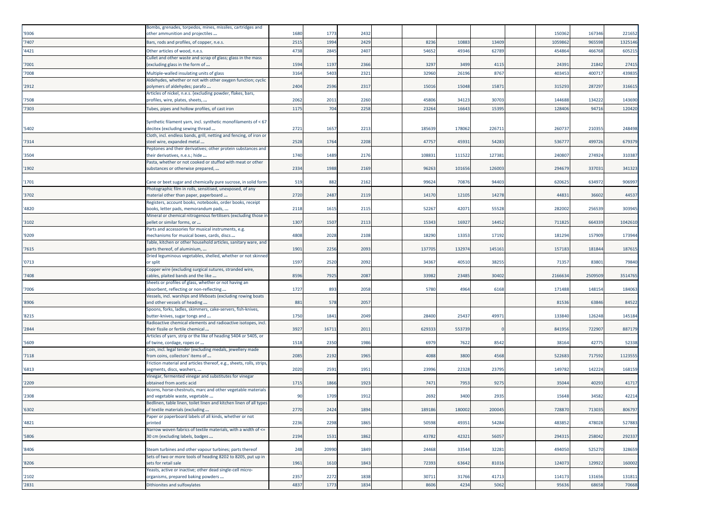| '9306 | Bombs, grenades, torpedos, mines, missiles, cartridges and<br>other ammunition and projectiles                          | 1680 | 1773  | 2432 |        |        |        | 150362  | 167346 | 221652  |
|-------|-------------------------------------------------------------------------------------------------------------------------|------|-------|------|--------|--------|--------|---------|--------|---------|
| '7407 | Bars, rods and profiles, of copper, n.e.s.                                                                              | 2515 | 1994  | 2429 | 8236   | 10883  | 13409  | 105986  | 96559  | 1325146 |
| '4421 | Other articles of wood, n.e.s.                                                                                          | 4738 | 2845  | 2407 | 54652  | 49346  | 62789  | 454864  | 466768 | 60521   |
| '7001 | Cullet and other waste and scrap of glass; glass in the mass<br>(excluding glass in the form of                         | 1594 | 1197  | 2366 | 3297   | 3499   | 4115   | 24391   | 21842  | 2741    |
| '7008 | Multiple-walled insulating units of glass                                                                               | 3164 | 5403  | 232  | 32960  | 26196  | 8767   | 403453  | 40071  | 43983   |
| '2912 | Aldehydes, whether or not with other oxygen function; cyclic<br>polymers of aldehydes; parafo                           | 2404 | 2596  | 231  | 15016  | 15048  | 15871  | 315293  | 28729  | 31661   |
|       | Articles of nickel, n.e.s. (excluding powder, flakes, bars,                                                             |      |       |      |        |        |        |         |        |         |
| '7508 | profiles, wire, plates, sheets,                                                                                         | 2062 | 2011  | 2260 | 45806  | 34123  | 30703  | 144688  | 134222 | 143690  |
| '7303 | Tubes, pipes and hollow profiles, of cast iron                                                                          | 1175 | 704   | 2258 | 23264  | 1664   | 15395  | 128406  | 94716  | 120420  |
| '5402 | Synthetic filament yarn, incl. synthetic monofilaments of < 67<br>decitex (excluding sewing thread                      | 2721 | 1657  | 221  | 185639 | 178062 | 226711 | 260737  | 21035  | 248498  |
| '7314 | Cloth, incl. endless bands, grill, netting and fencing, of iron or<br>steel wire, expanded metal                        | 2528 | 1764  | 2208 | 47757  | 45931  | 54283  | 536777  | 499726 | 679379  |
| '3504 | Peptones and their derivatives; other protein substances and<br>their derivatives, n.e.s.; hide                         | 1740 | 1489  | 2176 | 108831 | 111522 | 127381 | 240807  | 274924 | 310387  |
| '1902 | Pasta, whether or not cooked or stuffed with meat or other<br>substances or otherwise prepared,                         | 2334 | 1988  | 2169 | 96263  | 101656 | 126003 | 294679  | 33703  | 341323  |
| '1701 | Cane or beet sugar and chemically pure sucrose, in solid form                                                           | 519  | 882   | 2162 | 99624  | 70876  | 94403  | 620625  | 63497  | 906997  |
|       | Photographic film in rolls, sensitised, unexposed, of any                                                               |      |       |      |        |        |        |         |        |         |
| '3702 | material other than paper, paperboard<br>Registers, account books, notebooks, order books, receipt                      | 2720 | 2487  | 2119 | 14170  | 12105  | 14278  | 44831   | 36602  | 44537   |
| '4820 | books, letter pads, memorandum pads,                                                                                    | 2118 | 1615  | 2115 | 52267  | 42071  | 55528  | 282002  | 256539 | 303945  |
| '3102 | Mineral or chemical nitrogenous fertilisers (excluding those in<br>pellet or similar forms, or                          | 1307 | 1507  | 2113 | 15343  | 16927  | 14452  | 711825  | 66433  | 1042610 |
| '9209 | Parts and accessories for musical instruments, e.g.<br>mechanisms for musical boxes, cards, discs                       | 4808 | 2028  | 2108 | 18290  | 13353  | 17192  | 181294  | 157909 | 173944  |
| '7615 | Table, kitchen or other household articles, sanitary ware, and<br>parts thereof, of aluminium,                          | 1901 | 2256  | 209  | 137705 | 132974 | 145161 | 157183  | 18184  | 18761   |
| '0713 | Dried leguminous vegetables, shelled, whether or not skinned<br>or split                                                | 1597 | 2520  | 2092 | 34367  | 40510  | 38255  | 71357   | 8380   | 79840   |
| '7408 | Copper wire (excluding surgical sutures, stranded wire,<br>cables, plaited bands and the like                           | 8596 | 7925  | 208  | 33982  | 23485  | 30402  | 2166634 | 250950 | 3514765 |
| '7006 | Sheets or profiles of glass, whether or not having an<br>absorbent, reflecting or non-reflecting                        | 1727 | 893   | 2058 | 5780   | 4964   | 6168   | 171488  | 148154 | 18406   |
|       | Vessels, incl. warships and lifeboats (excluding rowing boats                                                           |      |       |      |        |        |        |         |        |         |
| '8906 | and other vessels of heading<br>Spoons, forks, ladles, skimmers, cake-servers, fish-knives,                             | 881  | 578   | 2057 |        |        |        | 81536   | 63846  | 84522   |
| '8215 | butter-knives, sugar tongs and                                                                                          | 1750 | 1841  | 2049 | 28400  | 25437  | 49971  | 133840  | 126248 | 145184  |
| '2844 | Radioactive chemical elements and radioactive isotopes, incl.<br>their fissile or fertile chemical                      | 3927 | 16711 | 2011 | 629333 | 553739 |        | 841956  | 722907 | 887179  |
| '5609 | Articles of yarn, strip or the like of heading 5404 or 5405, or<br>of twine, cordage, ropes or                          | 1518 | 2350  | 1986 | 6979   | 7622   | 8542   | 38164   | 4277   | 52338   |
| '7118 | Coin, incl. legal tender (excluding medals, jewellery made<br>from coins, collectors' items of                          | 2085 | 2192  | 1965 | 4088   | 3800   | 4568   | 522683  | 71759  | 112355  |
| '6813 | Friction material and articles thereof, e.g., sheets, rolls, strips,<br>segments, discs, washers,                       | 2020 | 2591  | 1951 | 23996  | 22328  | 23795  | 149782  | 142224 | 168159  |
| '2209 | Vinegar, fermented vinegar and substitutes for vinegar<br>obtained from acetic acid                                     | 1715 | 1866  | 1923 | 7471   | 7953   | 9275   | 35044   | 40293  | 41717   |
| '2308 | Acorns, horse-chestnuts, marc and other vegetable materials<br>and vegetable waste, vegetable                           | 90   | 1709  | 1912 | 2692   | 3400   | 2935   | 15648   | 34582  | 42214   |
| '6302 | Bedlinen, table linen, toilet linen and kitchen linen of all types<br>of textile materials (excluding                   | 2770 | 2424  | 1894 | 189186 | 180002 | 200045 | 728870  | 713035 | 806797  |
| '4821 | Paper or paperboard labels of all kinds, whether or not<br>printed                                                      | 2236 | 2298  | 1865 | 50598  | 49351  | 54284  | 483852  | 478028 | 527883  |
|       | Narrow woven fabrics of textile materials, with a width of <=                                                           |      |       |      |        |        |        |         |        |         |
| '5806 | 30 cm (excluding labels, badges                                                                                         | 2194 | 1531  | 1862 | 43782  | 42321  | 56057  | 294315  | 258042 | 292337  |
| '8406 | Steam turbines and other vapour turbines; parts thereof<br>Sets of two or more tools of heading 8202 to 8205, put up in | 248  | 20990 | 1849 | 24468  | 33544  | 32281  | 494050  | 525270 | 328659  |
| '8206 | sets for retail sale<br>Yeasts, active or inactive; other dead single-cell micro-                                       | 1961 | 1610  | 1843 | 72393  | 63642  | 81016  | 124073  | 129922 | 160002  |
| '2102 | organisms, prepared baking powders                                                                                      | 2357 | 2272  | 1838 | 30711  | 31766  | 41713  | 114173  | 131656 | 13181   |
| '2831 | Dithionites and sulfoxylates                                                                                            | 4837 | 1773  | 1834 | 8606   | 4234   | 5062   | 95636   | 68658  | 70668   |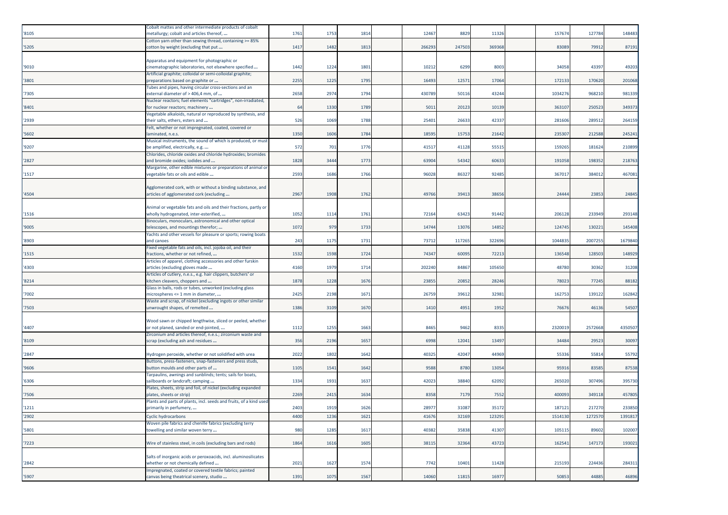| '8105 | Cobalt mattes and other intermediate products of cobalt<br>metallurgy; cobalt and articles thereof, | 1761 | 1753 | 1814 | 12467  | 8829   | 11326  | 157674  | 127784  | 148483  |
|-------|-----------------------------------------------------------------------------------------------------|------|------|------|--------|--------|--------|---------|---------|---------|
|       | Cotton yarn other than sewing thread, containing >= 85%                                             |      |      |      |        |        |        |         |         |         |
| '5205 | cotton by weight (excluding that put                                                                | 1417 | 1482 | 181  | 266293 | 247503 | 369368 | 83089   | 7991    | 8719    |
|       | Apparatus and equipment for photographic or                                                         |      |      |      |        |        |        |         |         |         |
| '9010 | cinematographic laboratories, not elsewhere specified                                               | 1442 | 1224 | 1801 | 10212  | 6299   | 8003   | 34058   | 43397   | 4920    |
| '3801 | Artificial graphite; colloidal or semi-colloidal graphite;<br>preparations based on graphite or     | 2255 | 1225 | 1795 | 16493  | 1257   | 17064  | 172133  | 170620  | 201068  |
|       | Tubes and pipes, having circular cross-sections and an                                              |      |      |      |        |        |        |         |         |         |
| '7305 | external diameter of > 406,4 mm, of                                                                 | 2658 | 2974 | 1794 | 430789 | 50116  | 43244  | 1034276 | 968210  | 981339  |
| '8401 | Nuclear reactors; fuel elements "cartridges", non-irradiated,<br>or nuclear reactors; machinery     | 64   | 1330 | 1789 | 5011   | 20123  | 10139  | 363107  | 25052   | 349373  |
|       | Vegetable alkaloids, natural or reproduced by synthesis, and                                        |      |      |      |        |        |        |         |         |         |
| '2939 | heir salts, ethers, esters and                                                                      | 526  | 1069 | 1788 | 25401  | 2663   | 42337  | 281606  | 28951   | 264159  |
| '5602 | Felt, whether or not impregnated, coated, covered or<br>aminated, n.e.s.                            | 1350 | 1606 | 1784 | 18595  | 15753  | 21642  | 235307  | 212588  | 24524   |
|       | Musical instruments, the sound of which is produced, or must                                        |      |      |      |        |        |        |         |         |         |
| '9207 | be amplified, electrically, e.g.                                                                    | 572  | 701  | 1776 | 41517  | 41128  | 55515  | 159265  | 181624  | 210899  |
|       | Chlorides, chloride oxides and chloride hydroxides; bromides                                        |      |      |      |        |        |        |         |         |         |
| '2827 | and bromide oxides; iodides and<br>Margarine, other edible mixtures or preparations of animal or    | 1828 | 3444 | 1773 | 63904  | 54342  | 60633  | 191058  | 198352  | 218763  |
| '1517 | vegetable fats or oils and edible                                                                   | 2593 | 1686 | 1766 | 96028  | 86327  | 92485  | 367017  | 384012  | 467081  |
|       |                                                                                                     |      |      |      |        |        |        |         |         |         |
|       | Agglomerated cork, with or without a binding substance, and                                         |      |      |      |        |        |        |         |         |         |
| '4504 | articles of agglomerated cork (excluding                                                            | 2967 | 1908 | 1762 | 49766  | 3941   | 38656  | 24444   | 23853   | 24845   |
|       | Animal or vegetable fats and oils and their fractions, partly or                                    |      |      |      |        |        |        |         |         |         |
| '1516 | wholly hydrogenated, inter-esterified,                                                              | 1052 | 1114 | 1761 | 72164  | 63423  | 91442  | 206128  | 23394   | 293148  |
| '9005 | Binoculars, monoculars, astronomical and other optical<br>telescopes, and mountings therefor;       | 1072 | 979  | 1733 | 14744  | 13076  | 14852  | 124745  | 130221  | 145408  |
|       | Yachts and other vessels for pleasure or sports; rowing boats                                       |      |      |      |        |        |        |         |         |         |
| '8903 | and canoes                                                                                          | 243  | 1175 | 1731 | 73712  | 11726  | 322696 | 1044835 | 2007255 | 1679840 |
|       | Fixed vegetable fats and oils, incl. jojoba oil, and their                                          |      |      |      |        |        |        |         |         |         |
| '1515 | fractions, whether or not refined,<br>Articles of apparel, clothing accessories and other furskin   | 1532 | 1598 | 1724 | 74347  | 6009   | 72213  | 136548  | 12850   | 148929  |
| '4303 | articles (excluding gloves made                                                                     | 4160 | 1979 | 1714 | 202240 | 84867  | 105650 | 48780   | 30362   | 31208   |
|       | Articles of cutlery, n.e.s., e.g. hair clippers, butchers' or                                       |      |      |      |        |        |        |         |         |         |
| '8214 | kitchen cleavers, choppers and<br>Glass in balls, rods or tubes, unworked (excluding glass          | 1878 | 1228 | 1676 | 23855  | 2085   | 28246  | 78023   | 77245   | 88182   |
| '7002 | microspheres <= 1 mm in diameter,                                                                   | 2425 | 2198 | 167  | 26759  | 3961   | 32981  | 162753  | 13912   | 162842  |
|       | Waste and scrap, of nickel (excluding ingots or other similar                                       |      |      |      |        |        |        |         |         |         |
| '7503 | unwrought shapes, of remelted                                                                       | 1386 | 3109 | 1670 | 1410   | 4951   | 1952   | 76676   | 46136   | 54507   |
|       | Wood sawn or chipped lengthwise, sliced or peeled, whether                                          |      |      |      |        |        |        |         |         |         |
| '4407 | or not planed, sanded or end-jointed,                                                               | 1112 | 1255 | 166  | 8465   | 9462   | 8335   | 2320019 | 2572668 | 4350507 |
|       | Zirconium and articles thereof, n.e.s.; zirconium waste and                                         |      |      |      |        |        |        |         |         |         |
| '8109 | scrap (excluding ash and residues                                                                   | 356  | 2196 | 1657 | 6998   | 1204   | 13497  | 34484   | 29523   | 30097   |
| '2847 | Hydrogen peroxide, whether or not solidified with urea                                              | 2022 | 1802 | 1642 | 40325  | 42047  | 44969  | 55336   | 5581    | 55792   |
|       | Buttons, press-fasteners, snap-fasteners and press studs,                                           |      |      |      |        |        |        |         |         |         |
| '9606 | button moulds and other parts of                                                                    | 1105 | 1541 | 1642 | 9588   | 8780   | 13054  | 95916   | 83585   | 87538   |
| '6306 | Tarpaulins, awnings and sunblinds; tents; sails for boats,<br>sailboards or landcraft; camping      | 1334 | 1931 | 1637 | 42023  | 38840  | 62092  | 265020  | 307496  | 395730  |
|       | Plates, sheets, strip and foil, of nickel (excluding expanded                                       |      |      |      |        |        |        |         |         |         |
| '7506 | plates, sheets or strip)                                                                            | 2269 | 2415 | 1634 | 8358   | 7179   | 7552   | 400093  | 349118  | 457805  |
| '1211 | Plants and parts of plants, incl. seeds and fruits, of a kind used<br>primarily in perfumery,       | 2403 | 1919 | 1626 | 28977  | 31087  | 35172  | 187121  | 217270  | 233850  |
| '2902 | <b>Cyclic hydrocarbons</b>                                                                          | 4400 | 1236 | 1621 | 41676  | 32169  | 123291 | 1514130 | 1272570 | 1391817 |
|       | Woven pile fabrics and chenille fabrics (excluding terry                                            |      |      |      |        |        |        |         |         |         |
| '5801 | towelling and similar woven terry                                                                   | 980  | 1285 | 1617 | 40382  | 35838  | 41307  | 105115  | 89602   | 102007  |
| '7223 | Wire of stainless steel, in coils (excluding bars and rods)                                         | 1864 | 1616 | 1605 | 38115  | 32364  | 43723  | 162541  | 147173  | 193021  |
|       |                                                                                                     |      |      |      |        |        |        |         |         |         |
|       | Salts of inorganic acids or peroxoacids, incl. aluminosilicates                                     |      |      |      |        |        |        |         |         |         |
| '2842 | whether or not chemically defined<br>mpregnated, coated or covered textile fabrics; painted         | 2021 | 1627 | 1574 | 7742   | 10401  | 11428  | 215193  | 224436  | 284311  |
| '5907 | canvas being theatrical scenery, studio                                                             | 1391 | 1075 | 1567 | 14060  | 11815  | 16977  | 50853   | 44885   | 46896   |
|       |                                                                                                     |      |      |      |        |        |        |         |         |         |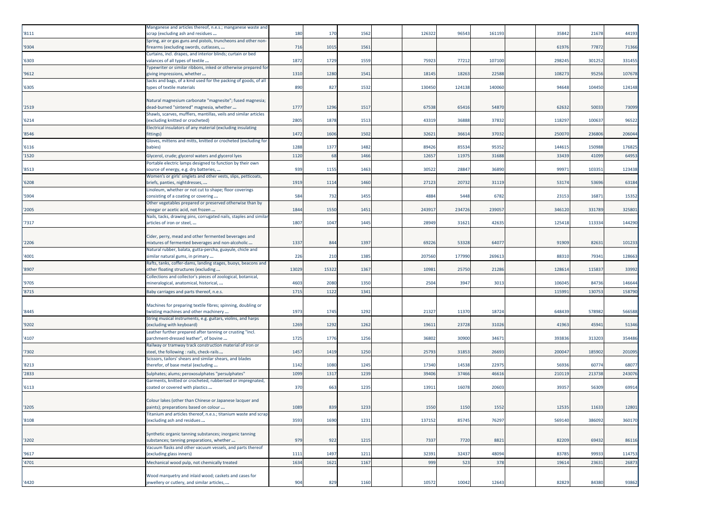| '8111 | Manganese and articles thereof, n.e.s.; manganese waste and<br>scrap (excluding ash and residues               | 180   | 170   | 1562 | 126322 | 96543  | 161193 | 35842  | 21678  | 44193  |
|-------|----------------------------------------------------------------------------------------------------------------|-------|-------|------|--------|--------|--------|--------|--------|--------|
|       | Spring, air or gas guns and pistols, truncheons and other non-                                                 |       |       |      |        |        |        |        |        |        |
| '9304 | firearms (excluding swords, cutlasses,                                                                         | 716   | 1015  | 1561 |        |        |        | 61976  | 77872  | 71366  |
|       | Curtains, incl. drapes, and interior blinds; curtain or bed                                                    |       |       |      |        |        |        |        |        |        |
| '6303 | valances of all types of textile                                                                               | 1872  | 1729  | 1559 | 75923  | 77212  | 107100 | 298245 | 301252 | 331455 |
|       | Typewriter or similar ribbons, inked or otherwise prepared for                                                 |       |       |      |        |        |        |        |        |        |
| '9612 | giving impressions, whether<br>Sacks and bags, of a kind used for the packing of goods, of all                 | 1310  | 1280  | 1541 | 18145  | 18263  | 22588  | 108273 | 95256  | 107678 |
| '6305 | types of textile materials                                                                                     | 890   | 827   | 1532 | 130450 | 124138 | 140060 | 94648  | 104450 | 124148 |
|       |                                                                                                                |       |       |      |        |        |        |        |        |        |
|       | Natural magnesium carbonate "magnesite"; fused magnesia;                                                       |       |       |      |        |        |        |        |        |        |
| '2519 | dead-burned "sintered" magnesia, whether                                                                       | 1777  | 1296  | 1517 | 67538  | 65416  | 54870  | 62632  | 50033  | 73099  |
|       | Shawls, scarves, mufflers, mantillas, veils and similar articles                                               |       |       |      |        |        |        |        |        |        |
| 16214 | (excluding knitted or crocheted)                                                                               | 2805  | 1878  | 1513 | 43319  | 36888  | 37832  | 118297 | 10063  | 96522  |
| '8546 | Electrical insulators of any material (excluding insulating                                                    | 1472  | 1606  |      | 32621  |        | 37032  | 250070 | 236806 | 20604  |
|       | fittings)<br>Gloves, mittens and mitts, knitted or crocheted (excluding for                                    |       |       | 1502 |        | 36614  |        |        |        |        |
| '6116 | babies)                                                                                                        | 1288  | 1377  | 1482 | 89426  | 85534  | 95352  | 144615 | 150988 | 17682  |
| '1520 | Glycerol, crude; glycerol waters and glycerol lyes                                                             | 1120  | 68    | 1466 | 12657  | 1197   | 31688  | 33439  | 41099  | 64953  |
|       | Portable electric lamps designed to function by their own                                                      |       |       |      |        |        |        |        |        |        |
| '8513 | source of energy, e.g. dry batteries,                                                                          | 939   | 1155  | 1463 | 30522  | 28847  | 36890  | 9997:  | 10335  | 123438 |
|       | Women's or girls' singlets and other vests, slips, petticoats,                                                 |       |       |      |        |        |        |        |        |        |
| '6208 | briefs, panties, nightdresses,                                                                                 | 1919  | 1114  | 1460 | 27123  | 20732  | 31119  | 53174  | 53696  | 63184  |
|       | Linoleum, whether or not cut to shape; floor coverings                                                         |       |       |      |        |        |        |        |        |        |
| '5904 | consisting of a coating or covering                                                                            | 584   | 732   | 1455 | 4884   | 5448   | 6782   | 23153  | 1687   | 1535   |
|       | Other vegetables prepared or preserved otherwise than by                                                       |       |       |      |        |        |        |        |        |        |
| '2005 | vinegar or acetic acid, not frozen                                                                             | 1844  | 1550  | 1451 | 243917 | 234726 | 239057 | 346120 | 331789 | 325801 |
|       | Nails, tacks, drawing pins, corrugated nails, staples and similar                                              | 1807  | 1047  | 1445 | 28949  | 31621  | 42635  | 125418 | 113334 | 144290 |
| '7317 | articles of iron or steel,                                                                                     |       |       |      |        |        |        |        |        |        |
|       | Cider, perry, mead and other fermented beverages and                                                           |       |       |      |        |        |        |        |        |        |
| '2206 | mixtures of fermented beverages and non-alcoholic                                                              | 1337  | 844   | 1397 | 69226  | 53328  | 6407   | 91909  | 82631  | 101233 |
|       | Natural rubber, balata, gutta-percha, guayule, chicle and                                                      |       |       |      |        |        |        |        |        |        |
| '4001 | similar natural gums, in primary                                                                               | 226   | 210   | 1385 | 207560 | 177990 | 269613 | 88310  | 79341  | 128663 |
|       | Rafts, tanks, coffer-dams, landing stages, buoys, beacons and                                                  |       |       |      |        |        |        |        |        |        |
| '8907 | other floating structures (excluding                                                                           | 13029 | 15322 | 1367 | 10981  | 25750  | 21286  | 128614 | 11583  | 33992  |
| '9705 | Collections and collector's pieces of zoological, botanical,                                                   | 4603  | 2080  | 1350 | 2504   | 3947   | 3013   | 106045 | 84736  | 146644 |
|       | mineralogical, anatomical, historical,                                                                         |       |       |      |        |        |        |        |        |        |
| '8715 | Baby carriages and parts thereof, n.e.s.                                                                       | 1715  | 1122  | 134  |        |        |        | 11599: | 13075  | 158790 |
|       | Machines for preparing textile fibres; spinning, doubling or                                                   |       |       |      |        |        |        |        |        |        |
| '8445 | twisting machines and other machinery                                                                          | 1973  | 1745  | 1292 | 21327  | 11370  | 18724  | 648439 | 578982 | 566588 |
|       | String musical instruments, e.g. guitars, violins, and harps                                                   |       |       |      |        |        |        |        |        |        |
| '9202 | excluding with keyboard)                                                                                       | 1269  | 1292  | 1262 | 19611  | 23728  | 31026  | 41963  | 4594   | 51346  |
|       | Leather further prepared after tanning or crusting "incl.                                                      |       |       |      |        |        |        |        |        |        |
| '4107 | parchment-dressed leather", of bovine                                                                          | 1725  | 1776  | 1256 | 36802  | 30900  | 34671  | 393836 | 313203 | 354486 |
|       | Railway or tramway track construction material of iron or                                                      |       |       |      |        |        |        |        |        |        |
| '7302 | steel, the following : rails, check-rails                                                                      | 1457  | 1419  | 1250 | 25793  | 31853  | 26693  | 200047 | 185902 | 20109  |
| '8213 | Scissors, tailors' shears and similar shears, and blades<br>therefor, of base metal (excluding                 | 1142  | 1080  | 1245 | 17340  | 14538  | 22975  | 56936  | 60774  | 6807   |
| '2833 |                                                                                                                | 1099  | 1317  | 1239 | 39406  | 37466  | 46616  | 21011  | 213738 | 24307  |
|       | Sulphates; alums; peroxosulphates "persulphates'<br>Garments, knitted or crocheted, rubberised or impregnated, |       |       |      |        |        |        |        |        |        |
| '6113 | coated or covered with plastics                                                                                | 370   | 663   | 1235 | 13911  | 16078  | 2060   | 39357  | 56309  | 6991   |
|       |                                                                                                                |       |       |      |        |        |        |        |        |        |
|       | Colour lakes (other than Chinese or Japanese lacquer and                                                       |       |       |      |        |        |        |        |        |        |
| '3205 | paints); preparations based on colour                                                                          | 1089  | 839   | 1233 | 1550   | 1150   | 1552   | 12535  | 11633  | 12801  |
|       | Titanium and articles thereof, n.e.s.; titanium waste and scrap                                                |       |       |      |        |        |        |        |        |        |
| '8108 | excluding ash and residues                                                                                     | 3593  | 1690  | 1231 | 137152 | 85745  | 76297  | 569140 | 386092 | 360170 |
|       | Synthetic organic tanning substances; inorganic tanning                                                        |       |       |      |        |        |        |        |        |        |
| '3202 | substances; tanning preparations, whether                                                                      | 979   | 922   | 1215 | 7337   | 7720   | 8821   | 82209  | 69432  | 86116  |
|       | Vacuum flasks and other vacuum vessels, and parts thereof                                                      |       |       |      |        |        |        |        |        |        |
| '9617 | (excluding glass inners)                                                                                       | 1111  | 1497  | 1211 | 32391  | 32437  | 48094  | 83785  | 99933  | 114753 |
| '4701 | Mechanical wood pulp, not chemically treated                                                                   | 1634  | 1621  | 1167 | 999    | 523    | 378    | 19614  | 23631  | 26873  |
|       |                                                                                                                |       |       |      |        |        |        |        |        |        |
|       | Wood marquetry and inlaid wood; caskets and cases for                                                          |       |       |      |        |        |        |        |        |        |
| '4420 | jewellery or cutlery, and similar articles,                                                                    | 904   | 829   | 1160 | 10572  | 10042  | 12643  | 82829  | 84380  | 93862  |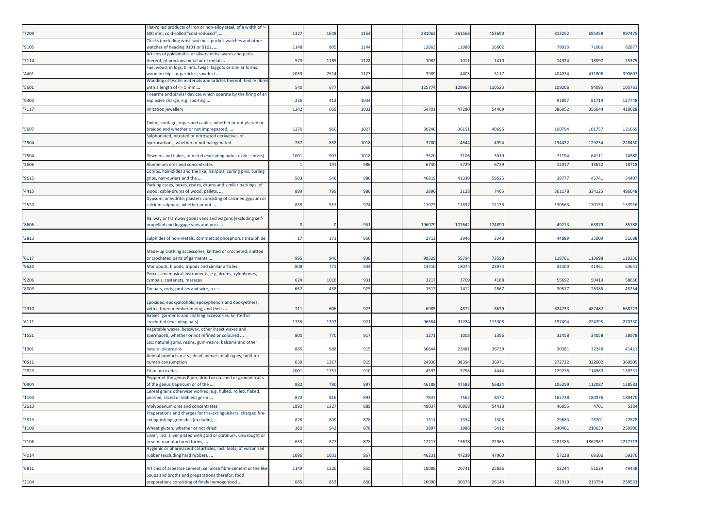| '7209 | Flat-rolled products of iron or non-alloy steel, of a width of >=<br>600 mm, cold-rolled "cold-reduced", | 1327 | 1648 | 1154 | 281062 | 261566 | 453690 | 813252  | 695458  | 997475  |
|-------|----------------------------------------------------------------------------------------------------------|------|------|------|--------|--------|--------|---------|---------|---------|
| '9105 | Clocks (excluding wrist-watches, pocket-watches and other<br>watches of heading 9101 or 9102,            | 1148 | 805  | 1144 | 13863  | 11988  | 16602  | 78016   | 71066   | 82877   |
|       | Articles of goldsmiths' or silversmiths' wares and parts                                                 |      |      |      |        |        |        | 14924   | 1809    |         |
| '7114 | thereof, of precious metal or of metal<br>Fuel wood, in logs, billets, twigs, faggots or similar forms;  | 573  | 1185 | 1128 | 1082   | 1011   | 1410   |         |         | 2537    |
| '4401 | wood in chips or particles; sawdust<br>Wadding of textile materials and articles thereof; textile fibres | 2059 | 2514 | 1123 | 3989   | 4405   | 5117   | 404034  | 411806  | 390607  |
| '5601 | with a length of <= 5 mm                                                                                 | 540  | 677  | 1068 | 12577  | 129967 | 110523 | 109206  | 94095   | 10576   |
| '9303 | Firearms and similar devices which operate by the firing of an<br>explosive charge, e.g. sporting        | 236  | 412  | 1034 |        |        |        | 91897   | 81719   | 127748  |
| '7117 | Imitation jewellery                                                                                      | 1342 | 669  | 103  | 54701  | 47280  | 54469  | 38695   | 35664   | 418028  |
| '5607 | Twine, cordage, ropes and cables, whether or not plaited or<br>braided and whether or not impregnated,   | 1270 | 960  | 1027 | 30246  | 36151  | 40696  | 100794  | 10175   | 121669  |
| '2904 | Sulphonated, nitrated or nitrosated derivatives of<br>hydrocarbons, whether or not halogenated           | 787  | 838  | 1018 | 3780   | 4844   | 4994   | 134422  | 129254  | 228450  |
| '7504 | Powders and flakes, of nickel (excluding nickel oxide sinters)                                           | 1001 | 907  | 1018 | 3520   | 3106   | 3019   | 71194   | 6411    | 74580   |
| '2606 | Aluminium ores and concentrates                                                                          |      | 191  | 986  | 6740   | 5729   | 6739   | 12017   | 13622   | 18718   |
| '9615 | Combs, hair-slides and the like; hairpins; curling pins, curling<br>grips, hair-curlers and the          | 503  | 546  | 986  | 46819  | 41330  | 59525  | 38777   | 45741   | 54407   |
| '4415 | Packing cases, boxes, crates, drums and similar packings, of<br>wood; cable-drums of wood; pallets,      | 899  | 799  | 980  | 2896   | 3128   | 7405   | 361178  | 33412   | 486648  |
| '2520 | Gypsum; anhydrite; plasters consisting of calcined gypsum or<br>calcium sulphate, whether or not         | 838  | 557  | 974  | 11973  | 11897  | 12138  | 130563  | 130153  | 153916  |
| '8606 | Railway or tramway goods vans and wagons (excluding self-<br>propelled and luggage vans and post         |      |      | 951  | 196079 | 107642 | 124890 | 49213   | 63879   | 85788   |
| '2813 | Sulphides of non-metals; commercial phosphorus trisulphide                                               | 17   | 171  | 950  | 2712   | 3946   | 3348   | 44889   | 35009   | 51688   |
| '6117 | Made-up clothing accessories, knitted or crocheted; knitted<br>or crocheted parts of garments            | 995  | 940  | 938  | 99329  | 55794  | 73598  | 118701  | 113698  | 110230  |
| '9620 | Monopods, bipods, tripods and similar articles                                                           | 808  | 771  | 934  | 14710  | 18074  | 23973  | 32400   | 41461   | 53641   |
| '9206 | Percussion musical instruments, e.g. drums, xylophones,<br>:ymbals, castanets, maracas                   | 624  | 1016 | 931  | 3217   | 3709   | 4188   | 55692   | 50419   | 58656   |
| '8003 | Tin bars, rods, profiles and wire, n.e.s.                                                                | 667  | 438  | 925  | 1512   | 1412   | 2867   | 3057    | 2638    | 45254   |
| '2910 | Epoxides, epoxyalcohols, epoxyphenols and epoxyethers,<br>with a three-membered ring, and their          | 711  | 606  | 923  | 6985   | 4872   | 8629   | 624733  | 487482  | 668723  |
| '6111 | Babies' garments and clothing accessories, knitted or<br>crocheted (excluding hats)                      | 1755 | 1392 | 921  | 96664  | 91284  | 113308 | 197494  | 22479   | 270330  |
| '1521 | /egetable waxes, beeswax, other insect waxes and<br>spermaceti, whether or not refined or coloured       | 800  | 770  | 917  | 1271   | 1008   | 1396   | 32458   | 34058   | 38978   |
| '1301 | Lac; natural gums, resins, gum-resins, balsams and other<br>natural oleoresins                           | 885  | 988  | 915  | 36644  | 23481  | 36739  | 30381   | 32248   | 41421   |
| '0511 | Animal products n.e.s.; dead animals of all types, unfit for<br>human consumption                        | 639  | 1217 | 915  | 24936  | 38394  | 36971  | 272732  | 322602  | 360505  |
| '2823 | <b>Titanium oxides</b>                                                                                   | 2001 | 1751 | 910  | 4592   | 3758   | 4444   | 12927   | 11496   | 13925:  |
| '0904 | Pepper of the genus Piper; dried or crushed or ground fruits<br>of the genus Capsicum or of the          | 882  | 790  | 897  | 46188  | 47582  | 56824  | 106299  | 11208   | 128583  |
| '1104 | Cereal grains otherwise worked, e.g. hulled, rolled, flaked,<br>pearled, sliced or kibbled; germ         | 873  | 816  | 893  | 7837   | 7562   | 8472   | 165738  | 18097   | 189470  |
| '2613 | Molybdenum ores and concentrates                                                                         | 1892 | 1327 | 889  | 49037  | 46958  | 54418  | 4605    | 4701    | 5384    |
| '3813 | Preparations and charges for fire-extinguishers; charged fire-<br>extinguishing grenades (excluding      | 826  | 809  | 878  | 1311   | 1334   | 1306   | 29683   | 28201   | 27878   |
| '1109 | Wheat gluten, whether or not dried                                                                       | 160  | 542  | 878  | 3897   | 1986   | 5412   | 240461  | 21063   | 250990  |
| '7106 | Silver, incl. silver plated with gold or platinum, unwrought or<br>in semi-manufactured forms,           | 653  | 877  | 878  | 12217  | 15678  | 22965  | 1281385 | 1862967 | 2217713 |
| '4014 | Hygienic or pharmaceutical articles, incl. teats, of vulcanised<br>rubber (excluding hard rubber),       | 1096 | 1031 | 867  | 46231  | 47239  | 47960  | 57228   | 69106   | 59376   |
| '6811 | Articles of asbestos-cement, cellulose fibre-cement or the like                                          | 1149 | 1226 | 855  | 19088  | 20741  | 25836  | 52244   | 51629   | 49438   |
| '2104 | Soups and broths and preparations therefor; food<br>preparations consisting of finely homogenised        | 685  | 853  | 850  | 26090  | 30373  | 26143  | 221919  | 213754  | 230533  |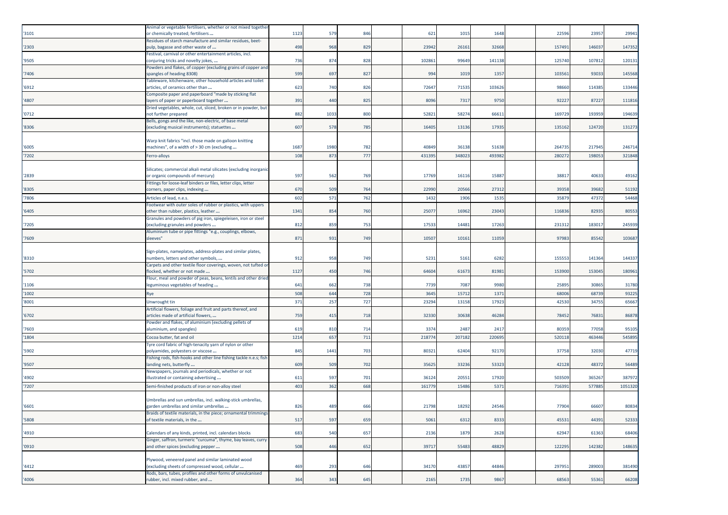| '3101 | Animal or vegetable fertilisers, whether or not mixed togethe<br>or chemically treated; fertilisers           | 1123 | 579  | 846 | 621    | 1015   | 1648   |        | 22596<br>23957  | 2994:   |
|-------|---------------------------------------------------------------------------------------------------------------|------|------|-----|--------|--------|--------|--------|-----------------|---------|
| '2303 | Residues of starch manufacture and similar residues, beet-<br>pulp, bagasse and other waste of                | 498  | 968  | 829 | 23942  | 26161  | 32668  | 157491 | 14603           | 147352  |
| '9505 | Festival, carnival or other entertainment articles, incl.<br>conjuring tricks and novelty jokes,              | 736  | 874  | 828 | 102861 | 99649  | 141138 | 125740 | 10781           | 12013:  |
| '7406 | Powders and flakes, of copper (excluding grains of copper and<br>spangles of heading 8308)                    | 599  | 697  | 827 | 994    | 1019   | 1357   | 103561 | 93033           | 145568  |
| '6912 | Tableware, kitchenware, other household articles and toilet<br>articles, of ceramics other than               | 623  | 740  | 826 | 72647  | 71535  | 103626 |        | 98660<br>114385 | 133446  |
| '4807 | Composite paper and paperboard "made by sticking flat<br>layers of paper or paperboard together               | 391  | 440  | 825 | 8096   | 7317   | 9750   |        | 92227<br>8722   | 111816  |
| '0712 | Dried vegetables, whole, cut, sliced, broken or in powder, but<br>not further prepared                        | 882  | 1033 | 800 | 52821  | 58274  | 66611  | 169729 | 193959          | 194639  |
| '8306 | Bells, gongs and the like, non-electric, of base metal<br>excluding musical instruments); statuettes          | 607  | 578  | 785 | 16405  | 13136  | 17935  | 135162 | 124720          | 131273  |
|       | Warp knit fabrics "incl. those made on galloon knitting                                                       |      |      |     |        |        |        |        |                 |         |
| '6005 | machines", of a width of > 30 cm (excluding                                                                   | 1687 | 1980 | 782 | 40849  | 36138  | 51638  | 264735 | 217945          | 246714  |
| '7202 | Ferro-alloys                                                                                                  | 108  | 873  | 77  | 431395 | 34802  | 493982 | 28027  | 19805           | 321848  |
| '2839 | Silicates; commercial alkali metal silicates (excluding inorganic<br>or organic compounds of mercury)         | 597  | 562  | 769 | 17769  | 16116  | 15887  |        | 3881<br>4063    | 49162   |
| '8305 | Fittings for loose-leaf binders or files, letter clips, letter<br>corners, paper clips, indexing              | 670  | 509  | 764 | 22990  | 20566  | 27312  |        | 39358<br>39682  | 51192   |
| '7806 | Articles of lead, n.e.s.                                                                                      | 602  | 571  | 762 | 1432   | 1906   | 1535   |        | 35879<br>4737   | 54468   |
| '6405 | Footwear with outer soles of rubber or plastics, with uppers<br>other than rubber, plastics, leather          | 1341 | 854  | 760 | 25077  | 16962  | 23043  | 116836 | 82935           | 80553   |
| '7205 | Granules and powders of pig iron, spiegeleisen, iron or steel<br>(excluding granules and powders              | 812  | 859  | 753 | 17533  | 14481  | 17263  | 231312 | 18301           | 245939  |
| '7609 | Aluminium tube or pipe fittings "e.g., couplings, elbows,<br>sleeves"                                         | 871  | 931  | 749 | 10507  | 10161  | 11059  |        | 97983<br>85542  | 103687  |
|       |                                                                                                               |      |      |     |        |        |        |        |                 |         |
| '8310 | Sign-plates, nameplates, address-plates and similar plates,<br>numbers, letters and other symbols,            | 912  | 958  | 749 | 5231   | 5161   | 6282   | 155553 | 141364          | 144337  |
| '5702 | Carpets and other textile floor coverings, woven, not tufted or<br>flocked, whether or not made               | 1127 | 450  | 746 | 64604  | 61673  | 81981  | 153900 | 153045          | 18096:  |
| '1106 | Flour, meal and powder of peas, beans, lentils and other dried<br>leguminous vegetables of heading            | 641  | 662  | 738 | 7739   | 7087   | 9980   |        | 25895<br>30865  | 31780   |
| '1002 | Rye                                                                                                           | 508  | 644  | 728 | 3645   | 15712  | 1371   |        | 68006<br>6873   | 93225   |
| '8001 | Unwrought tin                                                                                                 | 371  | 257  | 727 | 23294  | 13158  | 17923  |        | 42530<br>34755  | 65667   |
| '6702 | Artificial flowers, foliage and fruit and parts thereof, and<br>articles made of artificial flowers,          | 759  | 415  | 718 | 32330  | 30638  | 46284  |        | 78452<br>7683   | 86878   |
| '7603 | Powder and flakes, of aluminium (excluding pellets of<br>aluminium, and spangles)                             | 619  | 810  | 714 | 3374   | 2487   | 2417   |        | 80359<br>77058  | 95105   |
| '1804 | Cocoa butter, fat and oil                                                                                     | 1214 | 657  | 71: | 21877  | 207182 | 220695 | 520118 | 46344           | 545895  |
| '5902 | Tyre cord fabric of high-tenacity yarn of nylon or other<br>polyamides, polyesters or viscose                 | 845  | 1441 | 703 | 80321  | 62404  | 92170  |        | 37758<br>32030  | 47719   |
| '9507 | Fishing rods, fish-hooks and other line fishing tackle n.e.s; fish<br>landing nets, butterfly                 | 609  | 509  | 702 | 35625  | 33236  | 53323  |        | 42128<br>48372  | 56489   |
| '4902 | Newspapers, journals and periodicals, whether or not<br>illustrated or containing advertising                 | 611  | 597  | 701 | 36124  | 20551  | 17920  | 503509 | 36526           | 387972  |
| 7207  | Semi-finished products of iron or non-alloy steel                                                             | 403  | 362  | 668 | 161779 | 15486  | 5371   | 71639  | 57788           | 1051320 |
|       |                                                                                                               |      |      |     |        |        |        |        |                 |         |
| '6601 | Umbrellas and sun umbrellas, incl. walking-stick umbrellas,<br>garden umbrellas and similar umbrellas         | 826  | 489  | 666 | 21798  | 18292  | 24546  |        | 77904<br>66607  | 80834   |
| '5808 | Braids of textile materials, in the piece; ornamental trimmings<br>of textile materials, in the               | 517  | 597  | 659 | 5061   | 6312   | 8333   |        | 45531<br>44391  | 52333   |
| '4910 | Calendars of any kinds, printed, incl. calendars blocks                                                       | 683  | 540  | 657 | 2136   | 1879   | 2628   |        | 62947<br>61363  | 68406   |
| '0910 | Ginger, saffron, turmeric "curcuma", thyme, bay leaves, curry<br>and other spices (excluding pepper           | 508  | 446  | 652 | 39717  | 55483  | 48829  | 122295 | 142382          | 148635  |
|       | Plywood, veneered panel and similar laminated wood                                                            |      |      |     |        |        |        |        |                 |         |
| '4412 | (excluding sheets of compressed wood, cellular<br>Rods, bars, tubes, profiles and other forms of unvulcanised | 469  | 293  | 646 | 34170  | 43857  | 44846  | 297951 | 289003          | 381490  |
| '4006 | rubber, incl. mixed rubber, and                                                                               | 364  | 343  | 645 | 2165   | 1735   | 9867   |        | 68563<br>55361  | 66208   |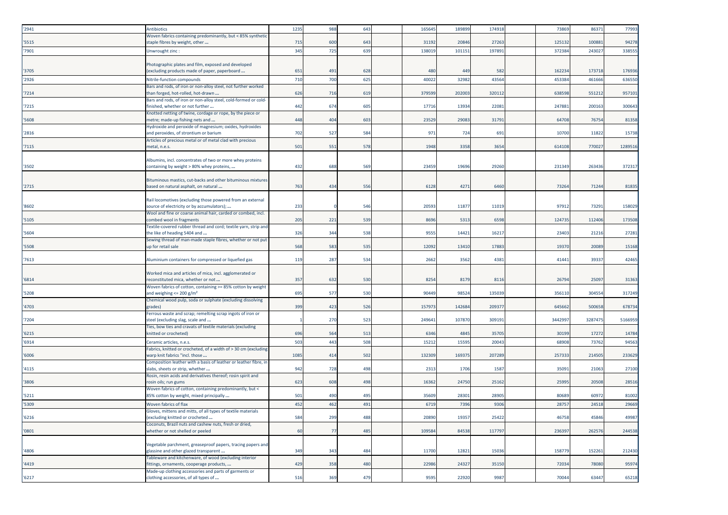| '2941 | <b>Antibiotics</b>                                                                                  | 1235 | 988 | 64  | 165645 | 18989           | 174918 | 7386   | 86371   | 77993   |
|-------|-----------------------------------------------------------------------------------------------------|------|-----|-----|--------|-----------------|--------|--------|---------|---------|
|       | Woven fabrics containing predominantly, but < 85% synthetic                                         |      |     |     |        |                 |        |        |         |         |
| '5515 | staple fibres by weight, other                                                                      | 715  | 600 | 643 | 31192  | 20846           | 27263  | 125132 | 100881  | 94278   |
| '7901 | Unwrought zinc:                                                                                     | 345  | 725 | 639 | 138019 | 10115           | 197891 | 37238  | 24302   | 338555  |
|       |                                                                                                     |      |     |     |        |                 |        |        |         |         |
|       | Photographic plates and film, exposed and developed                                                 |      |     |     |        |                 |        |        |         |         |
| '3705 | (excluding products made of paper, paperboard                                                       | 651  | 491 | 628 | 480    | 44 <sup>0</sup> | 582    | 16223  | 17371   | 176936  |
| '2926 | Nitrile-function compounds                                                                          | 710  | 700 | 625 | 4002   | 3298            | 43564  | 453384 | 461666  | 636550  |
|       | Bars and rods, of iron or non-alloy steel, not further worked                                       |      |     |     |        |                 |        |        |         |         |
| '7214 | than forged, hot-rolled, hot-drawn                                                                  | 626  | 716 | 619 | 37959  | 20200           | 320112 | 63859  | 551212  | 957101  |
| '7215 | Bars and rods, of iron or non-alloy steel, cold-formed or cold-<br>finished, whether or not further | 442  | 674 | 605 | 17716  | 13934           | 22081  | 24788  | 200163  | 300643  |
|       | Knotted netting of twine, cordage or rope, by the piece or                                          |      |     |     |        |                 |        |        |         |         |
| '5608 | metre; made-up fishing nets and                                                                     | 448  | 404 | 603 | 23529  | 2908            | 31791  | 64708  | 76754   | 81358   |
|       | Hydroxide and peroxide of magnesium; oxides, hydroxides                                             |      |     |     |        |                 |        |        |         |         |
| '2816 | and peroxides, of strontium or barium                                                               | 702  | 527 | 584 | 971    | 724             | 691    | 10700  | 11822   | 15738   |
|       | Articles of precious metal or of metal clad with precious                                           |      |     |     |        |                 |        |        |         |         |
| '7115 | metal, n.e.s.                                                                                       | 501  | 551 | 578 | 1948   | 3358            | 3654   | 614108 | 770027  | 1289516 |
|       |                                                                                                     |      |     |     |        |                 |        |        |         |         |
|       | Albumins, incl. concentrates of two or more whey proteins                                           |      |     |     |        |                 |        |        |         |         |
| '3502 | containing by weight > 80% whey proteins,                                                           | 432  | 688 | 56  | 23459  | 1969            | 29260  | 23134  | 263436  | 372317  |
|       | Bituminous mastics, cut-backs and other bituminous mixtures                                         |      |     |     |        |                 |        |        |         |         |
| '2715 | based on natural asphalt, on natural                                                                | 763  | 434 | 556 | 6128   | 4271            | 6460   | 73264  | 71244   | 81835   |
|       |                                                                                                     |      |     |     |        |                 |        |        |         |         |
|       | Rail locomotives (excluding those powered from an external                                          |      |     |     |        |                 |        |        |         |         |
| '8602 | source of electricity or by accumulators);                                                          | 233  |     | 546 | 2059   | 1187            | 11019  | 9791   | 73291   | 158029  |
|       | Wool and fine or coarse animal hair, carded or combed, incl.                                        |      |     |     |        |                 |        |        |         |         |
| '5105 | combed wool in fragments                                                                            | 205  | 221 | 539 | 8696   | 5313            | 6598   | 124735 | 112406  | 173508  |
|       | Textile-covered rubber thread and cord; textile yarn, strip and                                     |      | 344 |     |        |                 |        |        |         |         |
| '5604 | the like of heading 5404 and<br>Sewing thread of man-made staple fibres, whether or not put         | 326  |     | 538 | 9555   | 1442            | 16217  | 23403  | 21216   | 27281   |
| '5508 | up for retail sale                                                                                  | 568  | 583 | 535 | 12092  | 13410           | 17883  | 19370  | 20089   | 15168   |
|       |                                                                                                     |      |     |     |        |                 |        |        |         |         |
| '7613 | Aluminium containers for compressed or liquefied gas                                                | 119  | 287 | 534 | 2662   | 3562            | 4381   | 41441  | 39337   | 42465   |
|       |                                                                                                     |      |     |     |        |                 |        |        |         |         |
|       | Worked mica and articles of mica, incl. agglomerated or                                             |      |     |     |        |                 |        |        |         |         |
| '6814 | reconstituted mica, whether or not                                                                  | 357  | 632 | 530 | 8254   | 8179            | 8116   | 2679   | 25097   | 31363   |
|       | Woven fabrics of cotton, containing >= 85% cotton by weight                                         |      |     |     |        |                 |        |        |         |         |
| '5208 | and weighing $\leq$ 200 g/m <sup>2</sup>                                                            | 695  | 577 | 530 | 90449  | 9852            | 135039 | 35611  | 304554  | 317249  |
| '4703 | Chemical wood pulp, soda or sulphate (excluding dissolving<br>grades)                               | 399  | 423 | 526 | 15797  | 14268           | 20937  | 645662 | 500658  | 678734  |
|       | Ferrous waste and scrap; remelting scrap ingots of iron or                                          |      |     |     |        |                 |        |        |         |         |
| '7204 | steel (excluding slag, scale and                                                                    |      | 270 | 523 | 24964  | 10787           | 309191 | 344299 | 3287475 | 5166959 |
|       | Ties, bow ties and cravats of textile materials (excluding                                          |      |     |     |        |                 |        |        |         |         |
| '6215 | knitted or crocheted)                                                                               | 696  | 564 | 513 | 6346   | 4845            | 35705  | 30199  | 17272   | 14784   |
| '6914 | Ceramic articles, n.e.s.                                                                            | 503  | 443 | 508 | 1521   | 1559            | 2004   | 6890   | 7376    | 94563   |
|       | Fabrics, knitted or crocheted, of a width of > 30 cm (excluding                                     |      |     |     |        |                 |        |        |         |         |
| '6006 | warp knit fabrics "incl. those                                                                      | 1085 | 414 | 502 | 132309 | 16937           | 207289 | 25733  | 214505  | 233629  |
|       | Composition leather with a basis of leather or leather fibre, in                                    |      |     |     |        |                 |        |        |         |         |
| '4115 | slabs, sheets or strip, whether                                                                     | 942  | 728 | 498 | 2313   | 1706            | 1587   | 3509   | 21063   | 27100   |
| '3806 | Rosin, resin acids and derivatives thereof; rosin spirit and                                        | 623  | 608 | 498 | 16362  | 24750           | 25162  | 2599   | 20508   |         |
|       | rosin oils; run gums<br>Woven fabrics of cotton, containing predominantly, but <                    |      |     |     |        |                 |        |        |         | 28516   |
| '5211 | 85% cotton by weight, mixed principally                                                             | 501  | 490 | 495 | 35609  | 2830            | 28905  | 8068   | 60972   | 81002   |
| '5309 | Woven fabrics of flax                                                                               | 452  | 462 | 491 | 6719   | 7396            | 9306   | 2875   | 24518   | 29669   |
|       | Gloves, mittens and mitts, of all types of textile materials                                        |      |     |     |        |                 |        |        |         |         |
| '6216 | excluding knitted or crocheted                                                                      | 584  | 299 | 488 | 20890  | 19357           | 25422  | 46758  | 45846   | 49987   |
|       | Coconuts, Brazil nuts and cashew nuts, fresh or dried,                                              |      |     |     |        |                 |        |        |         |         |
| '0801 | whether or not shelled or peeled                                                                    | 60   | 77  | 485 | 109584 | 84538           | 117797 | 236397 | 262576  | 244538  |
|       |                                                                                                     |      |     |     |        |                 |        |        |         |         |
|       | Vegetable parchment, greaseproof papers, tracing papers and                                         |      |     |     |        |                 |        |        |         |         |
| '4806 | glassine and other glazed transparent                                                               | 349  | 343 | 484 | 11700  | 12821           | 15036  | 158779 | 152261  | 212430  |
| '4419 | Tableware and kitchenware, of wood (excluding interior<br>fittings, ornaments, cooperage products,  | 429  | 358 | 480 | 22986  | 24327           | 35150  | 72034  | 78080   | 95974   |
|       | Made-up clothing accessories and parts of garments or                                               |      |     |     |        |                 |        |        |         |         |
| '6217 | clothing accessories, of all types of                                                               | 516  | 369 | 479 | 9595   | 22920           | 9987   | 70044  | 63447   | 65218   |
|       |                                                                                                     |      |     |     |        |                 |        |        |         |         |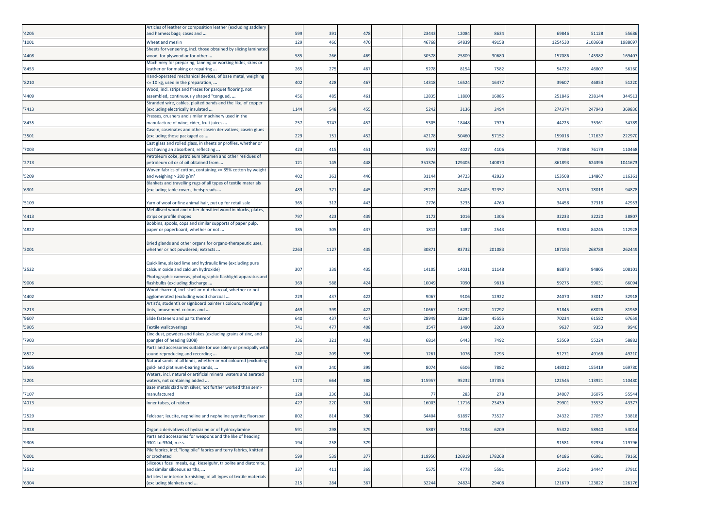| '4205 | Articles of leather or composition leather (excluding saddler)<br>and harness bags; cases and                           | 599  | 391  | 478 | 23443  | 12084  | 8634   | 69846  | 51128  | 55686   |
|-------|-------------------------------------------------------------------------------------------------------------------------|------|------|-----|--------|--------|--------|--------|--------|---------|
| '1001 | Wheat and meslin                                                                                                        | 129  | 460  | 470 | 46768  | 64839  | 49158  | 125453 | 210366 | 1988697 |
|       | Sheets for veneering, incl. those obtained by slicing laminated                                                         |      |      |     |        |        |        |        |        |         |
| '4408 | wood, for plywood or for other                                                                                          | 585  | 266  | 469 | 30578  | 25809  | 30680  | 157086 | 14598  | 16940   |
| '8453 | Machinery for preparing, tanning or working hides, skins or<br>leather or for making or repairing                       | 265  | 275  | 467 | 9278   | 8154   | 7582   | 54722  | 4680   | 56160   |
|       | Hand-operated mechanical devices, of base metal, weighing                                                               |      |      |     |        |        |        |        |        |         |
| '8210 | <= 10 kg, used in the preparation,<br>Wood, incl. strips and friezes for parquet flooring, not                          | 402  | 428  | 467 | 14318  | 16524  | 16477  | 39607  | 46853  | 51220   |
| '4409 | assembled, continuously shaped "tongued,                                                                                | 456  | 485  | 461 | 12835  | 11800  | 16085  | 251846 | 23814  | 344513  |
|       | Stranded wire, cables, plaited bands and the like, of copper                                                            |      |      |     |        |        |        |        |        |         |
| '7413 | excluding electrically insulated<br>Presses, crushers and similar machinery used in the                                 | 1144 | 548  | 455 | 5242   | 3136   | 2494   | 274374 | 24794  | 369836  |
| '8435 | manufacture of wine, cider, fruit juices                                                                                | 257  | 3747 | 452 | 5305   | 18448  | 7929   | 44225  | 35361  | 34789   |
| '3501 | Casein, caseinates and other casein derivatives; casein glues<br>excluding those packaged as                            | 229  | 151  | 452 | 42178  | 50460  | 57152  | 159018 | 171637 | 222970  |
|       | Cast glass and rolled glass, in sheets or profiles, whether or                                                          |      |      |     |        |        |        |        |        |         |
| '7003 | not having an absorbent, reflecting                                                                                     | 423  | 415  | 451 | 5572   | 4027   | 4106   | 77388  | 76179  | 110468  |
| '2713 | Petroleum coke, petroleum bitumen and other residues of<br>petroleum oil or of oil obtained from                        | 121  | 145  | 448 | 351376 | 129405 | 140870 | 861893 | 624396 | 1041673 |
|       | Woven fabrics of cotton, containing >= 85% cotton by weight                                                             |      |      |     |        |        |        |        |        |         |
| '5209 | and weighing > 200 g/m <sup>2</sup>                                                                                     | 402  | 363  | 446 | 31144  | 34723  | 42923  | 153508 | 11486  | 11636   |
| '6301 | Blankets and travelling rugs of all types of textile materials<br>excluding table covers, bedspreads                    | 489  | 371  | 445 | 29272  | 24405  | 32352  | 74316  | 78018  | 94878   |
|       |                                                                                                                         |      |      |     |        |        |        |        |        |         |
| '5109 | Yarn of wool or fine animal hair, put up for retail sale<br>Metallised wood and other densified wood in blocks, plates, | 365  | 312  | 443 | 2776   | 3235   | 4760   | 34458  | 37318  | 4295    |
| '4413 | strips or profile shapes                                                                                                | 797  | 423  | 439 | 1172   | 1016   | 1306   | 32233  | 32220  | 38807   |
|       | Bobbins, spools, cops and similar supports of paper pulp,                                                               |      |      |     |        |        |        |        |        |         |
| '4822 | paper or paperboard, whether or not                                                                                     | 385  | 305  | 437 | 1812   | 1487   | 2543   | 93924  | 84245  | 112928  |
|       | Dried glands and other organs for organo-therapeutic uses,                                                              |      |      |     |        |        |        |        |        |         |
| '3001 | whether or not powdered; extracts                                                                                       | 2263 | 1127 | 435 | 30871  | 83732  | 201083 | 187193 | 26878  | 262449  |
|       | Quicklime, slaked lime and hydraulic lime (excluding pure                                                               |      |      |     |        |        |        |        |        |         |
| '2522 | calcium oxide and calcium hydroxide)                                                                                    | 307  | 339  | 435 | 14105  | 14031  | 11148  | 8887   | 94805  | 10810   |
| '9006 | Photographic cameras, photographic flashlight apparatus and<br>flashbulbs (excluding discharge                          | 369  | 588  | 424 | 10049  | 7090   | 9818   | 59275  | 59031  | 66094   |
|       | Wood charcoal, incl. shell or nut charcoal, whether or not                                                              |      |      |     |        |        |        |        |        |         |
| '4402 | agglomerated (excluding wood charcoal                                                                                   | 229  | 437  | 422 | 9067   | 9106   | 12922  | 24070  | 33017  | 32918   |
| '3213 | Artist's, student's or signboard painter's colours, modifying<br>tints, amusement colours and                           | 469  | 399  | 422 | 10667  | 16232  | 17292  | 51845  | 68026  | 81958   |
| '9607 | Slide fasteners and parts thereof                                                                                       | 640  | 437  | 417 | 28949  | 32284  | 45555  | 70234  | 6158   | 67659   |
| '5905 | <b>Textile wallcoverings</b>                                                                                            | 741  | 477  | 408 | 1547   | 1490   | 2200   | 9637   | 935    | 9940    |
| '7903 | Zinc dust, powders and flakes (excluding grains of zinc, and                                                            | 336  | 321  | 403 | 6814   | 6443   | 7492   | 53569  | 55224  | 58882   |
|       | spangles of heading 8308)<br>Parts and accessories suitable for use solely or principally with                          |      |      |     |        |        |        |        |        |         |
| '8522 | sound reproducing and recording                                                                                         | 242  | 209  | 399 | 1261   | 1076   | 2293   | 51271  | 49166  | 49210   |
| '2505 | Natural sands of all kinds, whether or not coloured (excluding<br>gold- and platinum-bearing sands,                     | 679  | 240  | 399 | 8074   | 6506   | 7882   | 148012 | 15541  | 169780  |
|       | Waters, incl. natural or artificial mineral waters and aerated                                                          |      |      |     |        |        |        |        |        |         |
| '2201 | waters, not containing added                                                                                            | 1170 | 664  | 388 | 115957 | 95232  | 137356 | 12254  | 11392  | 110480  |
| '7107 | Base metals clad with silver, not further worked than semi-<br>nanufactured                                             | 128  | 236  | 382 | 77     | 283    | 278    | 34007  | 3607   | 55544   |
| '4013 | nner tubes, of rubber                                                                                                   | 427  | 220  | 381 | 16003  | 11716  | 23439  | 29901  | 35532  | 43377   |
|       |                                                                                                                         |      |      |     |        |        |        |        |        |         |
| '2529 | Feldspar; leucite, nepheline and nepheline syenite; fluorspar                                                           | 802  | 814  | 380 | 64404  | 61897  | 73527  | 24322  | 27057  | 33818   |
| '2928 | Organic derivatives of hydrazine or of hydroxylamine                                                                    | 591  | 298  | 379 | 5887   | 7198   | 6209   | 55322  | 58940  | 53014   |
|       | Parts and accessories for weapons and the like of heading<br>9301 to 9304, n.e.s.                                       |      |      |     |        |        |        |        |        |         |
| '9305 | Pile fabrics, incl. "long pile" fabrics and terry fabrics, knitted                                                      | 194  | 258  | 379 |        |        |        | 91581  | 92934  | 119796  |
| '6001 | or crocheted                                                                                                            | 599  | 539  | 377 | 119950 | 126919 | 178268 | 64186  | 66981  | 79160   |
| '2512 | Siliceous fossil meals, e.g. kieselguhr, tripolite and diatomite,<br>and similar siliceous earths,                      | 337  | 411  | 369 | 5575   | 4778   | 5581   | 25142  | 24447  | 27910   |
|       | Articles for interior furnishing, of all types of textile materials                                                     |      |      |     |        |        |        |        |        |         |
| '6304 | (excluding blankets and                                                                                                 | 215  | 284  | 367 | 32244  | 24824  | 29408  | 121679 | 123822 | 126176  |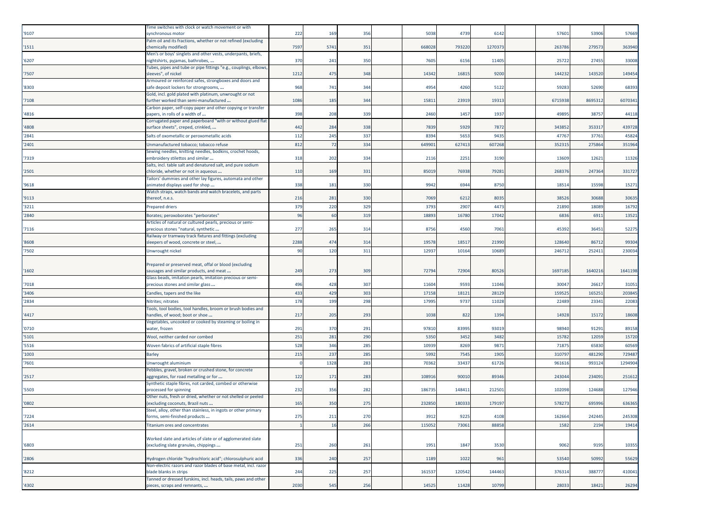| '9107  | Time switches with clock or watch movement or with<br>synchronous motor                            | 222  | 169  | 356 | 5038   | 4739   | 6142    | 57601   | 53906   | 57669   |
|--------|----------------------------------------------------------------------------------------------------|------|------|-----|--------|--------|---------|---------|---------|---------|
|        | Palm oil and its fractions, whether or not refined (excluding                                      |      |      |     |        |        |         |         |         |         |
| '1511  | chemically modified)                                                                               | 7597 | 5741 | 351 | 668028 | 793220 | 1270373 | 263786  | 27957   | 363940  |
|        | Men's or boys' singlets and other vests, underpants, briefs,                                       |      |      |     |        |        |         |         |         |         |
| '6207  | nightshirts, pyjamas, bathrobes,                                                                   | 370  | 241  | 350 | 7605   | 6156   | 11405   | 25722   | 27455   | 33008   |
| '7507  | Tubes, pipes and tube or pipe fittings "e.g., couplings, elbows<br>sleeves", of nickel             | 1212 | 475  | 348 | 14342  | 16815  | 9200    | 144232  | 143520  | 149454  |
|        | Armoured or reinforced safes, strongboxes and doors and                                            |      |      |     |        |        |         |         |         |         |
| '8303  | safe deposit lockers for strongrooms,                                                              | 968  | 741  | 344 | 4954   | 4260   | 5122    | 59283   | 52690   | 68393   |
| '7108  | Gold, incl. gold plated with platinum, unwrought or not<br>further worked than semi-manufactured   | 1086 | 185  | 344 | 15811  | 23919  | 19313   | 6715938 | 8695312 | 607034  |
| '4816  | Carbon paper, self-copy paper and other copying or transfer<br>papers, in rolls of a width of      | 398  | 208  | 339 | 2460   | 1457   | 1937    | 49895   | 38757   | 44118   |
| '4808  | Corrugated paper and paperboard "with or without glued flat<br>surface sheets", creped, crinkled,  | 442  | 284  | 338 | 7839   | 5929   | 7872    | 343852  | 35331   | 439728  |
| '2841  | Salts of oxometallic or peroxometallic acids                                                       | 112  | 245  | 337 | 8394   | 5653   | 9435    | 47767   | 37761   | 45824   |
| '2401  | Unmanufactured tobacco; tobacco refuse                                                             | 812  | 72   | 334 | 649901 | 627413 | 607268  | 352315  | 275864  | 351964  |
|        | Sewing needles, knitting needles, bodkins, crochet hoods,                                          |      |      |     |        |        |         |         |         |         |
| '7319  | embroidery stilettos and similar                                                                   | 318  | 202  | 334 | 2116   | 2251   | 3190    | 13609   | 1262    | 1132    |
| '2501  | Salts, incl. table salt and denatured salt, and pure sodium<br>chloride, whether or not in aqueous | 110  | 169  | 331 | 8501   | 76938  | 79281   | 268376  | 247364  | 331727  |
| '9618  | Tailors' dummies and other lay figures, automata and other<br>animated displays used for shop      | 338  | 181  | 330 | 9942   | 6944   | 8750    | 18514   | 15598   | 1527    |
| '9113  | Watch straps, watch bands and watch bracelets, and parts<br>thereof, n.e.s.                        | 216  | 281  | 330 | 7069   | 6212   | 8035    | 38526   | 30688   | 3063    |
| '3211  |                                                                                                    | 379  | 220  | 329 | 3793   | 2907   | 4473    | 21890   | 18089   |         |
|        | <b>Prepared driers</b>                                                                             | 96   |      |     |        |        |         |         |         | 1679    |
| '2840  | Borates; peroxoborates "perborates"<br>Articles of natural or cultured pearls, precious or semi-   |      | 60   | 319 | 18893  | 16780  | 17042   | 6836    | 6911    | 1352    |
| '7116  | precious stones "natural, synthetic                                                                | 277  | 265  | 314 | 8756   | 4560   | 7061    | 45392   | 36451   | 52275   |
| '8608  | Railway or tramway track fixtures and fittings (excluding                                          | 2288 | 474  | 314 | 19578  | 18517  | 21990   | 128640  | 86712   | 99304   |
|        | sleepers of wood, concrete or steel,                                                               |      |      |     |        |        |         |         |         |         |
| '7502  | Unwrought nickel                                                                                   | 90   | 120  | 311 | 12937  | 10164  | 10689   | 246712  | 25241   | 230034  |
|        | Prepared or preserved meat, offal or blood (excluding                                              |      |      |     |        |        |         |         |         |         |
| '1602  | sausages and similar products, and meat                                                            | 249  | 273  | 309 | 72794  | 72904  | 80526   | 1697185 | 1640216 | 1641198 |
|        | Glass beads, imitation pearls, imitation precious or semi-                                         |      |      |     |        |        |         |         |         |         |
| '7018  | precious stones and similar glass                                                                  | 496  | 428  | 307 | 11604  | 9593   | 11046   | 30047   | 26617   | 31051   |
| '3406  | Candles, tapers and the like                                                                       | 433  |      |     | 17158  | 1812   | 28129   |         |         |         |
|        |                                                                                                    |      | 429  | 303 |        |        |         | 15952   | 16525   | 203845  |
| '2834  | Nitrites; nitrates                                                                                 | 178  | 199  | 298 | 17995  | 9737   | 11028   | 22489   | 2334    | 22083   |
| '4417  | Tools, tool bodies, tool handles, broom or brush bodies and<br>nandles, of wood; boot or shoe      | 217  | 205  | 293 | 1038   | 822    | 1394    | 14928   | 15172   | 1860    |
|        | Vegetables, uncooked or cooked by steaming or boiling in                                           |      |      |     |        |        |         |         |         |         |
| '0710  | water, frozen                                                                                      | 291  | 370  | 291 | 97810  | 83995  | 93019   | 98940   | 91291   | 8915    |
| '5101  | Wool, neither carded nor combed                                                                    | 251  | 281  | 290 | 5350   | 3452   | 3482    | 1578    | 12059   | 1572    |
| '5516  | Woven fabrics of artificial staple fibres                                                          | 528  | 346  | 285 | 10939  | 8269   | 987     | 7187    | 65830   | 60569   |
| '1003  | <b>Barley</b>                                                                                      | 215  | 237  | 285 | 5992   | 7545   | 1905    | 31079   | 481290  | 72948   |
| '7601  | Unwrought aluminium                                                                                |      | 1328 | 283 | 70362  | 33437  | 61726   | 961616  | 993124  | 1294904 |
| '2517  | Pebbles, gravel, broken or crushed stone, for concrete<br>aggregates, for road metalling or for    | 122  | 171  | 283 | 10891  | 90010  | 89346   | 243044  | 23409   | 25161   |
| '5503  | Synthetic staple fibres, not carded, combed or otherwise<br>processed for spinning                 | 232  | 356  | 282 | 18673  | 148411 | 21250   | 102098  | 124688  | 127946  |
| '0802  | Other nuts, fresh or dried, whether or not shelled or peeled<br>(excluding coconuts, Brazil nuts   | 165  | 350  | 275 | 232850 | 180333 | 179197  | 578273  | 695996  | 636365  |
|        | Steel, alloy, other than stainless, in ingots or other primary                                     |      |      |     |        |        |         |         |         |         |
| '7224  | forms, semi-finished products                                                                      | 275  | 211  | 270 | 3912   | 9225   | 4108    | 162664  | 242445  | 245308  |
| '2614' | <b>Titanium ores and concentrates</b>                                                              |      | 16   | 266 | 115052 | 73061  | 88858   | 1582    | 2194    | 19414   |
|        |                                                                                                    |      |      |     |        |        |         |         |         |         |
|        | Worked slate and articles of slate or of agglomerated slate                                        |      |      |     |        |        |         |         |         |         |
| '6803  | (excluding slate granules, chippings                                                               | 251  | 260  | 261 | 1951   | 1847   | 3530    | 9062    | 9195    | 10355   |
| '2806  | Hydrogen chloride "hydrochloric acid"; chlorosulphuric acid                                        | 336  | 240  | 257 | 1189   | 1022   | 961     | 53540   | 50992   | 55629   |
| '8212  | Non-electric razors and razor blades of base metal, incl. razor<br>blade blanks in strips          | 244  | 225  | 257 | 161537 | 120542 | 144463  | 376314  | 388777  | 410041  |
| '4302  | Tanned or dressed furskins, incl. heads, tails, paws and other<br>pieces, scraps and remnants,     | 2030 | 545  | 256 | 14525  | 11428  | 10799   | 28033   | 18421   | 26294   |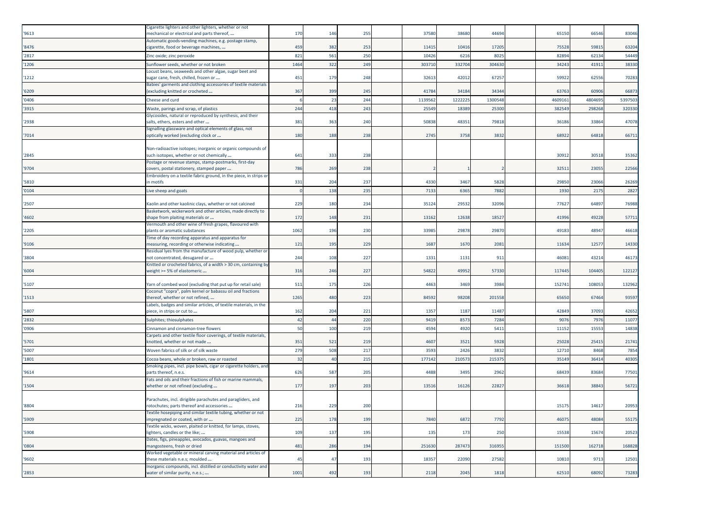| '9613 | Cigarette lighters and other lighters, whether or not<br>mechanical or electrical and parts thereof,     | 170  | 146 | 255 | 37580   | 38680  | 44694   | 65150   | 66546   | 83046   |
|-------|----------------------------------------------------------------------------------------------------------|------|-----|-----|---------|--------|---------|---------|---------|---------|
| '8476 | Automatic goods-vending machines, e.g. postage stamp,<br>cigarette, food or beverage machines,           | 459  | 382 | 253 | 11415   | 10416  | 17205   | 75528   | 5981    | 63204   |
| '2817 | Zinc oxide; zinc peroxide                                                                                | 821  | 561 | 250 | 10426   | 6216   | 8025    | 82894   | 62134   | 54449   |
| '1206 | Sunflower seeds, whether or not broken                                                                   | 1464 | 322 | 249 | 303710  | 332704 | 304630  | 34243   | 4191    | 38330   |
| '1212 | Locust beans, seaweeds and other algae, sugar beet and<br>ugar cane, fresh, chilled, frozen or           | 451  | 179 | 248 | 32613   | 42012  | 67257   | 59922   | 62556   | 70283   |
| '6209 | Babies' garments and clothing accessories of textile materials<br>excluding knitted or crocheted         | 367  | 399 | 245 | 41784   | 34184  | 34344   | 63763   | 6090    | 6687    |
| '0406 | Cheese and curd                                                                                          |      | 23  | 244 | 1139562 | 122222 | 1300548 | 460916: | 4804695 | 5397503 |
| '3915 | Waste, parings and scrap, of plastics                                                                    | 244  | 418 | 243 | 25549   | 18389  | 25300   | 382549  | 298268  | 320330  |
|       | Glycosides, natural or reproduced by synthesis, and their                                                |      |     |     |         |        |         |         |         |         |
| '2938 | salts, ethers, esters and other                                                                          | 381  | 363 | 240 | 50838   | 48351  | 79818   | 36186   | 33864   | 47078   |
| '7014 | Signalling glassware and optical elements of glass, not<br>optically worked (excluding clock or          | 180  | 188 | 238 | 2745    | 3758   | 3832    | 68922   | 64818   | 6671    |
| '2845 | Non-radioactive isotopes; inorganic or organic compounds of<br>such isotopes, whether or not chemically  | 641  | 333 | 238 |         |        |         | 3091    | 30518   | 3536    |
| '9704 | Postage or revenue stamps, stamp-postmarks, first-day<br>covers, postal stationery, stamped paper        | 786  | 269 | 238 |         |        |         | 32511   | 23055   | 22566   |
| '5810 | Embroidery on a textile fabric ground, in the piece, in strips or<br>n motifs                            | 331  | 204 | 237 | 4330    | 3467   | 5828    | 29850   | 23066   | 26269   |
| '0104 | Live sheep and goats                                                                                     |      | 138 | 235 | 7133    | 6365   | 7882    | 1930    | 2175    | 2827    |
| '2507 | Kaolin and other kaolinic clays, whether or not calcined                                                 | 229  | 180 | 234 | 35124   | 29532  | 32096   | 77627   | 64897   | 76988   |
|       | Basketwork, wickerwork and other articles, made directly to                                              |      |     |     |         |        |         |         |         |         |
| '4602 | shape from plaiting materials or                                                                         | 172  | 148 | 231 | 13162   | 12638  | 18527   | 41996   | 49228   | 5771    |
| '2205 | Vermouth and other wine of fresh grapes, flavoured with<br>plants or aromatic substances                 | 1062 | 196 | 230 | 33985   | 29878  | 29870   | 49183   | 48947   | 46618   |
| '9106 | Time of day recording apparatus and apparatus for<br>measuring, recording or otherwise indicating        | 121  | 195 | 229 | 1687    | 1670   | 2081    | 11634   | 1257    | 14330   |
| '3804 | Residual lyes from the manufacture of wood pulp, whether or<br>not concentrated, desugared or            | 244  | 108 | 227 | 1331    | 1131   | 911     | 46081   | 43214   | 4617    |
| '6004 | Knitted or crocheted fabrics, of a width > 30 cm, containing by<br>weight >= 5% of elastomeric           | 316  | 246 | 227 | 54822   | 49952  | 57330   | 117445  | 104405  | 122127  |
| '5107 | Yarn of combed wool (excluding that put up for retail sale)                                              | 511  | 175 | 226 | 4463    | 3469   | 3984    | 152741  | 108053  | 132962  |
| 1513  | Coconut "copra", palm kernel or babassu oil and fractions<br>thereof, whether or not refined,            | 1265 | 480 | 223 | 84592   | 98208  | 201558  | 65650   | 67464   | 93597   |
|       | Labels, badges and similar articles, of textile materials, in the                                        |      |     |     |         |        |         |         |         |         |
| '5807 | piece, in strips or cut to                                                                               | 162  | 204 | 221 | 1357    | 1187   | 11487   | 42849   | 37093   | 42652   |
| '2832 | Sulphites; thiosulphates                                                                                 | 42   | 44  | 220 | 9419    | 8573   | 7284    | 9076    | 7976    | 1107    |
| '0906 | Cinnamon and cinnamon-tree flowers<br>Carpets and other textile floor coverings, of textile materials,   | 50   | 100 | 219 | 4594    | 4920   | 5411    | 11152   | 1555    | 14838   |
| '5701 | knotted, whether or not made                                                                             | 351  | 521 | 219 | 4607    | 3521   | 5928    | 25028   | 2541    | 2174    |
| '5007 | Woven fabrics of silk or of silk waste                                                                   | 279  | 508 | 21  | 3593    | 2426   | 3832    | 12710   | 846     | 7854    |
| '1801 | Cocoa beans, whole or broken, raw or roasted                                                             | 32   | 40  | 215 | 177142  | 210573 | 21537   | 35149   | 36414   | 40305   |
| '9614 | Smoking pipes, incl. pipe bowls, cigar or cigarette holders, and<br>parts thereof, n.e.s                 | 626  | 587 | 205 | 4488    | 3495   | 2962    | 68439   | 83684   | 7750    |
| '1504 | Fats and oils and their fractions of fish or marine mammals,<br>whether or not refined (excluding        | 177  | 197 | 203 | 13516   | 16126  | 22827   | 36618   | 38843   | 5672    |
| '8804 | Parachutes, incl. dirigible parachutes and paragliders, and<br>rotochutes; parts thereof and accessories | 216  | 229 | 200 |         |        |         | 15175   | 14617   | 20953   |
|       | Fextile hosepiping and similar textile tubing, whether or not                                            |      |     |     |         |        |         |         |         |         |
| '5909 | impregnated or coated, with or<br>Textile wicks, woven, plaited or knitted, for lamps, stoves,           | 225  | 178 | 199 | 7840    | 6872   | 7792    | 46075   | 48084   | 55175   |
| '5908 | lighters, candles or the like;                                                                           | 109  | 137 | 195 | 135     | 173    | 250     | 15538   | 15674   | 20523   |
| '0804 | Dates, figs, pineapples, avocados, guavas, mangoes and<br>mangosteens, fresh or dried                    | 481  | 286 | 194 | 251630  | 287473 | 316955  | 151500  | 162718  | 168828  |
| '9602 | Worked vegetable or mineral carving material and articles of<br>these materials n.e.s; moulded           | 45   | 47  | 193 | 18357   | 22090  | 27582   | 10810   | 9713    | 12501   |
| '2853 | Inorganic compounds, incl. distilled or conductivity water and<br>water of similar purity, n.e.s.;       | 1001 | 492 | 193 | 2118    | 2045   | 1818    | 62510   | 68092   | 73283   |
|       |                                                                                                          |      |     |     |         |        |         |         |         |         |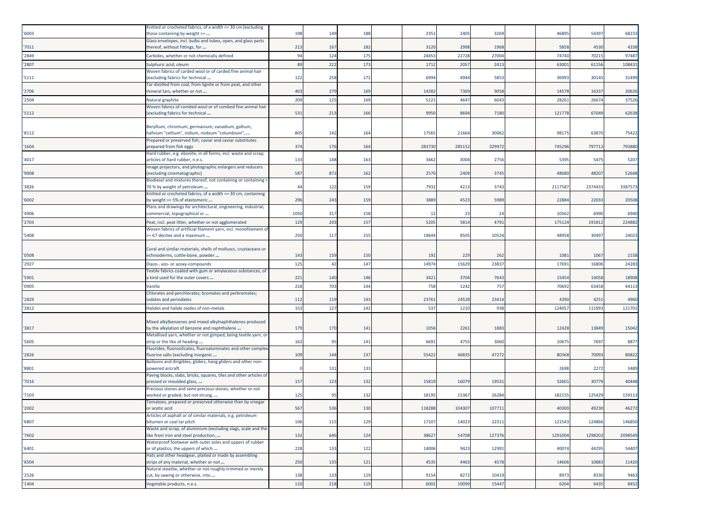| '6003 | Knitted or crocheted fabrics, of a width <= 30 cm (excluding<br>those containing by weight >=            | 198  | 149 | 188 | 2351   | 2405   | 3269   | 46895   | 54397   | 68233   |
|-------|----------------------------------------------------------------------------------------------------------|------|-----|-----|--------|--------|--------|---------|---------|---------|
| '7011 | Glass envelopes, incl. bulbs and tubes, open, and glass parts<br>thereof, without fittings, for          | 213  | 167 | 182 | 3120   | 2998   | 1968   | 5858    | 4530    | 4338    |
| '2849 | Carbides, whether or not chemically defined                                                              | 94   | 124 | 175 | 24453  | 22728  | 27004  | 74740   | 70215   | 97487   |
| '2807 | Sulphuric acid; oleum                                                                                    | 89   | 222 | 173 | 1712   | 2057   | 2413   | 63001   | 61156   | 108431  |
|       | Woven fabrics of carded wool or of carded fine animal hair                                               |      |     |     |        |        |        |         |         |         |
| '5111 | (excluding fabrics for technical                                                                         | 122  | 258 | 172 | 6994   | 4944   | 5853   | 36993   | 30145   | 31499   |
| '2706 | Tar distilled from coal, from lignite or from peat, and other<br>mineral tars, whether or not            | 403  | 279 | 169 | 14282  | 7369   | 9058   | 1457    | 1633    | 20626   |
| '2504 | Natural graphite                                                                                         | 209  | 125 | 169 | 5121   | 464    | 6043   | 28261   | 26674   | 37526   |
| '5112 | Woven fabrics of combed wool or of combed fine animal hair<br>excluding fabrics for technical            | 531  | 213 | 166 | 9950   | 8694   | 7180   | 121778  | 67049   | 62638   |
| '8112 | Beryllium, chromium, germanium, vanadium, gallium,<br>nafnium "celtium", indium, niobium "columbium",    | 805  | 142 | 164 | 17565  | 21664  | 30062  | 9817    | 6387    | 75422   |
| '1604 | Prepared or preserved fish; caviar and caviar substitutes<br>prepared from fish eggs                     | 374  | 176 | 164 | 283730 | 285152 | 329972 | 745296  | 79771   | 793880  |
| '4017 | Hard rubber, e.g. ebonite, in all forms, incl. waste and scrap;<br>articles of hard rubber, n.e.s.       | 133  | 148 | 163 | 3462   | 3004   | 2756   | 5395    | 5475    | 5207    |
| '9008 | Image projectors, and photographic enlargers and reducers<br>(excluding cinematographic)                 | 587  | 872 | 162 | 2570   | 2409   | 3745   | 48680   | 48207   | 52648   |
|       | Biodiesel and mixtures thereof, not containing or containing <                                           |      |     |     |        |        |        |         |         |         |
| '3826 | 70 % by weight of petroleum<br>Knitted or crocheted fabrics, of a width <= 30 cm, containing             | 44   | 122 | 159 | 7932   | 4213   | 3743   | 2117587 | 2374433 | 3387573 |
| '6002 | by weight >= 5% of elastomeric                                                                           | 296  | 243 | 159 | 3889   | 4523   | 5989   | 22884   | 22033   | 20508   |
| '4906 | Plans and drawings for architectural, engineering, industrial,<br>commercial, topographical or           | 1050 | 317 | 158 | 12     | 23     | 24     | 10562   | 699     | 6940    |
| '2703 | Peat, incl. peat litter, whether or not agglomerated                                                     | 129  | 203 | 157 | 5205   | 5814   | 4791   | 175124  | 19181   | 224882  |
| '5408 | Woven fabrics of artificial filament yarn, incl. monofilament of<br>>= 67 decitex and a maximum          | 250  | 117 | 155 | 19644  | 8505   | 10524  | 48958   | 30497   | 24023   |
| '0508 | Coral and similar materials, shells of molluscs, crustaceans or<br>echinoderms, cuttle-bone, powder      | 143  | 159 | 150 | 192    | 229    | 262    | 1081    | 106     | 2158    |
| '2927 | Diazo-, azo- or azoxy-compounds                                                                          | 125  | 42  | 147 | 14974  | 15629  | 23837  | 17691   | 16806   | 24283   |
| '5901 | Textile fabrics coated with gum or amylaceous substances, of<br>a kind used for the outer covers         | 221  | 140 | 146 | 3421   | 3704   | 7643   | 15454   | 14058   | 18908   |
| '0905 | Vanilla                                                                                                  | 218  | 703 | 144 | 758    | 1242   | 757    | 70692   | 63458   | 44113   |
|       | Chlorates and perchlorates; bromates and perbromates;                                                    |      |     |     |        |        |        |         |         |         |
| '2829 | odates and periodates                                                                                    | 112  | 119 | 143 | 23761  | 24528  | 23414  | 4390    | 4251    | 4960    |
| '2812 | Halides and halide oxides of non-metals                                                                  | 153  | 127 | 142 | 537    | 1210   | 938    | 124057  | 111993  | 121701  |
| '3817 | Mixed alkylbenzenes and mixed alkylnaphthalenes produced<br>by the alkylation of benzene and naphthalene | 179  | 170 | 141 | 1056   | 2261   | 1883   | 12428   | 13849   | 1504    |
|       | Metallised yarn, whether or not gimped, being textile yarn, or                                           |      |     |     |        |        |        |         |         |         |
| '5605 | strip or the like of heading                                                                             | 162  | 95  | 141 | 6691   | 4755   | 3060   | 10675   | 7697    | 887     |
| '2826 | Fluorides; fluorosilicates, fluoroaluminates and other complex<br>fluorine salts (excluding inorganic    | 109  | 144 | 137 | 55422  | 4683   | 47272  | 80368   | 70093   | 80822   |
| '8801 | Balloons and dirigibles; gliders, hang gliders and other non-<br>powered aircraft                        |      | 131 | 133 |        |        |        | 2698    | 227     | 3489    |
| '7016 | Paving blocks, slabs, bricks, squares, tiles and other articles of<br>pressed or moulded glass,          | 157  | 123 | 132 | 15819  | 16079  | 19531  | 32601   | 30779   | 40448   |
| '7103 | Precious stones and semi-precious stones, whether or not<br>worked or graded, but not strung,            | 125  | -95 | 132 | 18195  | 1536   | 26284  | 18215   | 12542   | 159113  |
| '2002 | Tomatoes, prepared or preserved otherwise than by vinegar<br>or acetic acid                              | 567  | 536 | 130 | 118288 | 104307 | 107711 | 40300   | 49230   | 46272   |
| '6807 | Articles of asphalt or of similar materials, e.g. petroleum<br>bitumen or coal tar pitch                 | 106  | 115 | 129 | 17107  | 14023  | 22311  | 121543  | 124866  | 146850  |
|       | Waste and scrap, of aluminium (excluding slags, scale and the                                            |      |     |     |        |        |        |         |         |         |
| '7602 | like from iron and steel production,<br>Waterproof footwear with outer soles and uppers of rubber        | 132  | 646 | 124 | 38627  | 54708  | 127376 | 1291004 | 1298202 | 2098549 |
| '6401 | or of plastics, the uppers of which                                                                      | 228  | 133 | 122 | 14006  | 9423   | 12991  | 40074   | 44295   | 54407   |
| '6504 | Hats and other headgear, plaited or made by assembling<br>strips of any material, whether or not         | 250  | 135 | 121 | 4535   | 4463   | 4578   | 14606   | 10883   | 11420   |
| '2526 | Natural steatite, whether or not roughly trimmed or merely<br>cut, by sawing or otherwise, into          | 138  | 133 | 119 | 9154   | 8272   | 10419  | 8973    | 8330    | 9463    |
| '1404 | Vegetable products, n.e.s.                                                                               | 110  | 218 | 119 | 6002   | 10099  | 15447  | 6264    | 6435    | 8452    |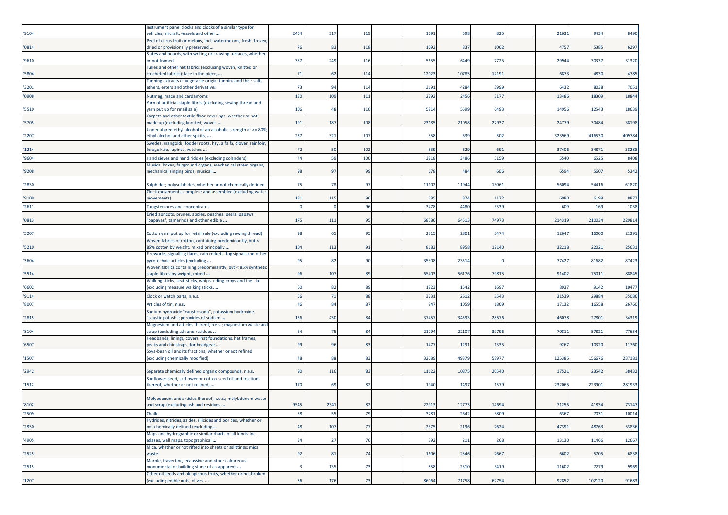| '9104 | Instrument panel clocks and clocks of a similar type for<br>vehicles, aircraft, vessels and other           | 2454 | 317  | 119 | 1091  | 598   | 825   | 21631  | 9434   | 8490   |
|-------|-------------------------------------------------------------------------------------------------------------|------|------|-----|-------|-------|-------|--------|--------|--------|
|       | Peel of citrus fruit or melons, incl. watermelons, fresh, frozen                                            |      |      |     |       |       |       |        |        |        |
| '0814 | dried or provisionally preserved<br>Slates and boards, with writing or drawing surfaces, whether            | 76   | 83   | 118 | 1092  | 837   | 1062  | 4757   | 5385   | 6297   |
| '9610 | or not framed                                                                                               | 357  | 249  | 116 | 5655  | 6449  | 7725  | 29944  | 30337  | 31320  |
| '5804 | Tulles and other net fabrics (excluding woven, knitted or<br>crocheted fabrics); lace in the piece,         | 71   | 62   | 114 | 12023 | 10785 | 12191 | 6873   | 4830   | 4785   |
| '3201 | Tanning extracts of vegetable origin; tannins and their salts,<br>ethers, esters and other derivatives      | 73   | 94   | 114 | 3191  | 4284  | 3999  | 6432   | 8038   | 7051   |
| '0908 | Nutmeg, mace and cardamoms                                                                                  | 130  | 109  | 111 | 2292  | 2456  | 3177  | 1348   | 18309  | 18844  |
| '5510 | Yarn of artificial staple fibres (excluding sewing thread and<br>yarn put up for retail sale)               | 106  | 48   | 110 | 581   | 559   | 6493  | 14956  | 12543  | 18639  |
| '5705 | Carpets and other textile floor coverings, whether or not<br>made up (excluding knotted, woven              | 191  | 187  | 108 | 23185 | 21058 | 27937 | 24779  | 30484  | 38198  |
| '2207 | Undenatured ethyl alcohol of an alcoholic strength of >= 80%<br>ethyl alcohol and other spirits,            | 237  | 321  | 107 | 558   | 639   | 502   | 32396  | 416530 | 409784 |
| 1214  | Swedes, mangolds, fodder roots, hay, alfalfa, clover, sainfoin,<br>forage kale, lupines, vetches            | 72   | 50   | 102 | 539   | 629   | 691   | 37406  | 34871  | 38288  |
| '9604 | Hand sieves and hand riddles (excluding colanders)                                                          | 44   | 59   | 100 | 3218  | 3486  | 5159  | 5540   | 652    | 8408   |
|       | Musical boxes, fairground organs, mechanical street organs,                                                 |      |      |     |       |       |       |        |        |        |
| '9208 | mechanical singing birds, musical                                                                           | 98   | 97   | 99  | 678   | 484   | 606   | 6594   | 5607   | 5342   |
| '2830 | Sulphides; polysulphides, whether or not chemically defined                                                 | 75   | 78   | -97 | 11102 | 11944 | 13061 | 56094  | 54416  | 61820  |
| '9109 | Clock movements, complete and assembled (excluding watch<br>novements)                                      | 131  | 115  | 96  | 785   | 874   | 1172  | 6980   | 6199   | 8877   |
| '2611 | <b>Tungsten ores and concentrates</b>                                                                       |      |      | 96  | 3478  | 4480  | 3339  | 609    | 169    | 1038   |
|       | Dried apricots, prunes, apples, peaches, pears, papaws                                                      |      |      |     |       |       |       |        |        |        |
| '0813 | "papayas", tamarinds and other edible                                                                       | 175  | 111  | 95  | 68586 | 6451  | 74973 | 21431  | 210034 | 229814 |
| '5207 | Cotton yarn put up for retail sale (excluding sewing thread)                                                | 98   | 65   | 95  | 2315  | 2801  | 3474  | 1264   | 16000  | 21391  |
| '5210 | Woven fabrics of cotton, containing predominantly, but <<br>85% cotton by weight, mixed principally         | 104  | 113  | 91  | 8183  | 8958  | 12140 | 32218  | 22021  | 25631  |
| '3604 | Fireworks, signalling flares, rain rockets, fog signals and other<br>pyrotechnic articles (excluding        | 95   | 82   | 90  | 35308 | 2351  |       | 77427  | 81682  | 87423  |
| '5514 | Woven fabrics containing predominantly, but < 85% synthetic<br>staple fibres by weight, mixed               | 96   | 107  | 89  | 65403 | 56176 | 79815 | 91402  | 75011  | 88845  |
| '6602 | Walking sticks, seat-sticks, whips, riding-crops and the like<br>(excluding measure walking sticks,         | 60   | -82  | 89  | 1823  | 1542  | 1697  | 8937   | 9142   | 10477  |
| '9114 | Clock or watch parts, n.e.s.                                                                                | 56   | 71   | 88  | 373   | 261   | 354   | 3153   | 29884  | 35086  |
| '8007 | Articles of tin, n.e.s.                                                                                     | 46   | 84   | 87  | 947   | 105   | 1809  | 17132  | 1655   | 26760  |
|       | Sodium hydroxide "caustic soda", potassium hydroxide                                                        |      |      |     |       |       |       |        |        |        |
| '2815 | "caustic potash"; peroxides of sodium<br>Magnesium and articles thereof, n.e.s.; magnesium waste and        | 156  | 430  | 84  | 37457 | 3459  | 28576 | 46078  | 27801  | 34319  |
| '8104 | scrap (excluding ash and residues                                                                           | 64   | 75   | 84  | 21294 | 2210  | 39796 | 7081   | 57821  | 77654  |
| '6507 | Headbands, linings, covers, hat foundations, hat frames,<br>peaks and chinstraps, for headgear              | 99   | 96   | 83  | 1477  | 1291  | 1335  | 9267   | 10320  | 11760  |
| '1507 | Soya-bean oil and its fractions, whether or not refined<br>(excluding chemically modified)                  | 48   | 88   | 83  | 32089 | 4937  | 58977 | 125385 | 156676 | 237181 |
| '2942 | Separate chemically defined organic compounds, n.e.s.                                                       | 90   | 116  | 8   | 11122 | 1087  | 20540 | 1752   | 23542  | 38432  |
| '1512 | Sunflower-seed, safflower or cotton-seed oil and fractions<br>thereof, whether or not refined,              | 170  | 69   | 82  | 1940  | 1497  | 1579  | 232065 | 22390  | 281933 |
|       |                                                                                                             |      |      |     |       |       |       |        |        |        |
| '8102 | Molybdenum and articles thereof, n.e.s.; molybdenum waste<br>and scrap (excluding ash and residues          | 9545 | 2341 | 82  | 22913 | 12773 | 14694 | 71255  | 41834  | 73147  |
| '2509 | Jhalk                                                                                                       | 58   | -53  |     | 3281  | 2642  | 380   | 6367   | 7031   | 10014  |
| '2850 | Hydrides, nitrides, azides, silicides and borides, whether or<br>not chemically defined (excluding          | 48   | 107  | 77  | 2375  | 2196  | 2624  | 47391  | 48763  | 53836  |
| '4905 | Maps and hydrographic or similar charts of all kinds, incl.<br>atlases, wall maps, topographical            | 34   | 27   | 76  | 392   | 211   | 268   | 13130  | 11466  | 12667  |
|       | Mica, whether or not rifted into sheets or splittings; mica                                                 |      |      |     |       |       |       |        |        |        |
| '2525 | waste<br>Marble, travertine, ecaussine and other calcareous                                                 | 92   | 81   | 74  | 1606  | 2346  | 2667  | 6602   | 5705   | 6838   |
| '2515 | monumental or building stone of an apparent<br>Other oil seeds and oleaginous fruits, whether or not broken |      | 135  | 73  | 858   | 2310  | 3419  | 11602  | 7279   | 9969   |
| '1207 | (excluding edible nuts, olives,                                                                             | 36   | 176  | 73  | 86064 | 71758 | 62754 | 92852  | 102120 | 91683  |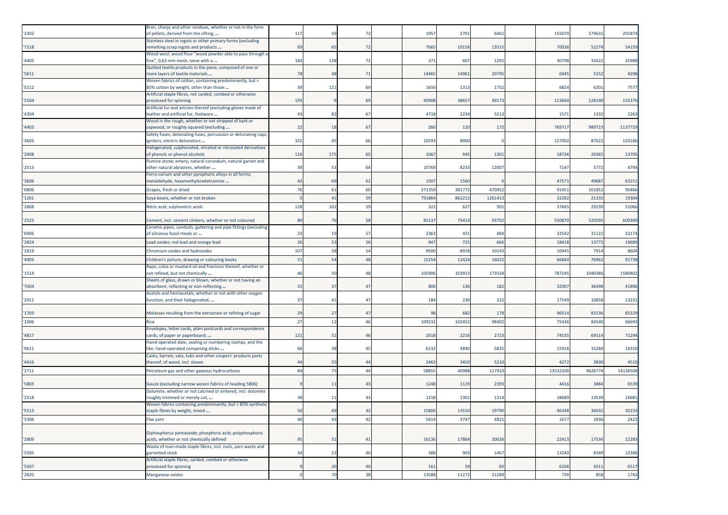| '2302 | Bran, sharps and other residues, whether or not in the form<br>of pellets, derived from the sifting,  | 117 | 59  | -72            | 1957   | 2701   | 6461   | 155070   | 179631  | 201874   |
|-------|-------------------------------------------------------------------------------------------------------|-----|-----|----------------|--------|--------|--------|----------|---------|----------|
| '7218 | Stainless steel in ingots or other primary forms (excluding<br>remelting scrap ingots and products    | 69  | 65  | 72             | 7665   | 10158  | 13515  | 70036    | 52274   | 54159    |
| '4405 | Wood wool; wood flour "wood powder able to pass through a<br>ine", 0,63 mm mesh, sieve with a         | 183 | 138 | 72             | 371    | 607    | 1292   | 30798    | 33422   | 35988    |
| '5811 | Quilted textile products in the piece, composed of one or<br>more layers of textile materials         | 78  | 48  | 71             | 14465  | 14961  | 20795  | 6945     | 5152    | 4298     |
| '5212 | Woven fabrics of cotton, containing predominantly, but <<br>85% cotton by weight, other than those    | 39  | 121 | 69             | 1650   | 1313   | 1752   | 6824     | 6201    | 7577     |
| '5504 | Artificial staple fibres, not carded, combed or otherwise<br>processed for spinning                   | 195 |     | 69             | 40908  | 38657  | 49173  | 113660   | 128190  | 155376   |
| '4304 | Artificial fur and articles thereof (excluding gloves made of<br>leather and artificial fur, footware | 43  | 82  | 67             | 4718   | 2234   | 5213   | 1571     | 1332    | 2263     |
| '4403 | Wood in the rough, whether or not stripped of bark or<br>sapwood, or roughly squared (excluding       | 22  | 18  | 67             | 260    | 120    | 172    | 76971    | 989723  | 1137729  |
| '3603 | Safety fuses; detonating fuses; percussion or detonating caps<br>gniters; electric detonators         | 325 | 45  | 66             | 10593  | 8900   |        | 127002   | 87022   | 103186   |
| '2908 | Halogenated, sulphonated, nitrated or nitrosated derivatives<br>of phenols or phenol-alcohols         | 116 | 175 | 65             | 1067   | 945    | 1301   | 18734    | 20365   | 13705    |
| '2513 | Pumice stone; emery; natural corundum, natural garnet and<br>other natural abrasives, whether         | 39  | 53  | 64             | 10769  | 8233   | 12007  | 7147     | 5772    | 4794     |
| '3606 | erro-cerium and other pyrophoric alloys in all forms;<br>metaldehyde, hexamethylenetetramine          | 42  | 69  | 62             | 1507   | 1560   |        | 47571    | 49687   | 6315     |
| '0806 | Grapes, fresh or dried                                                                                | 76  | 61  | 60             | 371359 | 381772 | 470952 | 91451    | 10185   | 95466    |
| '1201 | Soya beans, whether or not broken                                                                     |     | 41  | 59             | 791864 | 862213 | 126141 | 32282    | 2133    | 19304    |
| '2808 | Nitric acid; sulphonitric acids                                                                       | 128 | 102 | 59             | 322    | 627    | 901    | 37665    | 29239   | 51066    |
| '2523 | Cement, incl. cement clinkers, whether or not coloured                                                | 80  | 76  | 58             | 81137  | 75414  | 93702  | 550870   | 52059   | 609300   |
| '6906 | Ceramic pipes, conduits, guttering and pipe fittings (excluding<br>of siliceous fossil meals or       | 23  | 19  | 57             | 2363   | 431    | 484    | 32542    | 31122   | 32174    |
| '2824 | Lead oxides; red lead and orange lead                                                                 | 26  | 53  | 56             | 947    | 725    | 666    | 18418    | 1377    | 19689    |
| '2819 | Chromium oxides and hydroxides                                                                        | 107 | 58  | 54             | 9500   | 8918   | 1014   | 10045    | 7914    | 8604     |
| '4903 | Children's picture, drawing or colouring books                                                        | 51  | 54  | 48             | 15254  | 12424  | 1602   | 66840    | 76962   | 91738    |
|       | Rape, colza or mustard oil and fractions thereof, whether or                                          |     |     |                |        |        |        |          |         |          |
| '1514 | not refined, but not chemically<br>Sheets of glass, drawn or blown, whether or not having an          | 46  | 50  | 48             | 105906 | 10391  | 173534 | 787245   | 1040386 | 1580802  |
| '7004 | absorbent, reflecting or non-reflecting<br>Acetals and hemiacetals, whether or not with other oxygen  | 31  | 37  | 47             | 806    | 136    | 182    | 32907    | 36498   | 41896    |
| '2911 | function, and their halogenated,                                                                      | 37  | 41  | 47             | 184    | 230    | 322    | 17549    | 10858   | 1323     |
| '1703 | Molasses resulting from the extraction or refining of sugar                                           | 29  | 27  | 47             | 98     | 682    | 178    | 96514    | 83136   | 85329    |
| '1006 | Rice                                                                                                  | 27  | 12  | 46             | 109232 | 10245  | 98402  | 75436    | 84540   | 66693    |
| '4817 | Envelopes, letter cards, plain postcards and correspondence<br>ards, of paper or paperboard;          | 121 | 52  | 46             | 2018   | 2216   | 2723   | 7453     | 69114   | 71294    |
| '9611 | Hand-operated date, sealing or numbering stamps, and the<br>like; hand-operated composing sticks      | 66  | 38  | $\overline{4}$ | 6132   | 4840   | 5825   | 15916    | 15284   | 16310    |
| '4416 | Casks, barrels, vats, tubs and other coopers' products parts<br>thereof, of wood, incl. staves        | 44  | 55  | 44             | 2463   | 3410   | 5210   | 4272     | 3830    | 4510     |
| '2711 | Petroleum gas and other gaseous hydrocarbons                                                          | 84  | 75  | 44             | 58855  | 40988  | 117910 | 13532200 | 962677  | 14136508 |
| '5803 | Gauze (excluding narrow woven fabrics of heading 5806)                                                |     | 11  | 43             | 1248   | 1129   | 2393   | 4416     | 3884    | 6539     |
| '2518 | Dolomite, whether or not calcined or sintered, incl. dolomite<br>oughly trimmed or merely cut,        | 38  | 11  | 4              | 1218   | 1301   | 1314   | 18689    | 13539   | 16681    |
| '5513 | Woven fabrics containing predominantly, but < 85% synthetic<br>staple fibres by weight, mixed         | 56  | 69  | 42             | 15806  | 13510  | 19790  | 46348    | 36032   | 35233    |
| '5306 | Flax yarn                                                                                             | 40  | 43  | 42             | 5414   | 3747   | 4821   | 1677     | 1836    | 2422     |
|       |                                                                                                       |     |     |                |        |        |        |          |         |          |
| '2809 | Diphosphorus pentaoxide; phosphoric acid; polyphosphoric<br>acids, whether or not chemically defined  | 95  | 51  | 41             | 16136  | 17864  | 20026  | 22413    | 17534   | 22283    |
| '5505 | Waste of man-made staple fibres, incl. noils, yarn waste and<br>garnetted stock                       | 34  | 23  | 40             | 388    | 903    | 1467   | 13240    | 8349    | 12386    |
| '5507 | Artificial staple fibres, carded, combed or otherwise<br>processed for spinning                       |     | 20  | 40             | 161    | 59     | 93     | 6104     | 5011    | 6517     |
| '2820 | Manganese oxides                                                                                      |     | 70  | 38             | 13588  | 11272  | 21289  | 739      | 858     | 1742     |
|       |                                                                                                       |     |     |                |        |        |        |          |         |          |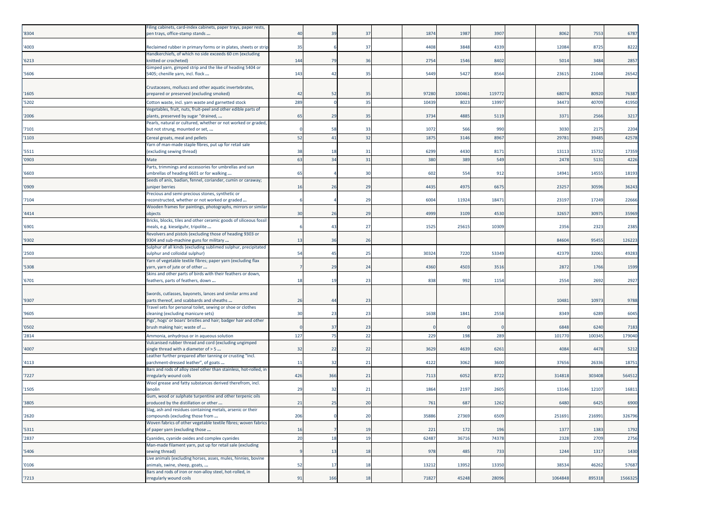| '8304 | Filing cabinets, card-index cabinets, paper trays, paper rests,<br>pen trays, office-stamp stands     | 40             | 39             | 37 | 1874  | 1987   | 3907   | 8062    | 7553   | 6787    |
|-------|-------------------------------------------------------------------------------------------------------|----------------|----------------|----|-------|--------|--------|---------|--------|---------|
| '4003 | Reclaimed rubber in primary forms or in plates, sheets or strip                                       | 35             |                | 37 | 4408  | 3848   | 4339   | 12084   | 8725   | 8222    |
| '6213 | Handkerchiefs, of which no side exceeds 60 cm (excluding<br>knitted or crocheted)                     | 144            | 79             | 36 | 2754  | 1546   | 8402   | 5014    | 3484   | 2857    |
| '5606 | Gimped yarn, gimped strip and the like of heading 5404 or<br>5405; chenille yarn, incl. flock         | 143            | 42             | 35 | 5449  | 5427   | 8564   | 23615   | 21048  | 26542   |
|       | Crustaceans, molluscs and other aquatic invertebrates,                                                |                |                |    |       |        |        |         |        |         |
| '1605 | prepared or preserved (excluding smoked)                                                              | 42             | 52             | 35 | 97280 | 100461 | 119772 | 6807    | 8092   | 76387   |
| '5202 | Cotton waste, incl. yarn waste and garnetted stock                                                    | 289            |                | 35 | 10439 | 8023   | 13997  | 34473   | 40709  | 41950   |
| '2006 | Vegetables, fruit, nuts, fruit-peel and other edible parts of<br>plants, preserved by sugar "drained, | 65             | 29             | 35 | 3734  | 4885   | 5119   | 3371    | 2566   | 3217    |
| '7101 | Pearls, natural or cultured, whether or not worked or graded,<br>but not strung, mounted or set,      |                | 51             | 33 | 1072  | 566    | 990    | 3030    | 2175   | 2204    |
| '1103 | Cereal groats, meal and pellets                                                                       | 52             | 41             | 32 | 1875  | 3146   | 8967   | 2978    | 3948   | 42578   |
| '5511 | Yarn of man-made staple fibres, put up for retail sale<br>excluding sewing thread)                    | 38             | -18            | 31 | 6299  | 4430   | 8171   | 13113   | 1573   | 17359   |
| '0903 | Mate                                                                                                  | 63             | 34             | 31 | 380   | 389    | 549    | 2478    | 5131   | 4226    |
|       | Parts, trimmings and accessories for umbrellas and sun                                                |                |                |    |       |        |        |         |        |         |
| '6603 | umbrellas of heading 6601 or for walking                                                              | 65             |                | 30 | 602   | 554    | 912    | 14941   | 14555  | 18193   |
| '0909 | Seeds of anis, badian, fennel, coriander, cumin or caraway;<br>uniper berries                         | 16             | 26             | 29 | 4435  | 4975   | 6675   | 23257   | 30596  | 36243   |
| '7104 | Precious and semi-precious stones, synthetic or<br>econstructed, whether or not worked or graded      |                |                | 29 | 6004  | 11924  | 18471  | 23197   | 1724   | 22666   |
| '4414 | Wooden frames for paintings, photographs, mirrors or similar<br>objects                               | 30             | 26             | 29 | 4999  | 3109   | 4530   | 32657   | 3097   | 35969   |
|       | Bricks, blocks, tiles and other ceramic goods of siliceous fossil                                     |                |                |    |       |        |        |         |        |         |
| '6901 | meals, e.g. kieselguhr, tripolite<br>Revolvers and pistols (excluding those of heading 9303 or        |                | 43             | 27 | 1525  | 25615  | 10309  | 2356    | 2323   | 2385    |
| '9302 | 9304 and sub-machine guns for military                                                                | 13             | 36             | 26 |       |        |        | 84604   | 95455  | 126223  |
| '2503 | Sulphur of all kinds (excluding sublimed sulphur, precipitated<br>sulphur and colloidal sulphur)      | 54             | $\mathbf{A}$   | 25 | 30324 | 7220   | 53349  | 42379   | 32061  | 49283   |
| '5308 | Yarn of vegetable textile fibres; paper yarn (excluding flax<br>yarn, yarn of jute or of other        |                | 29             | 24 | 4360  | 4503   | 3516   | 2872    | 1766   | 1599    |
| '6701 | Skins and other parts of birds with their feathers or down,<br>eathers, parts of feathers, down       | 18             | 19             | 23 | 838   | 992    | 1154   | 2554    | 2692   | 2927    |
|       |                                                                                                       |                |                |    |       |        |        |         |        |         |
| '9307 | Swords, cutlasses, bayonets, lances and similar arms and<br>parts thereof, and scabbards and sheaths  | 26             | $\overline{4}$ | 23 |       |        |        | 10481   | 1097   | 9788    |
| '9605 | Travel sets for personal toilet, sewing or shoe or clothes<br>cleaning (excluding manicure sets)      | 30             | 23             | 23 | 1638  | 1841   | 2558   | 8349    | 6289   | 6045    |
|       | Pigs', hogs' or boars' bristles and hair; badger hair and other                                       |                |                |    |       |        |        |         |        |         |
| '0502 | brush making hair; waste of                                                                           |                | $\overline{3}$ | 23 |       |        |        | 6848    | 6240   | 7183    |
| '2814 | Ammonia, anhydrous or in aqueous solution<br>Vulcanised rubber thread and cord (excluding ungimped    | 127            | 75             | 22 | 229   | 198    | 289    | 101770  | 100345 | 179040  |
| '4007 | single thread with a diameter of > 5                                                                  | 32             | 22             | 22 | 3629  | 4639   | 6261   | 4084    | 4478   | 5212    |
| '4113 | Leather further prepared after tanning or crusting "incl.<br>parchment-dressed leather", of goats     | 11             | 32             | 21 | 4122  | 3062   | 3600   | 37656   | 26336  | 18751   |
| '7227 | Bars and rods of alloy steel other than stainless, hot-rolled, in<br>rregularly wound coils           | 426            | 366            | 21 | 7113  | 6052   | 8722   | 314818  | 303408 | 564512  |
| 1505  | Wool grease and fatty substances derived therefrom, incl.<br>lanolin                                  | 2 <sup>0</sup> | 32             | 21 | 1864  | 2197   | 2605   | 13146   | 12107  | 16811   |
|       | Gum, wood or sulphate turpentine and other terpenic oils                                              |                |                |    |       |        |        |         |        |         |
| '3805 | produced by the distillation or other<br>Slag, ash and residues containing metals, arsenic or their   | 21             | 25             | 20 | 761   | 687    | 1262   | 6480    | 6425   | 6900    |
| '2620 | compounds (excluding those from<br>Woven fabrics of other vegetable textile fibres; woven fabrics     | 206            |                | 20 | 35886 | 27369  | 6509   | 251691  | 216991 | 326796  |
| '5311 | of paper yarn (excluding those                                                                        | 16             |                | 19 | 221   | 172    | 196    | 1377    | 1383   | 1792    |
| '2837 | Cyanides, cyanide oxides and complex cyanides                                                         | 20             | 18             | 19 | 62487 | 36716  | 74378  | 2328    | 2709   | 2756    |
| '5406 | Man-made filament yarn, put up for retail sale (excluding<br>sewing thread)                           |                | 13             | 18 | 978   | 485    | 733    | 1244    | 1317   | 1430    |
| '0106 | Live animals (excluding horses, asses, mules, hinnies, bovine<br>animals, swine, sheep, goats,        | 52             | 17             | 18 | 13212 | 13952  | 13350  | 38534   | 46262  | 57687   |
|       | Bars and rods of iron or non-alloy steel, hot-rolled, in                                              |                |                |    |       |        |        |         |        |         |
| '7213 | irregularly wound coils                                                                               | 91             | 166            | 18 | 71827 | 45248  | 28096  | 1064848 | 895318 | 1566325 |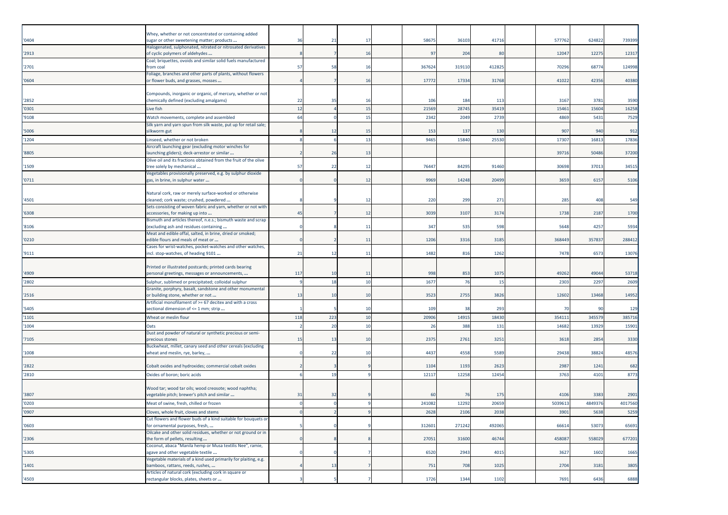| '0404  | Whey, whether or not concentrated or containing added<br>sugar or other sweetening matter; products     | 36  | 21  | 17 | 58675  | 36103  | 41716  | 577762  | 624822 | 739399  |
|--------|---------------------------------------------------------------------------------------------------------|-----|-----|----|--------|--------|--------|---------|--------|---------|
|        | Halogenated, sulphonated, nitrated or nitrosated derivatives                                            |     |     |    |        |        |        |         |        |         |
| '2913  | of cyclic polymers of aldehydes                                                                         |     |     | 16 | 97     | 204    | 80     | 12047   | 12275  | 12317   |
| '2701  | Coal; briquettes, ovoids and similar solid fuels manufactured<br>from coal                              | 57  | 58  | 16 | 367624 | 319110 | 412825 | 70296   | 68774  | 124998  |
|        | Foliage, branches and other parts of plants, without flowers                                            |     |     |    |        |        |        |         |        |         |
| '0604  | or flower buds, and grasses, mosses                                                                     |     |     | 16 | 17772  | 17334  | 31768  | 41022   | 42356  | 40380   |
|        | Compounds, inorganic or organic, of mercury, whether or not                                             |     |     |    |        |        |        |         |        |         |
| '2852  | chemically defined (excluding amalgams)                                                                 | 22  | 35  | 16 | 106    | 184    | 113    | 3167    | 3781   | 3590    |
| '0301  | Live fish                                                                                               | 12  |     | 15 | 21569  | 28745  | 35419  | 15461   | 1560   | 16258   |
| '9108  | Watch movements, complete and assembled                                                                 | 64  |     | 15 | 2342   | 2049   | 2739   | 4869    | 5431   | 7529    |
|        | Silk yarn and yarn spun from silk waste, put up for retail sale;                                        |     |     |    |        |        |        |         |        |         |
| '5006  | silkworm gut                                                                                            |     | 12  | 15 | 153    | 137    | 130    | 907     | 940    | 912     |
| '1204  | Linseed, whether or not broken<br>Aircraft launching gear (excluding motor winches for                  |     |     | 13 | 9465   | 15840  | 25530  | 17307   | 16813  | 17836   |
| '8805  | launching gliders); deck-arrestor or similar                                                            |     | 26  | 13 |        |        |        | 39716   | 50486  | 37200   |
|        | Olive oil and its fractions obtained from the fruit of the olive                                        |     |     |    |        |        |        |         |        |         |
| '1509  | tree solely by mechanical                                                                               | 57  | 22  | 12 | 76447  | 84295  | 91460  | 30698   | 37013  | 3451    |
| '0711  | Vegetables provisionally preserved, e.g. by sulphur dioxide<br>gas, in brine, in sulphur water          |     |     | 12 | 9969   | 14248  | 20499  | 3659    | 6157   | 5106    |
|        |                                                                                                         |     |     |    |        |        |        |         |        |         |
|        | Natural cork, raw or merely surface-worked or otherwise                                                 |     |     |    |        |        |        |         |        |         |
| '4501  | cleaned; cork waste; crushed, powdered<br>Sets consisting of woven fabric and yarn, whether or not with |     |     | 12 | 220    | 299    | 271    | 285     | 408    | 549     |
| '6308  | accessories, for making up into                                                                         | 45  |     | 12 | 3039   | 3107   | 3174   | 1738    | 2187   | 1700    |
|        | Bismuth and articles thereof, n.e.s.; bismuth waste and scrap                                           |     |     |    |        |        |        |         |        |         |
| '8106  | (excluding ash and residues containing<br>Meat and edible offal, salted, in brine, dried or smoked;     |     |     | 11 | 347    | 535    | 598    | 5648    | 4257   | 5934    |
| '0210' | edible flours and meals of meat or                                                                      |     |     | 11 | 1206   | 3316   | 3185   | 368449  | 35783  | 288412  |
|        | Cases for wrist-watches, pocket-watches and other watches,                                              |     |     |    |        |        |        |         |        |         |
| '9111  | incl. stop-watches, of heading 9101                                                                     | 21  | 12  | 11 | 1482   | 816    | 1262   | 7478    | 657    | 13076   |
|        | Printed or illustrated postcards; printed cards bearing                                                 |     |     |    |        |        |        |         |        |         |
| '4909  | personal greetings, messages or announcements,                                                          | 117 | 10  | 11 | 998    | 853    | 1075   | 49262   | 49044  | 53718   |
| '2802  | Sulphur, sublimed or precipitated; colloidal sulphur                                                    |     | 18  | 10 | 1677   | 76     | 15     | 2303    | 2297   | 2609    |
|        | Granite, porphyry, basalt, sandstone and other monumental                                               |     |     |    |        |        |        |         |        |         |
| '2516  | or building stone, whether or not<br>Artificial monofilament of >= 67 decitex and with a cross          | 13  | 10  | 10 | 3523   | 2755   | 3826   | 12602   | 13468  | 14952   |
| '5405  | sectional dimension of <= 1 mm; strip                                                                   |     |     | 10 | 109    | 38     | 293    | 70      | 90     | 129     |
| '1101  | Wheat or meslin flour                                                                                   | 118 | 223 | 10 | 20906  | 14915  | 18430  | 35411   | 345579 | 385716  |
| '1004  | Oats                                                                                                    |     | 20  | 10 | 26     | 388    | 131    | 14682   | 13929  | 1590    |
|        | Dust and powder of natural or synthetic precious or semi-                                               |     |     |    |        |        |        |         |        |         |
| '7105  | precious stones<br>Buckwheat, millet, canary seed and other cereals (excluding                          | 15  | 13  | 10 | 2375   | 2761   | 3251   | 3618    | 2854   | 3330    |
| '1008  | wheat and meslin, rye, barley,                                                                          |     | 22  | 10 | 4437   | 4558   | 5589   | 29438   | 38824  | 48576   |
|        |                                                                                                         |     |     |    |        |        |        |         |        |         |
| '2822  | Cobalt oxides and hydroxides; commercial cobalt oxides                                                  |     |     |    | 1104   | 1193   | 2623   | 2987    | 1241   | 682     |
| '2810  | Oxides of boron: boric acids                                                                            |     | 19  |    | 12117  | 12258  | 12454  | 3763    | 4101   | 8773    |
|        | Wood tar; wood tar oils; wood creosote; wood naphtha;                                                   |     |     |    |        |        |        |         |        |         |
| '3807  | vegetable pitch; brewer's pitch and similar                                                             | 31  | 32  |    | 60     | 76     | 175    | 4106    | 3383   | 2901    |
| '0203  | Meat of swine, fresh, chilled or frozen                                                                 |     |     |    | 241082 | 12292  | 20659  | 5039613 | 484937 | 4017560 |
| '0907  | Cloves, whole fruit, cloves and stems                                                                   |     |     |    | 2628   | 2106   | 2038   | 3901    | 5638   | 5259    |
|        | Cut flowers and flower buds of a kind suitable for bouquets or                                          |     |     |    |        |        |        |         |        |         |
| '0603  | for ornamental purposes, fresh,<br>Oilcake and other solid residues, whether or not ground or in        |     |     |    | 312601 | 271242 | 492065 | 66614   | 53073  | 65691   |
| '2306  | the form of pellets, resulting                                                                          |     |     |    | 27051  | 31600  | 46744  | 458087  | 558029 | 677201  |
|        | Coconut, abaca "Manila hemp or Musa textilis Nee", ramie,                                               |     |     |    |        |        |        |         |        |         |
| '5305  | agave and other vegetable textile<br>Vegetable materials of a kind used primarily for plaiting, e.g.    |     |     |    | 6520   | 2943   | 4015   | 3627    | 1602   | 1665    |
| '1401  | bamboos, rattans, reeds, rushes,                                                                        |     | 13  |    | 751    | 708    | 1025   | 2704    | 3181   | 3805    |
|        | Articles of natural cork (excluding cork in square or                                                   |     |     |    |        |        |        |         |        |         |
| '4503  | rectangular blocks, plates, sheets or                                                                   |     |     |    | 1726   | 1344   | 1102   | 7691    | 6436   | 6888    |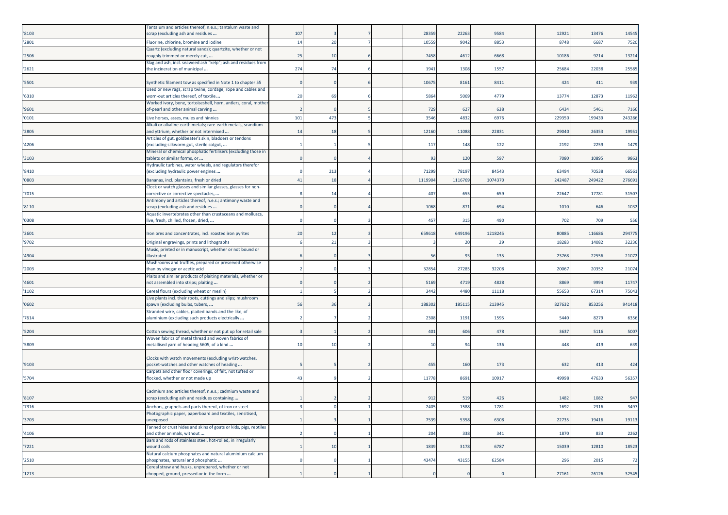|       | Fantalum and articles thereof, n.e.s.; tantalum waste and                                                         |     |     |  |         |          |         |        |        |        |
|-------|-------------------------------------------------------------------------------------------------------------------|-----|-----|--|---------|----------|---------|--------|--------|--------|
| '8103 | scrap (excluding ash and residues                                                                                 | 107 |     |  | 28359   | 22263    | 9584    | 12921  | 13476  | 14545  |
| '2801 | Fluorine, chlorine, bromine and iodine                                                                            | 14  | 20  |  | 1055    | 9042     | 8853    | 8748   | 6687   | 7520   |
| '2506 | Quartz (excluding natural sands); quartzite, whether or not                                                       | 25  | 10  |  | 7458    | 4612     | 6668    | 10186  | 9214   | 13214  |
|       | roughly trimmed or merely cut,<br>Slag and ash, incl. seaweed ash "kelp"; ash and residues from                   |     |     |  |         |          |         |        |        |        |
| '2621 | the incineration of municipal                                                                                     | 274 | 74  |  | 1941    | 1308     | 1557    | 25684  | 22038  | 25585  |
|       |                                                                                                                   |     |     |  |         |          |         |        |        |        |
| '5501 | Synthetic filament tow as specified in Note 1 to chapter 55                                                       |     |     |  | 10675   | 8161     | 8411    | 424    | 411    | 939    |
|       | Used or new rags, scrap twine, cordage, rope and cables and                                                       |     |     |  |         |          |         |        |        |        |
| '6310 | worn-out articles thereof, of textile                                                                             | 20  | 69  |  | 5864    | 5069     | 4779    | 13774  | 12873  | 11962  |
| '9601 | Worked ivory, bone, tortoiseshell, horn, antlers, coral, mother<br>of-pearl and other animal carving              |     |     |  | 729     | 627      | 638     | 6434   | 5461   | 7166   |
| '0101 | Live horses, asses, mules and hinnies                                                                             | 101 | 473 |  | 3546    | 4832     | 6976    | 22935  | 19943  | 243286 |
|       | Alkali or alkaline-earth metals; rare-earth metals, scandium                                                      |     |     |  |         |          |         |        |        |        |
| '2805 | and yttrium, whether or not intermixed                                                                            | 14  | 18  |  | 12160   | 11088    | 22831   | 29040  | 26353  | 19951  |
|       | Articles of gut, goldbeater's skin, bladders or tendons                                                           |     |     |  |         |          |         |        |        |        |
| '4206 | (excluding silkworm gut, sterile catgut,                                                                          |     |     |  | 117     | 148      | 122     | 2192   | 2259   | 1479   |
| '3103 | Mineral or chemical phosphatic fertilisers (excluding those in                                                    |     |     |  | 93      | 120      | 597     | 7080   | 1089   |        |
|       | tablets or similar forms, or<br>Hydraulic turbines, water wheels, and regulators therefor                         |     |     |  |         |          |         |        |        | 9863   |
| '8410 | (excluding hydraulic power engines                                                                                |     | 213 |  | 71299   | 78197    | 84543   | 63494  | 70538  | 66561  |
| '0803 | Bananas, incl. plantains, fresh or dried                                                                          | 41  | 18  |  | 1119904 | 1116769  | 1074370 | 242487 | 249422 | 276691 |
|       | Clock or watch glasses and similar glasses, glasses for non-                                                      |     |     |  |         |          |         |        |        |        |
| '7015 | corrective or corrective spectacles,                                                                              |     | 14  |  | 407     | 655      | 659     | 22647  | 17781  | 31507  |
|       | Antimony and articles thereof, n.e.s.; antimony waste and                                                         |     |     |  |         |          |         |        |        |        |
| '8110 | scrap (excluding ash and residues                                                                                 |     |     |  | 1068    | 871      | 694     | 1010   | 646    | 1032   |
| '0308 | Aquatic invertebrates other than crustaceans and molluscs,<br>live, fresh, chilled, frozen, dried,                |     |     |  | 457     | 315      | 490     | 702    | 709    | 556    |
|       |                                                                                                                   |     |     |  |         |          |         |        |        |        |
| '2601 | Iron ores and concentrates, incl. roasted iron pyrites                                                            | 20  | 12  |  | 659618  | 649196   | 1218245 | 80885  | 116686 | 294775 |
| '9702 | Original engravings, prints and lithographs                                                                       |     | 21  |  |         | 20       | 29      | 18283  | 14082  | 32236  |
|       | Music, printed or in manuscript, whether or not bound or                                                          |     |     |  |         |          |         |        |        |        |
| '4904 | illustrated                                                                                                       |     |     |  | 56      | 93       | 135     | 23768  | 22556  | 21072  |
|       | Mushrooms and truffles, prepared or preserved otherwise                                                           |     |     |  |         |          |         |        |        |        |
| '2003 | than by vinegar or acetic acid                                                                                    |     |     |  | 32854   | 27285    | 32208   | 20067  | 20352  | 21074  |
| '4601 | Plaits and similar products of plaiting materials, whether or<br>not assembled into strips; plaiting              |     |     |  | 5169    | 4719     | 4828    | 8869   | 9994   | 11747  |
| '1102 | Cereal flours (excluding wheat or meslin)                                                                         |     |     |  | 3442    | 4480     | 11118   | 5565   | 6731   | 75043  |
|       | Live plants incl. their roots, cuttings and slips; mushroom                                                       |     |     |  |         |          |         |        |        |        |
| '0602 | spawn (excluding bulbs, tubers,                                                                                   | 56  | 36  |  | 188302  | 185115   | 213945  | 827632 | 85325  | 941418 |
|       | Stranded wire, cables, plaited bands and the like, of                                                             |     |     |  |         |          |         |        |        |        |
| '7614 | aluminium (excluding such products electrically                                                                   |     |     |  | 2308    | 1191     | 1595    | 5440   | 8279   | 6356   |
| '5204 |                                                                                                                   |     |     |  | 401     | 606      | 478     | 3637   | 5116   | 5007   |
|       | Cotton sewing thread, whether or not put up for retail sale<br>Woven fabrics of metal thread and woven fabrics of |     |     |  |         |          |         |        |        |        |
| '5809 | metallised yarn of heading 5605, of a kind                                                                        | 10  | 10  |  | 10      | 94       | 136     | 448    | 419    | 639    |
|       |                                                                                                                   |     |     |  |         |          |         |        |        |        |
|       | Clocks with watch movements (excluding wrist-watches,                                                             |     |     |  |         |          |         |        |        |        |
| '9103 | pocket-watches and other watches of heading                                                                       |     |     |  | 455     | 160      | 173     | 632    | 413    | 424    |
| '5704 | Carpets and other floor coverings, of felt, not tufted or<br>flocked, whether or not made up                      | 43  |     |  | 11778   | 8691     | 10917   | 49998  | 47633  | 56357  |
|       |                                                                                                                   |     |     |  |         |          |         |        |        |        |
|       | Cadmium and articles thereof, n.e.s.; cadmium waste and                                                           |     |     |  |         |          |         |        |        |        |
| '8107 | scrap (excluding ash and residues containing                                                                      |     |     |  | 912     | 519      | 426     | 1482   | 1082   | 947    |
| '7316 | Anchors, grapnels and parts thereof, of iron or steel                                                             |     |     |  | 2405    | 1588     | 1781    | 1692   | 2316   | 3497   |
|       | Photographic paper, paperboard and textiles, sensitised,                                                          |     |     |  |         |          |         |        |        |        |
| '3703 | unexposed                                                                                                         |     |     |  | 7539    | 5358     | 6308    | 22735  | 19416  | 19113  |
| '4106 | Tanned or crust hides and skins of goats or kids, pigs, reptiles<br>and other animals, without                    |     |     |  | 204     | 338      | 341     | 1870   | 833    | 2262   |
|       | Bars and rods of stainless steel, hot-rolled, in irregularly                                                      |     |     |  |         |          |         |        |        |        |
| 7221  | wound coils                                                                                                       |     | 10  |  | 1839    | 3178     | 6787    | 15039  | 12810  | 18523  |
|       | Natural calcium phosphates and natural aluminium calcium                                                          |     |     |  |         |          |         |        |        |        |
| '2510 | phosphates, natural and phosphatic                                                                                |     |     |  | 43474   | 43155    | 62584   | 296    | 2015   | 72     |
|       | Cereal straw and husks, unprepared, whether or not                                                                |     |     |  |         | $\Omega$ |         |        |        |        |
| '1213 | chopped, ground, pressed or in the form                                                                           |     |     |  |         |          |         | 27161  | 26126  | 32545  |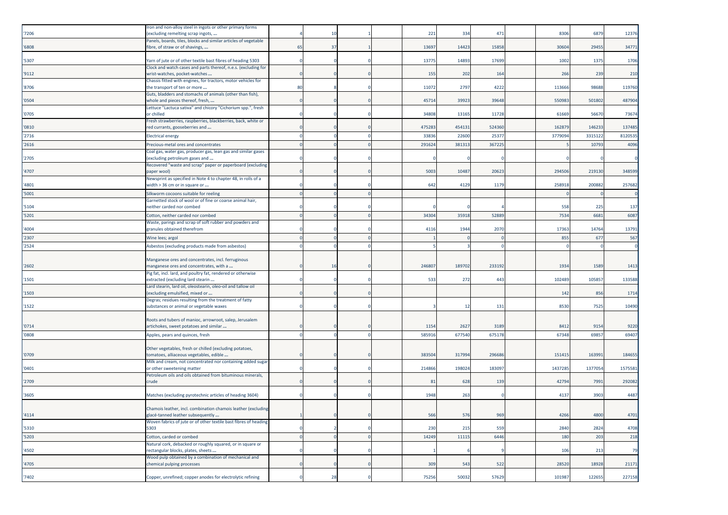|       | Iron and non-alloy steel in ingots or other primary forms                                             |    | 10       |  |        |        | 471    | 8306    | 6879    |         |
|-------|-------------------------------------------------------------------------------------------------------|----|----------|--|--------|--------|--------|---------|---------|---------|
| '7206 | (excluding remelting scrap ingots,<br>Panels, boards, tiles, blocks and similar articles of vegetable |    |          |  | 221    | 334    |        |         |         | 12376   |
| '6808 | fibre, of straw or of shavings,                                                                       | 65 | 37       |  | 13697  | 14423  | 15858  | 30604   | 29455   | 3477    |
| '5307 | Yarn of jute or of other textile bast fibres of heading 5303                                          |    |          |  | 13775  | 14893  | 17699  | 1002    | 1375    | 1706    |
| '9112 | Clock and watch cases and parts thereof, n.e.s. (excluding for<br>wrist-watches, pocket-watches       |    |          |  | 155    | 202    | 164    | 266     | 239     | 210     |
| '8706 | Chassis fitted with engines, for tractors, motor vehicles for<br>the transport of ten or more         | 80 |          |  | 11072  | 2797   | 4222   | 113666  | 98688   | 119760  |
| '0504 | Guts, bladders and stomachs of animals (other than fish),<br>whole and pieces thereof, fresh,         |    |          |  | 45714  | 39923  | 39648  | 550983  | 501802  | 487904  |
| '0705 | Lettuce "Lactuca sativa" and chicory "Cichorium spp.", fresh<br>or chilled                            |    |          |  | 34808  | 13165  | 11728  | 61669   | 56670   | 73674   |
| '0810 | Fresh strawberries, raspberries, blackberries, back, white or<br>red currants, gooseberries and       |    |          |  | 475283 | 454131 | 524360 | 162879  | 146233  | 137485  |
| '2716 | <b>Electrical energy</b>                                                                              |    |          |  | 33836  | 22600  | 25377  | 3779094 | 331512  | 8120535 |
| '2616 | Precious-metal ores and concentrates                                                                  |    |          |  | 291624 | 381313 | 367225 |         | 10793   | 4096    |
| '2705 | Coal gas, water gas, producer gas, lean gas and similar gases<br>(excluding petroleum gases and       |    |          |  |        |        |        |         |         |         |
| '4707 | Recovered "waste and scrap" paper or paperboard (excluding<br>paper wool)                             |    |          |  | 5003   | 10487  | 20623  | 294506  | 219130  | 348599  |
| '4801 | Newsprint as specified in Note 4 to chapter 48, in rolls of a<br>width > 36 cm or in square or        |    |          |  | 642    | 4129   | 1179   | 258918  | 200882  | 257682  |
| '5001 | Silkworm cocoons suitable for reeling                                                                 |    |          |  |        |        |        |         |         |         |
| '5104 | Garnetted stock of wool or of fine or coarse animal hair,<br>neither carded nor combed                |    |          |  |        |        |        | 558     | 225     | 137     |
| '5201 | Cotton, neither carded nor combed                                                                     |    |          |  | 34304  | 35918  | 52889  | 7534    | 6681    | 6087    |
| '4004 | Waste, parings and scrap of soft rubber and powders and<br>granules obtained therefrom                |    |          |  | 4116   | 1944   | 2070   | 17363   | 14764   | 13791   |
| '2307 | Wine lees; argol                                                                                      |    |          |  |        |        |        | 855     | 677     | 567     |
| '2524 |                                                                                                       |    |          |  |        |        |        |         |         |         |
|       | Asbestos (excluding products made from asbestos)                                                      |    |          |  |        |        |        |         |         |         |
|       | Manganese ores and concentrates, incl. ferruginous                                                    |    |          |  |        |        |        |         |         |         |
| '2602 | manganese ores and concentrates, with a                                                               |    | 16       |  | 246807 | 189702 | 233192 | 1934    | 1589    | 1413    |
|       | Pig fat, incl. lard, and poultry fat, rendered or otherwise                                           |    |          |  |        |        |        |         |         |         |
| '1501 | extracted (excluding lard stearin                                                                     |    |          |  | 533    | 272    | 443    | 102489  | 105857  | 133588  |
| '1503 | Lard stearin, lard oil, oleostearin, oleo-oil and tallow oil<br>(excluding emulsified, mixed or       |    |          |  |        |        |        | 142     | 856     | 1714    |
| '1522 | Degras; residues resulting from the treatment of fatty<br>substances or animal or vegetable waxes     |    |          |  |        | 12     | 131    | 8530    | 7525    | 10490   |
|       |                                                                                                       |    |          |  |        |        |        |         |         |         |
| '0714 | Roots and tubers of manioc, arrowroot, salep, Jerusalem<br>artichokes, sweet potatoes and similar     |    |          |  | 1154   | 2627   | 3189   | 8412    | 9154    | 9220    |
| '0808 | Apples, pears and quinces, fresh                                                                      |    |          |  | 585916 | 677540 | 675178 | 67348   | 69857   | 69407   |
|       |                                                                                                       |    |          |  |        |        |        |         |         |         |
| '0709 | Other vegetables, fresh or chilled (excluding potatoes,<br>tomatoes, alliaceous vegetables, edible    |    |          |  | 383504 | 317994 | 296686 | 151415  | 163991  | 184655  |
|       | Milk and cream, not concentrated nor containing added sugar                                           |    |          |  |        |        |        |         |         |         |
| '0401 | or other sweetening matter<br>Petroleum oils and oils obtained from bituminous minerals,              |    |          |  | 214866 | 198024 | 183097 | 1437285 | 1377054 | 157558  |
| '2709 | crude                                                                                                 |    |          |  | 81     | 628    | 139    | 42794   | 7991    | 292082  |
| '3605 | Matches (excluding pyrotechnic articles of heading 3604)                                              |    |          |  | 1948   | 263    |        | 4137    | 3903    | 4487    |
| '4114 | Chamois leather, incl. combination chamois leather (excluding<br>glacé-tanned leather subsequently    |    |          |  | 566    | 576    | 969    | 4266    | 4800    | 4701    |
|       | Woven fabrics of jute or of other textile bast fibres of heading<br>5303                              |    |          |  |        |        |        |         |         | 4708    |
| '5310 |                                                                                                       |    |          |  | 230    | 215    | 559    | 2840    | 2824    |         |
| '5203 | Cotton, carded or combed<br>Natural cork, debacked or roughly squared, or in square or                |    | $\Omega$ |  | 14249  | 11115  | 6446   | 180     | 203     | 218     |
| '4502 | rectangular blocks, plates, sheets                                                                    |    |          |  |        |        |        | 106     | 213     | 79      |
| '4705 | Wood pulp obtained by a combination of mechanical and<br>chemical pulping processes                   |    |          |  | 309    | 543    | 522    | 28520   | 18928   | 21171   |
|       |                                                                                                       |    |          |  |        |        |        |         |         |         |
| '7402 | Copper, unrefined; copper anodes for electrolytic refining                                            |    | 28       |  | 75256  | 50032  | 57629  | 101987  | 122655  | 227158  |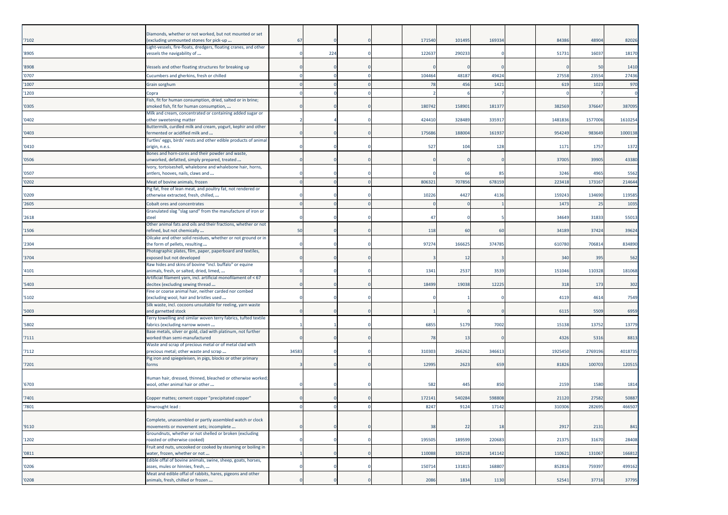| 7102  | Diamonds, whether or not worked, but not mounted or set<br>(excluding unmounted stones for pick-up   | 67    |     |  | 17154          | 101495 | 16933  | 84386   | 4890    | 82026   |
|-------|------------------------------------------------------------------------------------------------------|-------|-----|--|----------------|--------|--------|---------|---------|---------|
| '8905 | Light-vessels, fire-floats, dredgers, floating cranes, and other<br>vessels the navigability of      |       | 224 |  | 12263          | 290233 |        | 51731   | 16037   | 18170   |
|       |                                                                                                      |       |     |  |                |        |        |         |         |         |
| '8908 | Vessels and other floating structures for breaking up                                                |       |     |  |                |        |        |         | 50      | 1410    |
| '0707 | Cucumbers and gherkins, fresh or chilled                                                             |       |     |  | 104464<br>78   | 48187  | 49424  | 27558   | 23554   | 27436   |
| '1007 | Grain sorghum                                                                                        |       |     |  |                | 456    | 1421   | 619     | 1023    | 970     |
| '1203 | Copra<br>Fish, fit for human consumption, dried, salted or in brine;                                 |       |     |  |                |        |        |         |         |         |
| '0305 | smoked fish, fit for human consumption,                                                              |       |     |  | 180742         | 158901 | 18137  | 382569  | 376647  | 387095  |
| '0402 | Milk and cream, concentrated or containing added sugar or<br>other sweetening matter                 |       |     |  | 42441          | 328489 | 33591  | 1481836 | 1577006 | 1610254 |
| '0403 | Buttermilk, curdled milk and cream, yogurt, kephir and other<br>fermented or acidified milk and      |       |     |  | 17568          | 188004 | 16193  | 954249  | 983649  | 1000138 |
| '0410 | Turtles' eggs, birds' nests and other edible products of animal<br>origin, n.e.s.                    |       |     |  | 527            | 104    | 128    | 1171    | 1757    | 1372    |
| '0506 | Bones and horn-cores and their powder and waste,<br>unworked, defatted, simply prepared, treated     |       |     |  |                |        |        | 37005   | 3990    | 43380   |
| '0507 | Ivory, tortoiseshell, whalebone and whalebone hair, horns,<br>antlers, hooves, nails, claws and      |       |     |  |                | 66     | 85     | 3246    | 4965    | 556     |
| '0202 | Meat of bovine animals, frozen                                                                       |       |     |  | 80632          | 707856 | 678159 | 22341   | 17316   | 214644  |
| '0209 | Pig fat, free of lean meat, and poultry fat, not rendered or<br>otherwise extracted, fresh, chilled, |       |     |  | 1022           | 4427   | 4136   | 159243  | 134690  | 119585  |
|       |                                                                                                      |       |     |  |                |        |        |         |         |         |
| '2605 | Cobalt ores and concentrates<br>Granulated slag "slag sand" from the manufacture of iron or          |       |     |  |                |        |        | 1473    | 25      | 1035    |
| '2618 | steel                                                                                                |       |     |  | 47             |        |        | 34649   | 31833   | 5501    |
| '1506 | Other animal fats and oils and their fractions, whether or not<br>refined, but not chemically        | 50    |     |  | 118            | 60     | 60     | 34189   | 37424   | 39624   |
| '2304 | Oilcake and other solid residues, whether or not ground or in<br>the form of pellets, resulting      |       |     |  | 97274          | 166625 | 374785 | 610780  | 706814  | 834890  |
| '3704 | Photographic plates, film, paper, paperboard and textiles,<br>exposed but not developed              |       |     |  |                | 12     |        | 340     | 395     | 562     |
| 4101  | Raw hides and skins of bovine "incl. buffalo" or equine<br>animals, fresh, or salted, dried, limed,  |       |     |  | 1341           | 2537   | 3539   | 151046  | 110328  | 181068  |
| 5403  | Artificial filament yarn, incl. artificial monofilament of < 67<br>decitex (excluding sewing thread  |       |     |  | 18499          | 19038  | 12225  | 318     | 173     | 302     |
| '5102 | Fine or coarse animal hair, neither carded nor combed<br>(excluding wool, hair and bristles used     |       |     |  |                |        |        | 4119    | 4614    | 7549    |
| '5003 | Silk waste, incl. cocoons unsuitable for reeling, yarn waste<br>and garnetted stock                  |       |     |  |                |        |        | 6115    | 5509    | 6959    |
| '5802 | Terry towelling and similar woven terry fabrics, tufted textile<br>fabrics (excluding narrow woven   |       |     |  | 6855           | 5179   | 7002   | 15138   | 13752   | 13779   |
|       | Base metals, silver or gold, clad with platinum, not further                                         |       |     |  |                |        |        |         |         |         |
| '7111 | worked than semi-manufactured<br>Waste and scrap of precious metal or of metal clad with             |       |     |  | $\overline{7}$ | 13     |        | 4326    | 5316    | 8813    |
| 7112  | precious metal; other waste and scrap                                                                | 34583 |     |  | 31030          | 266262 | 34661  | 192545  | 2769196 | 4018735 |
| 7201  | Pig iron and spiegeleisen, in pigs, blocks or other primary<br>forms                                 |       |     |  | 1299           | 2623   | 659    | 81826   | 10070   | 12051   |
|       | Human hair, dressed, thinned, bleached or otherwise worked;                                          |       |     |  |                |        |        |         |         |         |
| '6703 | wool, other animal hair or other                                                                     |       |     |  | 582            | 445    | 850    | 2159    | 1580    | 1814    |
| 7401  | Copper mattes; cement copper "precipitated copper"                                                   |       |     |  | 17214          | 540284 | 598808 | 21120   | 27582   | 50887   |
| '7801 | Unwrought lead:                                                                                      |       |     |  | 8247           | 9124   | 17142  | 310306  | 282695  | 466507  |
| '9110 | Complete, unassembled or partly assembled watch or clock<br>movements or movement sets; incomplete   |       |     |  | 38             | 22     | 18     | 2917    | 2131    | 841     |
| '1202 | Groundnuts, whether or not shelled or broken (excluding<br>roasted or otherwise cooked)              |       |     |  | 195505         | 189599 | 220683 | 21375   | 31670   | 28408   |
| '0811 | Fruit and nuts, uncooked or cooked by steaming or boiling in<br>water, frozen, whether or not        |       |     |  | 110088         | 105218 | 141142 | 110621  | 131067  | 166812  |
| '0206 | Edible offal of bovine animals, swine, sheep, goats, horses,<br>asses, mules or hinnies, fresh,      |       |     |  | 150714         | 131815 | 168807 | 852816  | 759397  | 499162  |
| '0208 | Meat and edible offal of rabbits, hares, pigeons and other<br>animals, fresh, chilled or frozen      |       |     |  | 2086           | 1834   | 1130   | 52541   | 37716   | 37795   |
|       |                                                                                                      |       |     |  |                |        |        |         |         |         |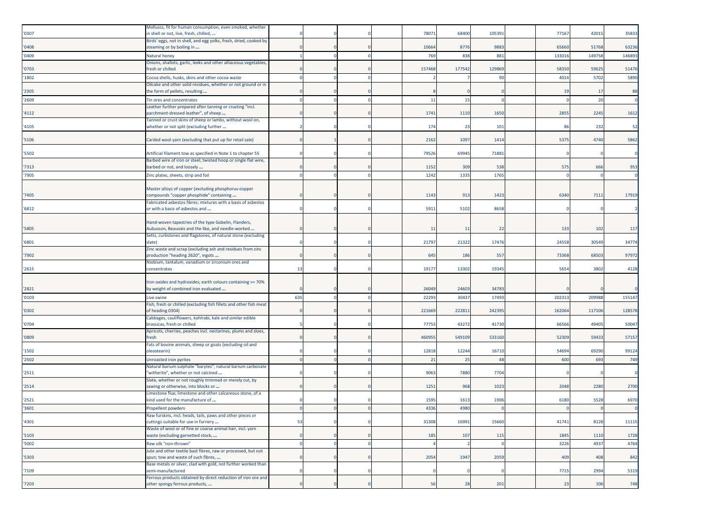| '0307 | Molluscs, fit for human consumption, even smoked, whether<br>in shell or not, live, fresh, chilled,                 |     |  | 78071  | 68400  | 105391 | 77167  | 42015  | 35833  |
|-------|---------------------------------------------------------------------------------------------------------------------|-----|--|--------|--------|--------|--------|--------|--------|
| '0408 | Birds' eggs, not in shell, and egg yolks, fresh, dried, cooked by<br>steaming or by boiling in                      |     |  | 10664  | 8776   | 9883   | 65660  | 51768  | 63236  |
| '0409 | Natural honey                                                                                                       |     |  | 769    | 838    | 881    | 133016 | 149758 | 14689  |
|       | Onions, shallots, garlic, leeks and other alliaceous vegetables,                                                    |     |  |        |        |        |        |        |        |
| '0703 | fresh or chilled                                                                                                    |     |  | 157468 | 177542 | 129869 | 58350  | 59625  | 51476  |
| '1802 | Cocoa shells, husks, skins and other cocoa waste<br>Oilcake and other solid residues, whether or not ground or in   |     |  |        |        | 90     | 4014   | 5702   | 5890   |
| '2305 | he form of pellets, resulting                                                                                       |     |  |        |        |        | 19     | 17     | 88     |
| '2609 | Tin ores and concentrates                                                                                           |     |  | 11     | 15     |        |        | 20     |        |
| '4112 | Leather further prepared after tanning or crusting "incl.<br>parchment-dressed leather", of sheep                   |     |  | 1741   | 1110   | 1650   | 2855   | 2245   | 1612   |
| '4105 | Tanned or crust skins of sheep or lambs, without wool on,<br>whether or not split (excluding further                |     |  | 174    | 23     | 101    | 86     | 232    | 52     |
| '5106 | Carded wool yarn (excluding that put up for retail sale)                                                            |     |  | 2162   | 1097   | 1414   | 5375   | 4740   | 5862   |
|       |                                                                                                                     |     |  |        |        |        |        |        |        |
| '5502 | Artificial filament tow as specified in Note 1 to chapter 55                                                        |     |  | 79526  | 69945  | 71881  |        |        |        |
| '7313 | Barbed wire of iron or steel; twisted hoop or single flat wire,<br>barbed or not, and loosely                       |     |  | 1152   | 309    | 538    | 575    | 666    | 953    |
| '7905 | Zinc plates, sheets, strip and foil                                                                                 |     |  | 1242   | 1335   | 1765   |        |        |        |
|       |                                                                                                                     |     |  |        |        |        |        |        |        |
| '7405 | Master alloys of copper (excluding phosphorus-copper<br>compounds "copper phosphide" containing                     |     |  | 1143   | 913    | 1423   | 6340   | 7111   | 17919  |
|       | Fabricated asbestos fibres; mixtures with a basis of asbestos                                                       |     |  |        |        |        |        |        |        |
| '6812 | or with a basis of asbestos and                                                                                     |     |  | 5911   | 5102   | 8658   |        |        |        |
|       | Hand-woven tapestries of the type Gobelin, Flanders,                                                                |     |  |        |        |        |        |        |        |
| '5805 | Aubusson, Beauvais and the like, and needle-worked<br>Setts, curbstones and flagstones, of natural stone (excluding |     |  | 11     | 11     | 22     | 133    | 102    | 117    |
| '6801 | late)                                                                                                               |     |  | 21797  | 21322  | 17476  | 24558  | 30549  | 34774  |
| '7902 | Zinc waste and scrap (excluding ash and residues from zinc<br>production "heading 2620", ingots                     |     |  | 645    | 186    | 557    | 73368  | 6850   | 97972  |
|       | Niobium, tantalum, vanadium or zirconium ores and                                                                   |     |  |        |        |        |        |        |        |
| '2615 | concentrates                                                                                                        | 13  |  | 19177  | 13302  | 19345  | 5654   | 3802   | 4128   |
|       | Iron oxides and hydroxides; earth colours containing >= 70%                                                         |     |  |        |        |        |        |        |        |
| '2821 | by weight of combined iron evaluated                                                                                |     |  | 26049  | 24603  | 34783  |        |        |        |
| '0103 | Live swine                                                                                                          | 635 |  | 22293  | 30437  | 17493  | 202313 | 209988 | 155147 |
| '0302 | Fish, fresh or chilled (excluding fish fillets and other fish meat<br>of heading 0304)                              |     |  | 221669 | 22281  | 242395 | 162064 | 117106 | 128578 |
| '0704 | Cabbages, cauliflowers, kohlrabi, kale and similar edible<br>brassicas, fresh or chilled                            |     |  | 77753  | 43272  | 41730  | 6656   | 49405  | 5004   |
|       | Apricots, cherries, peaches incl. nectarines, plums and sloes,                                                      |     |  |        |        |        |        |        |        |
| '0809 | fresh<br>Fats of bovine animals, sheep or goats (excluding oil and                                                  |     |  | 460955 | 549109 | 533160 | 52309  | 59433  | 57157  |
| '1502 | oleostearin)                                                                                                        |     |  | 12818  | 12244  | 16710  | 54694  | 69290  | 99124  |
| '2502 | Unroasted iron pyrites                                                                                              |     |  | 21     | 25     | 48     | 600    | 693    | 749    |
| '2511 | Natural barium sulphate "barytes"; natural barium carbonate<br>'witherite", whether or not calcined                 |     |  | 9063   | 7880   | 7704   |        |        |        |
| '2514 | Slate, whether or not roughly trimmed or merely cut, by<br>sawing or otherwise, into blocks or                      |     |  | 1251   | 968    | 1023   | 2048   | 2280   | 2700   |
| '2521 | Limestone flux; limestone and other calcareous stone, of a<br>kind used for the manufacture of                      |     |  | 1595   | 1613   | 1906   | 6180   | 5528   | 6970   |
| '3601 | Propellent powders                                                                                                  |     |  | 4336   | 4980   |        |        |        |        |
|       | Raw furskins, incl. heads, tails, paws and other pieces or                                                          |     |  |        |        |        |        |        |        |
| '4301 | cuttings suitable for use in furriery<br>Waste of wool or of fine or coarse animal hair, incl. yarn                 | 53  |  | 31308  | 16991  | 15660  | 41741  | 8128   | 11115  |
| '5103 | waste (excluding garnetted stock,                                                                                   |     |  | 185    | 107    | 115    | 1845   | 1110   | 1728   |
| '5002 | Raw silk "non-thrown"                                                                                               |     |  |        |        |        | 3226   | 4937   | 4764   |
| '5303 | Jute and other textile bast fibres, raw or processed, but not<br>spun; tow and waste of such fibres,                |     |  | 2054   | 1947   | 2059   | 409    | 408    | 842    |
|       | Base metals or silver, clad with gold, not further worked than                                                      |     |  |        |        |        |        |        |        |
| '7109 | semi-manufactured<br>Ferrous products obtained by direct reduction of iron ore and                                  |     |  |        |        |        | 7715   | 2994   | 5319   |
| '7203 | other spongy ferrous products,                                                                                      |     |  | 56     | 28     | 201    | 23     | 106    | 748    |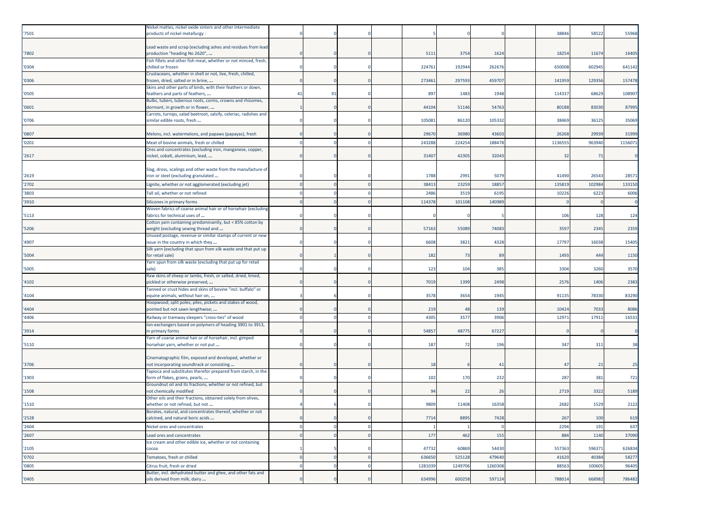| '7501          | Nickel mattes, nickel oxide sinters and other intermediate<br>products of nickel metallurgy :        |                |    |  |         |         |         | 38846  | 58522    | 55968          |
|----------------|------------------------------------------------------------------------------------------------------|----------------|----|--|---------|---------|---------|--------|----------|----------------|
|                | Lead waste and scrap (excluding ashes and residues from lead                                         |                |    |  |         |         |         |        |          |                |
| 7802           | production "heading No 2620",                                                                        |                |    |  | 5111    | 3754    | 1624    | 18254  | 11674    | 16405          |
| '0304          | ish fillets and other fish meat, whether or not minced, fresh,<br>chilled or frozen                  |                |    |  | 224761  | 192944  | 262676  | 650008 | 602945   | 641142         |
|                | Crustaceans, whether in shell or not, live, fresh, chilled,                                          |                |    |  |         |         |         |        |          |                |
| '0306          | frozen, dried, salted or in brine,<br>Skins and other parts of birds, with their feathers or down,   |                |    |  | 273461  | 297593  | 45970   | 141959 | 129356   | 157478         |
| '0505          | feathers and parts of feathers,                                                                      | 4 <sup>1</sup> | 91 |  | 897     | 1483    | 1948    | 114337 | 68629    | 108907         |
| '0601          | Bulbs, tubers, tuberous roots, corms, crowns and rhizomes,<br>dormant, in growth or in flower,       |                |    |  | 4410    | 51146   | 54763   | 80188  | 83030    | 87995          |
|                | Carrots, turnips, salad beetroot, salsify, celeriac, radishes and                                    |                |    |  |         |         |         |        |          |                |
| '0706          | similar edible roots, fresh                                                                          |                |    |  | 10508   | 86120   | 105332  | 38469  | 36125    | 35069          |
| '0807          | Melons, incl. watermelons, and papaws (papayas), fresh                                               |                |    |  | 2967    | 36980   | 43603   | 26268  | 29939    | 31999          |
| '0201          | Meat of bovine animals, fresh or chilled                                                             |                |    |  | 243288  | 224254  | 188478  | 113655 | 963940   | 115607         |
| '2617          | Ores and concentrates (excluding iron, manganese, copper,<br>nickel, cobalt, aluminium, lead,        |                |    |  | 31407   | 42305   | 32043   |        | 32<br>71 |                |
|                |                                                                                                      |                |    |  |         |         |         |        |          |                |
|                | Slag, dross, scalings and other waste from the manufacture of                                        |                |    |  | 1788    | 2991    | 5079    | 41490  | 26543    |                |
| '2619<br>'2702 | iron or steel (excluding granulated<br>.ignite, whether or not agglomerated (excluding jet)          |                |    |  | 3841    | 23259   | 1885    | 135819 | 102984   | 2857<br>133150 |
| '3803          | Tall oil, whether or not refined                                                                     |                |    |  | 2486    | 3519    | 6195    | 10226  | 6223     | 6006           |
| '3910          | Silicones in primary forms                                                                           |                |    |  | 114378  | 101108  | 140989  |        |          |                |
|                | Woven fabrics of coarse animal hair or of horsehair (excluding                                       |                |    |  |         |         |         |        |          |                |
| '5113          | fabrics for technical uses of                                                                        |                |    |  |         |         |         | 106    | 128      | 124            |
| '5206          | Cotton yarn containing predominantly, but < 85% cotton by<br>weight (excluding sewing thread and     |                |    |  | 57163   | 55089   | 74083   | 3597   | 2345     | 2359           |
|                | Unused postage, revenue or similar stamps of current or new                                          |                |    |  |         |         |         |        |          |                |
| 4907           | issue in the country in which they<br>Silk yarn (excluding that spun from silk waste and that put up |                |    |  | 6608    | 3821    | 4328    | 17797  | 16038    | 15405          |
| '5004          | for retail sale)                                                                                     |                |    |  | 182     | 73      | 89      | 1493   | 444      | 1150           |
| '5005          | Yarn spun from silk waste (excluding that put up for retail<br>sale)                                 |                |    |  | 123     | 104     | 385     | 3304   | 3260     | 3570           |
| 4102           | Raw skins of sheep or lambs, fresh, or salted, dried, limed,<br>pickled or otherwise preserved,      |                |    |  | 7019    | 1399    | 2498    | 2576   | 1406     | 2383           |
|                | Tanned or crust hides and skins of bovine "incl. buffalo" or                                         |                |    |  |         |         |         |        |          |                |
| '4104          | equine animals, without hair on,<br>Hoopwood; split poles; piles, pickets and stakes of wood,        |                |    |  | 357     | 3654    | 1945    | 91135  | 78330    | 83290          |
| 4404           | pointed but not sawn lengthwise;                                                                     |                |    |  | 219     | 48      | 139     | 10424  | 7033     | 8086           |
| '4406          | Railway or tramway sleepers "cross-ties" of wood                                                     |                |    |  | 4305    | 3577    | 3906    | 12971  | 17911    | 16531          |
| '3914          | Ion-exchangers based on polymers of heading 3901 to 3913,<br>in primary forms                        |                |    |  | 54857   | 48775   | 67227   |        |          |                |
|                | Yarn of coarse animal hair or of horsehair, incl. gimped                                             |                |    |  |         |         |         |        |          |                |
| '5110          | horsehair yarn, whether or not put                                                                   |                |    |  | 187     | 72      | 196     | 347    | 311      | 38             |
|                | Cinematographic film, exposed and developed, whether or                                              |                |    |  |         |         |         |        |          |                |
| '3706          | not incorporating soundtrack or consisting                                                           |                |    |  | 18      |         | 41      |        | 21<br>47 | 25             |
| 1903           | Tapioca and substitutes therefor prepared from starch, in the<br>form of flakes, grains, pearls,     |                |    |  | 102     | 170     | 232     | 287    | 381      | 721            |
|                | Groundnut oil and its fractions, whether or not refined, but                                         |                |    |  |         |         |         |        |          |                |
| '1508          | not chemically modified<br>Other oils and their fractions, obtained solely from olives,              |                |    |  | 94      | 22      | 26      | 2719   | 3322     | 5189           |
| '1510          | whether or not refined, but not                                                                      |                |    |  | 9809    | 11408   | 16358   | 2682   | 1529     | 2122           |
| '2528          | Borates, natural, and concentrates thereof, whether or not<br>calcined, and natural boric acids      |                |    |  | 7714    | 8895    | 7428    | 267    | 100      | 619            |
| '2604          | Nickel ores and concentrates                                                                         |                |    |  |         |         |         | 2294   | 191      | 637            |
| '2607          | Lead ores and concentrates                                                                           |                |    |  | 177     | 462     | 155     | 884    | 1140     | 37090          |
|                | Ice cream and other edible ice, whether or not containing                                            |                |    |  |         |         |         |        |          |                |
| '2105          | cocoa                                                                                                |                |    |  | 47732   | 60869   | 54430   | 557363 | 596371   | 626834         |
| '0702          | Tomatoes, fresh or chilled                                                                           |                |    |  | 636650  | 525128  | 479640  | 41620  | 40384    | 58277          |
| '0805          | Citrus fruit, fresh or dried<br>Butter, incl. dehydrated butter and ghee, and other fats and         |                |    |  | 1281039 | 1249706 | 1260308 | 88563  | 100605   | 96405          |
| '0405          | oils derived from milk; dairy                                                                        |                |    |  | 634996  | 600258  | 597124  | 788014 | 668982   | 786482         |